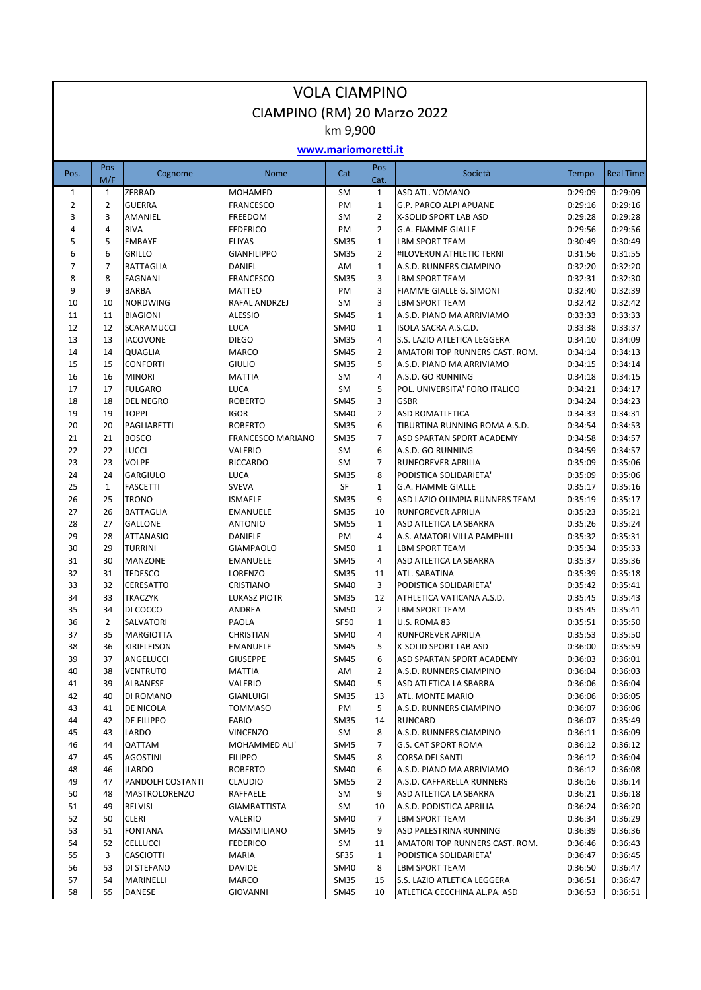| <b>VOLA CIAMPINO</b> |                |                                |                                   |                            |                     |                                                  |                    |                    |  |
|----------------------|----------------|--------------------------------|-----------------------------------|----------------------------|---------------------|--------------------------------------------------|--------------------|--------------------|--|
|                      |                |                                | CIAMPINO (RM) 20 Marzo 2022       |                            |                     |                                                  |                    |                    |  |
|                      |                |                                |                                   | km 9,900                   |                     |                                                  |                    |                    |  |
|                      |                |                                |                                   | www.mariomoretti.it        |                     |                                                  |                    |                    |  |
| Pos.                 | Pos<br>M/F     | Cognome                        | <b>Nome</b>                       | Cat                        | Pos<br>Cat.         | Società                                          | Tempo              | <b>Real Time</b>   |  |
| $\mathbf{1}$         | $\mathbf{1}$   | ZERRAD                         | <b>MOHAMED</b>                    | <b>SM</b>                  | $\mathbf{1}$        | <b>ASD ATL. VOMANO</b>                           | 0:29:09            | 0:29:09            |  |
| $\overline{2}$       | $\overline{2}$ | <b>GUERRA</b>                  | <b>FRANCESCO</b>                  | PM                         | $\mathbf{1}$        | G.P. PARCO ALPI APUANE                           | 0:29:16            | 0:29:16            |  |
| 3                    | 3              | AMANIEL                        | FREEDOM                           | <b>SM</b>                  | $\overline{2}$      | X-SOLID SPORT LAB ASD                            | 0:29:28            | 0:29:28            |  |
| 4                    | 4              | <b>RIVA</b>                    | <b>FEDERICO</b>                   | PM                         | $\overline{2}$      | <b>G.A. FIAMME GIALLE</b>                        | 0:29:56            | 0:29:56            |  |
| 5                    | 5              | <b>EMBAYE</b>                  | <b>ELIYAS</b>                     | <b>SM35</b>                | $\mathbf{1}$        | LBM SPORT TEAM                                   | 0:30:49            | 0:30:49            |  |
| 6                    | 6              | <b>GRILLO</b>                  | <b>GIANFILIPPO</b>                | <b>SM35</b>                | 2                   | #ILOVERUN ATHLETIC TERNI                         | 0:31:56            | 0:31:55            |  |
| 7<br>8               | 7<br>8         | <b>BATTAGLIA</b>               | DANIEL                            | AM                         | $\mathbf{1}$<br>3   | A.S.D. RUNNERS CIAMPINO                          | 0:32:20            | 0:32:20            |  |
| 9                    | 9              | <b>FAGNANI</b><br><b>BARBA</b> | <b>FRANCESCO</b><br><b>MATTEO</b> | <b>SM35</b><br>PM          | 3                   | <b>LBM SPORT TEAM</b><br>FIAMME GIALLE G. SIMONI | 0:32:31<br>0:32:40 | 0:32:30<br>0:32:39 |  |
| 10                   | 10             | <b>NORDWING</b>                | RAFAL ANDRZEJ                     | SM                         | 3                   | <b>LBM SPORT TEAM</b>                            | 0:32:42            | 0:32:42            |  |
| 11                   | 11             | <b>BIAGIONI</b>                | <b>ALESSIO</b>                    | <b>SM45</b>                | $\mathbf{1}$        | A.S.D. PIANO MA ARRIVIAMO                        | 0:33:33            | 0:33:33            |  |
| 12                   | 12             | <b>SCARAMUCCI</b>              | <b>LUCA</b>                       | <b>SM40</b>                | 1                   | ISOLA SACRA A.S.C.D.                             | 0:33:38            | 0:33:37            |  |
| 13                   | 13             | <b>IACOVONE</b>                | <b>DIEGO</b>                      | <b>SM35</b>                | 4                   | S.S. LAZIO ATLETICA LEGGERA                      | 0:34:10            | 0:34:09            |  |
| 14                   | 14             | QUAGLIA                        | <b>MARCO</b>                      | <b>SM45</b>                | $\overline{2}$      | AMATORI TOP RUNNERS CAST. ROM.                   | 0:34:14            | 0:34:13            |  |
| 15                   | 15             | <b>CONFORTI</b>                | <b>GIULIO</b>                     | <b>SM35</b>                | 5                   | A.S.D. PIANO MA ARRIVIAMO                        | 0:34:15            | 0:34:14            |  |
| 16                   | 16             | <b>MINORI</b>                  | <b>MATTIA</b>                     | SM                         | 4                   | A.S.D. GO RUNNING                                | 0:34:18            | 0:34:15            |  |
| 17                   | 17             | <b>FULGARO</b>                 | <b>LUCA</b>                       | SM                         | 5                   | POL. UNIVERSITA' FORO ITALICO                    | 0:34:21            | 0:34:17            |  |
| 18                   | 18             | <b>DEL NEGRO</b>               | <b>ROBERTO</b>                    | <b>SM45</b>                | 3                   | <b>GSBR</b>                                      | 0:34:24            | 0:34:23            |  |
| 19                   | 19             | <b>TOPPI</b>                   | <b>IGOR</b>                       | <b>SM40</b>                | $\overline{2}$      | <b>ASD ROMATLETICA</b>                           | 0:34:33            | 0:34:31            |  |
| 20                   | 20             | <b>PAGLIARETTI</b>             | <b>ROBERTO</b>                    | <b>SM35</b>                | 6                   | TIBURTINA RUNNING ROMA A.S.D.                    | 0:34:54            | 0:34:53            |  |
| 21<br>22             | 21<br>22       | <b>BOSCO</b><br><b>LUCCI</b>   | FRANCESCO MARIANO<br>VALERIO      | <b>SM35</b><br><b>SM</b>   | $\overline{7}$<br>6 | ASD SPARTAN SPORT ACADEMY<br>A.S.D. GO RUNNING   | 0:34:58<br>0:34:59 | 0:34:57<br>0:34:57 |  |
| 23                   | 23             | <b>VOLPE</b>                   | <b>RICCARDO</b>                   | <b>SM</b>                  | $\overline{7}$      | RUNFOREVER APRILIA                               | 0:35:09            | 0:35:06            |  |
| 24                   | 24             | <b>GARGIULO</b>                | <b>LUCA</b>                       | <b>SM35</b>                | 8                   | PODISTICA SOLIDARIETA'                           | 0:35:09            | 0:35:06            |  |
| 25                   | $\mathbf{1}$   | <b>FASCETTI</b>                | <b>SVEVA</b>                      | <b>SF</b>                  | $\mathbf{1}$        | <b>G.A. FIAMME GIALLE</b>                        | 0:35:17            | 0:35:16            |  |
| 26                   | 25             | <b>TRONO</b>                   | <b>ISMAELE</b>                    | <b>SM35</b>                | 9                   | ASD LAZIO OLIMPIA RUNNERS TEAM                   | 0:35:19            | 0:35:17            |  |
| 27                   | 26             | <b>BATTAGLIA</b>               | <b>EMANUELE</b>                   | <b>SM35</b>                | 10                  | RUNFOREVER APRILIA                               | 0:35:23            | 0:35:21            |  |
| 28                   | 27             | <b>GALLONE</b>                 | <b>ANTONIO</b>                    | <b>SM55</b>                | 1                   | ASD ATLETICA LA SBARRA                           | 0:35:26            | 0:35:24            |  |
| 29                   | 28             | <b>ATTANASIO</b>               | <b>DANIELE</b>                    | PM                         | 4                   | A.S. AMATORI VILLA PAMPHILI                      | 0:35:32            | 0:35:31            |  |
| 30                   | 29             | <b>TURRINI</b>                 | <b>GIAMPAOLO</b>                  | <b>SM50</b>                | $\mathbf{1}$        | <b>LBM SPORT TEAM</b>                            | 0:35:34            | 0:35:33            |  |
| 31                   | 30             | <b>MANZONE</b>                 | <b>EMANUELE</b>                   | <b>SM45</b>                | 4                   | ASD ATLETICA LA SBARRA                           | 0:35:37            | 0:35:36            |  |
| 32                   | 31             | <b>TEDESCO</b>                 | LORENZO                           | <b>SM35</b>                | 11                  | ATL. SABATINA                                    | 0:35:39            | 0:35:18            |  |
| 33<br>34             | 32<br>33       | <b>CERESATTO</b>               | <b>CRISTIANO</b>                  | <b>SM40</b><br><b>SM35</b> | 3<br>12             | PODISTICA SOLIDARIETA'                           | 0:35:42            | 0:35:41            |  |
| 35                   | 34             | <b>TKACZYK</b><br>DI COCCO     | <b>LUKASZ PIOTR</b><br>ANDREA     | <b>SM50</b>                | 2                   | ATHLETICA VATICANA A.S.D.<br>LBM SPORT TEAM      | 0:35:45<br>0:35:45 | 0:35:43<br>0:35:41 |  |
| 36                   | $\overline{2}$ | SALVATORI                      | PAOLA                             | <b>SF50</b>                | $\mathbf{1}$        | U.S. ROMA 83                                     | 0:35:51            | 0:35:50            |  |
| 37                   | 35             | <b>MARGIOTTA</b>               | CHRISTIAN                         | <b>SM40</b>                | 4                   | RUNFOREVER APRILIA                               | 0:35:53            | 0:35:50            |  |
| 38                   | 36             | KIRIELEISON                    | EMANUELE                          | SM45                       | 5                   | X-SOLID SPORT LAB ASD                            | 0:36:00            | 0:35:59            |  |
| 39                   | 37             | ANGELUCCI                      | <b>GIUSEPPE</b>                   | <b>SM45</b>                | 6                   | ASD SPARTAN SPORT ACADEMY                        | 0:36:03            | 0:36:01            |  |
| 40                   | 38             | <b>VENTRUTO</b>                | MATTIA                            | AM                         | 2                   | A.S.D. RUNNERS CIAMPINO                          | 0:36:04            | 0:36:03            |  |
| 41                   | 39             | ALBANESE                       | VALERIO                           | <b>SM40</b>                | 5                   | ASD ATLETICA LA SBARRA                           | 0:36:06            | 0:36:04            |  |
| 42                   | 40             | DI ROMANO                      | GIANLUIGI                         | <b>SM35</b>                | 13                  | ATL. MONTE MARIO                                 | 0:36:06            | 0:36:05            |  |
| 43                   | 41             | DE NICOLA                      | <b>TOMMASO</b>                    | PM                         | 5                   | A.S.D. RUNNERS CIAMPINO                          | 0:36:07            | 0:36:06            |  |
| 44                   | 42             | <b>DE FILIPPO</b>              | <b>FABIO</b>                      | <b>SM35</b>                | 14                  | RUNCARD                                          | 0:36:07            | 0:35:49            |  |
| 45<br>46             | 43<br>44       | LARDO<br>QATTAM                | <b>VINCENZO</b>                   | SM                         | 8<br>7              | A.S.D. RUNNERS CIAMPINO                          | 0:36:11            | 0:36:09<br>0:36:12 |  |
| 47                   | 45             | <b>AGOSTINI</b>                | MOHAMMED ALI'<br><b>FILIPPO</b>   | SM45<br><b>SM45</b>        | 8                   | G.S. CAT SPORT ROMA<br>CORSA DEI SANTI           | 0:36:12<br>0:36:12 | 0:36:04            |  |
| 48                   | 46             | <b>ILARDO</b>                  | <b>ROBERTO</b>                    | SM40                       | 6                   | A.S.D. PIANO MA ARRIVIAMO                        | 0:36:12            | 0:36:08            |  |
| 49                   | 47             | PANDOLFI COSTANTI              | <b>CLAUDIO</b>                    | <b>SM55</b>                | 2                   | A.S.D. CAFFARELLA RUNNERS                        | 0:36:16            | 0:36:14            |  |
| 50                   | 48             | <b>MASTROLORENZO</b>           | RAFFAELE                          | SM                         | 9                   | ASD ATLETICA LA SBARRA                           | 0:36:21            | 0:36:18            |  |
| 51                   | 49             | <b>BELVISI</b>                 | <b>GIAMBATTISTA</b>               | SM                         | 10                  | A.S.D. PODISTICA APRILIA                         | 0:36:24            | 0:36:20            |  |
| 52                   | 50             | <b>CLERI</b>                   | VALERIO                           | <b>SM40</b>                | $\overline{7}$      | LBM SPORT TEAM                                   | 0:36:34            | 0:36:29            |  |
| 53                   | 51             | <b>FONTANA</b>                 | MASSIMILIANO                      | <b>SM45</b>                | 9                   | ASD PALESTRINA RUNNING                           | 0:36:39            | 0:36:36            |  |
| 54                   | 52             | <b>CELLUCCI</b>                | <b>FEDERICO</b>                   | SM                         | 11                  | AMATORI TOP RUNNERS CAST. ROM.                   | 0:36:46            | 0:36:43            |  |
| 55                   | 3              | <b>CASCIOTTI</b>               | MARIA                             | SF35                       | $\mathbf{1}$        | PODISTICA SOLIDARIETA'                           | 0:36:47            | 0:36:45            |  |
| 56                   | 53             | <b>DI STEFANO</b>              | <b>DAVIDE</b>                     | SM40                       | 8                   | LBM SPORT TEAM                                   | 0:36:50            | 0:36:47            |  |
| 57                   | 54             | MARINELLI                      | MARCO                             | <b>SM35</b>                | 15                  | S.S. LAZIO ATLETICA LEGGERA                      | 0:36:51            | 0:36:47            |  |
| 58                   | 55             | DANESE                         | <b>GIOVANNI</b>                   | SM45                       | 10                  | ATLETICA CECCHINA AL.PA. ASD                     | 0:36:53            | 0:36:51            |  |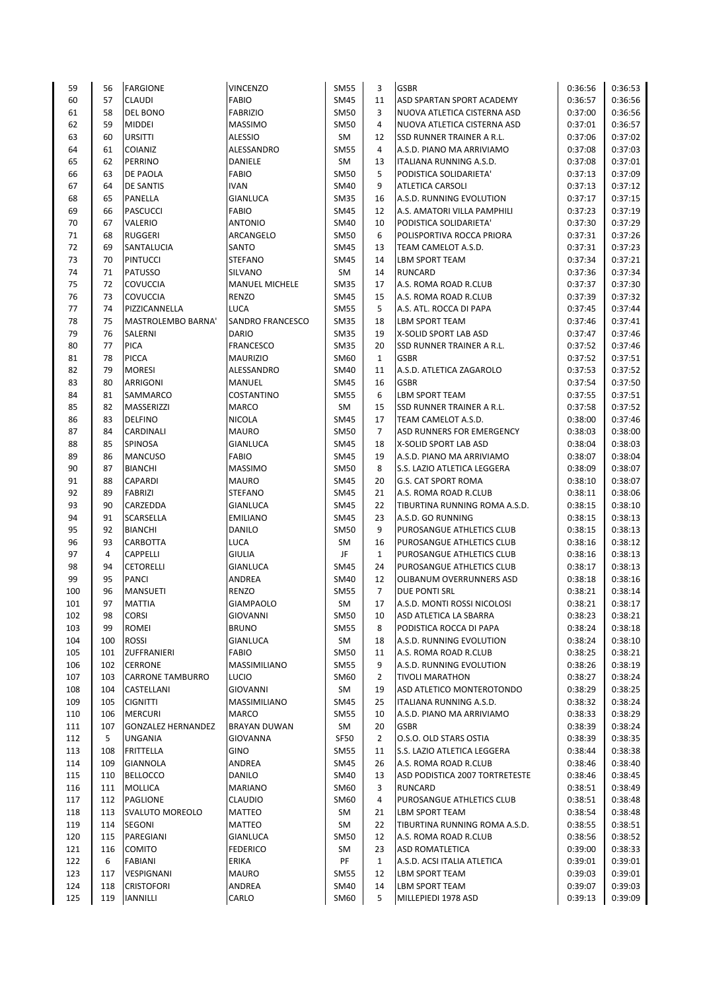| 59       | 56       | <b>FARGIONE</b>              | <b>VINCENZO</b>                    | <b>SM55</b>         | 3              | <b>GSBR</b>                                        | 0:36:56            | 0:36:53            |
|----------|----------|------------------------------|------------------------------------|---------------------|----------------|----------------------------------------------------|--------------------|--------------------|
| 60       | 57       | <b>CLAUDI</b>                | <b>FABIO</b>                       | <b>SM45</b>         | 11             | ASD SPARTAN SPORT ACADEMY                          | 0:36:57            | 0:36:56            |
| 61       | 58       | <b>DEL BONO</b>              | <b>FABRIZIO</b>                    | <b>SM50</b>         | 3              | NUOVA ATLETICA CISTERNA ASD                        | 0:37:00            | 0:36:56            |
| 62       | 59       | <b>MIDDEI</b>                | <b>MASSIMO</b>                     | <b>SM50</b>         | 4              | NUOVA ATLETICA CISTERNA ASD                        | 0:37:01            | 0:36:57            |
| 63       | 60       | <b>URSITTI</b>               | <b>ALESSIO</b>                     | SM                  | 12             | SSD RUNNER TRAINER A R.L.                          | 0:37:06            | 0:37:02            |
| 64       | 61       | <b>COIANIZ</b>               | ALESSANDRO                         | <b>SM55</b>         | $\overline{4}$ | A.S.D. PIANO MA ARRIVIAMO                          | 0:37:08            | 0:37:03            |
| 65       | 62       | PERRINO                      | DANIELE                            | SM                  | 13             | <b>ITALIANA RUNNING A.S.D.</b>                     | 0:37:08            | 0:37:01            |
| 66       | 63       | DE PAOLA                     | <b>FABIO</b>                       | <b>SM50</b>         | 5              | PODISTICA SOLIDARIETA'                             | 0:37:13            | 0:37:09            |
| 67       | 64       | <b>DE SANTIS</b>             | <b>IVAN</b>                        | <b>SM40</b>         | 9              | <b>ATLETICA CARSOLI</b>                            | 0:37:13            | 0:37:12            |
| 68       | 65       | PANELLA                      | <b>GIANLUCA</b>                    | <b>SM35</b>         | 16             | A.S.D. RUNNING EVOLUTION                           | 0:37:17            | 0:37:15            |
| 69       | 66       | <b>PASCUCCI</b>              | <b>FABIO</b>                       | <b>SM45</b>         | 12             | A.S. AMATORI VILLA PAMPHILI                        | 0:37:23            | 0:37:19            |
| 70       | 67       | VALERIO                      | <b>ANTONIO</b>                     | SM40                | 10             | PODISTICA SOLIDARIETA'                             | 0:37:30            | 0:37:29            |
| 71       | 68       | <b>RUGGERI</b>               | ARCANGELO                          | <b>SM50</b>         | 6              | POLISPORTIVA ROCCA PRIORA                          | 0:37:31            | 0:37:26            |
| 72       | 69       | SANTALUCIA                   | SANTO                              | <b>SM45</b>         | 13             | TEAM CAMELOT A.S.D.                                | 0:37:31            | 0:37:23            |
| 73       | 70       | <b>PINTUCCI</b>              | <b>STEFANO</b>                     | SM45                | 14             | <b>LBM SPORT TEAM</b>                              | 0:37:34            | 0:37:21            |
| 74       | 71       | <b>PATUSSO</b>               | SILVANO                            | SM                  | 14             | <b>RUNCARD</b>                                     | 0:37:36            | 0:37:34            |
| 75       | 72       | COVUCCIA                     | <b>MANUEL MICHELE</b>              | <b>SM35</b>         | 17             | A.S. ROMA ROAD R.CLUB                              | 0:37:37            | 0:37:30            |
| 76       | 73       | <b>COVUCCIA</b>              | <b>RENZO</b>                       | <b>SM45</b>         | 15             | A.S. ROMA ROAD R.CLUB                              | 0:37:39            | 0:37:32            |
| 77       | 74       | PIZZICANNELLA                | LUCA                               | <b>SM55</b>         | 5              | A.S. ATL. ROCCA DI PAPA                            | 0:37:45            | 0:37:44            |
| 78       | 75       | MASTROLEMBO BARNA'           | SANDRO FRANCESCO                   | <b>SM35</b>         | 18             | <b>LBM SPORT TEAM</b>                              | 0:37:46            | 0:37:41            |
| 79       | 76       | SALERNI                      | <b>DARIO</b>                       | <b>SM35</b>         | 19             | X-SOLID SPORT LAB ASD                              | 0:37:47            | 0:37:46            |
| 80       | 77       | <b>PICA</b>                  | <b>FRANCESCO</b>                   | <b>SM35</b>         | 20             | SSD RUNNER TRAINER A R.L.                          | 0:37:52            | 0:37:46            |
| 81       | 78       | <b>PICCA</b>                 | <b>MAURIZIO</b>                    | SM60                | $\mathbf{1}$   | <b>GSBR</b>                                        | 0:37:52            | 0:37:51            |
| 82       | 79       | <b>MORESI</b>                | ALESSANDRO                         | <b>SM40</b>         | 11             | A.S.D. ATLETICA ZAGAROLO                           | 0:37:53            | 0:37:52            |
| 83       | 80       | ARRIGONI                     | <b>MANUEL</b>                      | <b>SM45</b>         | 16             | <b>GSBR</b>                                        | 0:37:54            | 0:37:50            |
| 84       | 81       | SAMMARCO                     | COSTANTINO                         | <b>SM55</b>         | 6              | <b>LBM SPORT TEAM</b>                              | 0:37:55            | 0:37:51            |
| 85       | 82       | MASSERIZZI                   | <b>MARCO</b>                       | SM                  | 15             | SSD RUNNER TRAINER A R.L.                          | 0:37:58            | 0:37:52            |
| 86       | 83       | <b>DELFINO</b>               | <b>NICOLA</b>                      | <b>SM45</b>         | 17             | TEAM CAMELOT A.S.D.                                | 0:38:00            | 0:37:46            |
| 87       | 84       | CARDINALI                    | <b>MAURO</b>                       | <b>SM50</b>         | $\overline{7}$ | ASD RUNNERS FOR EMERGENCY                          | 0:38:03            | 0:38:00            |
| 88       | 85       | SPINOSA                      | GIANLUCA                           | <b>SM45</b>         | 18             | X-SOLID SPORT LAB ASD                              | 0:38:04            | 0:38:03            |
| 89       | 86       | <b>MANCUSO</b>               | <b>FABIO</b>                       | SM45                | 19             | A.S.D. PIANO MA ARRIVIAMO                          | 0:38:07            | 0:38:04            |
| 90       | 87       | <b>BIANCHI</b>               | <b>MASSIMO</b>                     | <b>SM50</b>         | 8              | S.S. LAZIO ATLETICA LEGGERA                        | 0:38:09            | 0:38:07            |
|          |          |                              |                                    |                     | 20             |                                                    |                    | 0:38:07            |
| 91       | 88<br>89 | CAPARDI                      | <b>MAURO</b>                       | <b>SM45</b>         | 21             | <b>G.S. CAT SPORT ROMA</b>                         | 0:38:10            | 0:38:06            |
| 92       |          | <b>FABRIZI</b>               | <b>STEFANO</b>                     | <b>SM45</b>         |                | A.S. ROMA ROAD R.CLUB                              | 0:38:11            |                    |
| 93<br>94 | 90<br>91 | CARZEDDA<br><b>SCARSELLA</b> | <b>GIANLUCA</b><br><b>EMILIANO</b> | SM45<br><b>SM45</b> | 22<br>23       | TIBURTINA RUNNING ROMA A.S.D.<br>A.S.D. GO RUNNING | 0:38:15<br>0:38:15 | 0:38:10<br>0:38:13 |
| 95       | 92       | <b>BIANCHI</b>               | <b>DANILO</b>                      |                     | 9              | PUROSANGUE ATHLETICS CLUB                          | 0:38:15            | 0:38:13            |
|          |          |                              |                                    | <b>SM50</b>         | 16             |                                                    |                    |                    |
| 96       | 93       | <b>CARBOTTA</b>              | LUCA                               | SM<br>JF            |                | PUROSANGUE ATHLETICS CLUB                          | 0:38:16            | 0:38:12            |
| 97       | 4        | <b>CAPPELLI</b>              | <b>GIULIA</b>                      |                     | $\mathbf{1}$   | PUROSANGUE ATHLETICS CLUB                          | 0:38:16            | 0:38:13            |
| 98       | 94       | <b>CETORELLI</b>             | <b>GIANLUCA</b>                    | <b>SM45</b>         | 24             | PUROSANGUE ATHLETICS CLUB                          | 0:38:17            | 0:38:13            |
| 99       | 95       | <b>PANCI</b>                 | ANDREA<br><b>RENZO</b>             | <b>SM40</b>         | 12             | OLIBANUM OVERRUNNERS ASD                           | 0:38:18<br>0:38:21 | 0:38:16            |
| 100      | 96<br>97 | <b>MANSUETI</b>              |                                    | <b>SM55</b>         | $\overline{7}$ | <b>DUE PONTI SRL</b>                               |                    | 0:38:14            |
| 101      |          | <b>MATTIA</b>                | <b>GIAMPAOLO</b>                   | SM                  | 17             | A.S.D. MONTI ROSSI NICOLOSI                        | 0:38:21            | 0:38:17            |
| 102      | 98       | <b>CORSI</b>                 | <b>GIOVANNI</b>                    | <b>SM50</b>         | 10             | ASD ATLETICA LA SBARRA                             | 0:38:23            | 0:38:21            |
| 103      | 99       | <b>ROMEI</b>                 | <b>BRUNO</b>                       | <b>SM55</b>         | 8              | PODISTICA ROCCA DI PAPA                            | 0:38:24            | 0:38:18            |
| 104      | 100      | <b>ROSSI</b>                 | GIANLUCA                           | SM                  | 18             | A.S.D. RUNNING EVOLUTION                           | 0:38:24            | 0:38:10            |
| 105      | 101      | ZUFFRANIERI                  | FABIO                              | SM50                | 11             | A.S. ROMA ROAD R.CLUB                              | 0:38:25            | 0:38:21            |
| 106      | 102      | <b>CERRONE</b>               | MASSIMILIANO                       | <b>SM55</b>         | 9              | A.S.D. RUNNING EVOLUTION                           | 0:38:26            | 0:38:19            |
| 107      | 103      | <b>CARRONE TAMBURRO</b>      | LUCIO                              | SM60                | 2              | <b>TIVOLI MARATHON</b>                             | 0:38:27            | 0:38:24            |
| 108      | 104      | CASTELLANI                   | GIOVANNI                           | SM                  | 19             | ASD ATLETICO MONTEROTONDO                          | 0:38:29            | 0:38:25            |
| 109      | 105      | <b>CIGNITTI</b>              | MASSIMILIANO                       | SM45                | 25             | ITALIANA RUNNING A.S.D.                            | 0:38:32            | 0:38:24            |
| 110      | 106      | <b>MERCURI</b>               | <b>MARCO</b>                       | <b>SM55</b>         | 10             | A.S.D. PIANO MA ARRIVIAMO                          | 0:38:33            | 0:38:29            |
| 111      | 107      | <b>GONZALEZ HERNANDEZ</b>    | <b>BRAYAN DUWAN</b>                | SM                  | 20             | <b>GSBR</b>                                        | 0:38:39            | 0:38:24            |
| 112      | 5        | UNGANIA                      | <b>GIOVANNA</b>                    | SF50                | 2              | O.S.O. OLD STARS OSTIA                             | 0:38:39            | 0:38:35            |
| 113      | 108      | FRITTELLA                    | <b>GINO</b>                        | <b>SM55</b>         | 11             | S.S. LAZIO ATLETICA LEGGERA                        | 0:38:44            | 0:38:38            |
| 114      | 109      | GIANNOLA                     | ANDREA                             | <b>SM45</b>         | 26             | A.S. ROMA ROAD R.CLUB                              | 0:38:46            | 0:38:40            |
| 115      | 110      | <b>BELLOCCO</b>              | DANILO                             | SM40                | 13             | ASD PODISTICA 2007 TORTRETESTE                     | 0:38:46            | 0:38:45            |
| 116      | 111      | <b>MOLLICA</b>               | <b>MARIANO</b>                     | SM60                | 3              | <b>RUNCARD</b>                                     | 0:38:51            | 0:38:49            |
| 117      | 112      | <b>PAGLIONE</b>              | <b>CLAUDIO</b>                     | SM60                | 4              | PUROSANGUE ATHLETICS CLUB                          | 0:38:51            | 0:38:48            |
| 118      | 113      | <b>SVALUTO MOREOLO</b>       | MATTEO                             | SM                  | 21             | LBM SPORT TEAM                                     | 0:38:54            | 0:38:48            |
| 119      | 114      | SEGONI                       | MATTEO                             | SM                  | 22             | TIBURTINA RUNNING ROMA A.S.D.                      | 0:38:55            | 0:38:51            |
| 120      | 115      | PAREGIANI                    | <b>GIANLUCA</b>                    | <b>SM50</b>         | 12             | A.S. ROMA ROAD R.CLUB                              | 0:38:56            | 0:38:52            |
| 121      | 116      | <b>COMITO</b>                | <b>FEDERICO</b>                    | SM                  | 23             | ASD ROMATLETICA                                    | 0:39:00            | 0:38:33            |
| 122      | 6        | FABIANI                      | <b>ERIKA</b>                       | PF                  | $\mathbf{1}$   | A.S.D. ACSI ITALIA ATLETICA                        | 0:39:01            | 0:39:01            |
| 123      | 117      | VESPIGNANI                   | MAURO                              | <b>SM55</b>         | 12             | LBM SPORT TEAM                                     | 0:39:03            | 0:39:01            |
| 124      | 118      | <b>CRISTOFORI</b>            | ANDREA                             | SM40                | 14             | <b>LBM SPORT TEAM</b>                              | 0:39:07            | 0:39:03            |
| 125      | 119      | <b>IANNILLI</b>              | CARLO                              | SM60                | 5              | MILLEPIEDI 1978 ASD                                | 0:39:13            | 0:39:09            |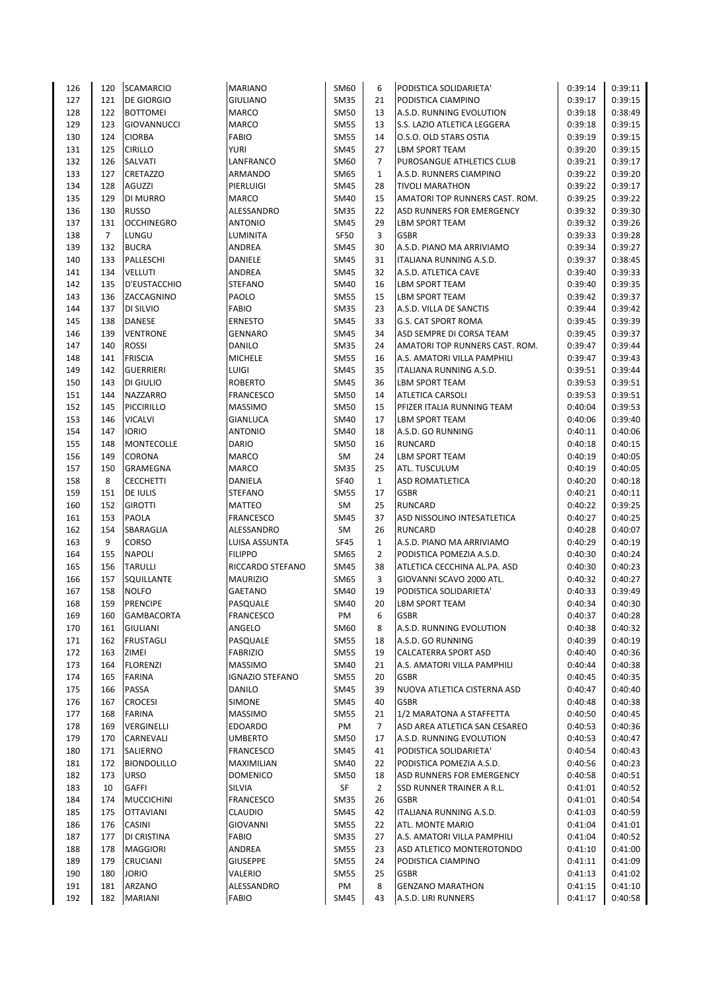| 126 | 120            | <b>SCAMARCIO</b>   | <b>MARIANO</b>         | SM60                | 6              | PODISTICA SOLIDARIETA'                     | 0:39:14 | 0:39:11 |
|-----|----------------|--------------------|------------------------|---------------------|----------------|--------------------------------------------|---------|---------|
| 127 | 121            | <b>DE GIORGIO</b>  | <b>GIULIANO</b>        | <b>SM35</b>         | 21             | PODISTICA CIAMPINO                         | 0:39:17 | 0:39:15 |
| 128 | 122            | <b>BOTTOMEI</b>    | <b>MARCO</b>           | <b>SM50</b>         | 13             | A.S.D. RUNNING EVOLUTION                   | 0:39:18 | 0:38:49 |
| 129 | 123            | GIOVANNUCCI        | <b>MARCO</b>           | <b>SM55</b>         | 13             | S.S. LAZIO ATLETICA LEGGERA                | 0:39:18 | 0:39:15 |
| 130 | 124            | <b>CIORBA</b>      | <b>FABIO</b>           | <b>SM55</b>         | 14             | O.S.O. OLD STARS OSTIA                     | 0:39:19 | 0:39:15 |
| 131 | 125            | <b>CIRILLO</b>     | <b>YURI</b>            | <b>SM45</b>         | 27             | <b>LBM SPORT TEAM</b>                      | 0:39:20 | 0:39:15 |
| 132 | 126            | SALVATI            | LANFRANCO              | SM60                | $\overline{7}$ | PUROSANGUE ATHLETICS CLUB                  | 0:39:21 | 0:39:17 |
| 133 | 127            | <b>CRETAZZO</b>    | ARMANDO                | <b>SM65</b>         | $\mathbf{1}$   | A.S.D. RUNNERS CIAMPINO                    | 0:39:22 | 0:39:20 |
| 134 | 128            | <b>AGUZZI</b>      | PIERLUIGI              | <b>SM45</b>         | 28             | <b>TIVOLI MARATHON</b>                     | 0:39:22 | 0:39:17 |
| 135 | 129            | DI MURRO           | <b>MARCO</b>           | <b>SM40</b>         | 15             | AMATORI TOP RUNNERS CAST. ROM.             | 0:39:25 | 0:39:22 |
| 136 | 130            | <b>RUSSO</b>       | ALESSANDRO             | <b>SM35</b>         | 22             | ASD RUNNERS FOR EMERGENCY                  | 0:39:32 | 0:39:30 |
| 137 | 131            | <b>OCCHINEGRO</b>  | <b>ANTONIO</b>         | <b>SM45</b>         | 29             | <b>LBM SPORT TEAM</b>                      | 0:39:32 | 0:39:26 |
| 138 | $\overline{7}$ | LUNGU              | <b>LUMINITA</b>        | <b>SF50</b>         | 3              | <b>GSBR</b>                                | 0:39:33 | 0:39:28 |
| 139 | 132            | <b>BUCRA</b>       | ANDREA                 | <b>SM45</b>         | 30             | A.S.D. PIANO MA ARRIVIAMO                  | 0:39:34 | 0:39:27 |
| 140 | 133            | PALLESCHI          | DANIELE                | SM45                | 31             | ITALIANA RUNNING A.S.D.                    | 0:39:37 | 0:38:45 |
| 141 | 134            | <b>VELLUTI</b>     | ANDREA                 | <b>SM45</b>         | 32             | A.S.D. ATLETICA CAVE                       | 0:39:40 | 0:39:33 |
| 142 | 135            | D'EUSTACCHIO       | <b>STEFANO</b>         | <b>SM40</b>         | 16             | LBM SPORT TEAM                             | 0:39:40 | 0:39:35 |
| 143 | 136            | ZACCAGNINO         | PAOLO                  | <b>SM55</b>         | 15             | LBM SPORT TEAM                             | 0:39:42 | 0:39:37 |
| 144 | 137            | DI SILVIO          | <b>FABIO</b>           | <b>SM35</b>         | 23             | A.S.D. VILLA DE SANCTIS                    | 0:39:44 | 0:39:42 |
| 145 | 138            | <b>DANESE</b>      | <b>ERNESTO</b>         | <b>SM45</b>         | 33             | <b>G.S. CAT SPORT ROMA</b>                 | 0:39:45 | 0:39:39 |
| 146 | 139            | <b>VENTRONE</b>    | <b>GENNARO</b>         | <b>SM45</b>         | 34             | ASD SEMPRE DI CORSA TEAM                   | 0:39:45 | 0:39:37 |
| 147 | 140            | <b>ROSSI</b>       | DANILO                 | <b>SM35</b>         | 24             | AMATORI TOP RUNNERS CAST. ROM.             | 0:39:47 | 0:39:44 |
| 148 | 141            | <b>FRISCIA</b>     | <b>MICHELE</b>         | <b>SM55</b>         | 16             | A.S. AMATORI VILLA PAMPHILI                | 0:39:47 | 0:39:43 |
| 149 | 142            | <b>GUERRIERI</b>   | <b>LUIGI</b>           | <b>SM45</b>         | 35             | ITALIANA RUNNING A.S.D.                    | 0:39:51 | 0:39:44 |
|     |                |                    | <b>ROBERTO</b>         |                     |                |                                            |         | 0:39:51 |
| 150 | 143            | DI GIULIO          |                        | <b>SM45</b>         | 36             | <b>LBM SPORT TEAM</b>                      | 0:39:53 |         |
| 151 | 144            | NAZZARRO           | <b>FRANCESCO</b>       | <b>SM50</b>         | 14             | <b>ATLETICA CARSOLI</b>                    | 0:39:53 | 0:39:51 |
| 152 | 145            | PICCIRILLO         | <b>MASSIMO</b>         | <b>SM50</b>         | 15             | PFIZER ITALIA RUNNING TEAM                 | 0:40:04 | 0:39:53 |
| 153 | 146            | <b>VICALVI</b>     | <b>GIANLUCA</b>        | SM40                | 17             | <b>LBM SPORT TEAM</b>                      | 0:40:06 | 0:39:40 |
| 154 | 147            | <b>IORIO</b>       | <b>ANTONIO</b>         | SM40                | 18             | A.S.D. GO RUNNING                          | 0:40:11 | 0:40:06 |
| 155 | 148            | <b>MONTECOLLE</b>  | <b>DARIO</b>           | SM50                | 16             | <b>RUNCARD</b>                             | 0:40:18 | 0:40:15 |
| 156 | 149            | <b>CORONA</b>      | MARCO                  | SM                  | 24             | <b>LBM SPORT TEAM</b>                      | 0:40:19 | 0:40:05 |
| 157 | 150            | GRAMEGNA           | MARCO                  | <b>SM35</b>         | 25             | ATL. TUSCULUM                              | 0:40:19 | 0:40:05 |
| 158 | 8              | <b>CECCHETTI</b>   | DANIELA                | <b>SF40</b>         | $\mathbf{1}$   | <b>ASD ROMATLETICA</b>                     | 0:40:20 | 0:40:18 |
| 159 | 151            | <b>DE IULIS</b>    | <b>STEFANO</b>         | <b>SM55</b>         | 17             | <b>GSBR</b>                                | 0:40:21 | 0:40:11 |
| 160 | 152            | <b>GIROTTI</b>     | <b>MATTEO</b>          | SM                  | 25             | <b>RUNCARD</b>                             | 0:40:22 | 0:39:25 |
| 161 | 153            | PAOLA              | <b>FRANCESCO</b>       | <b>SM45</b>         | 37             | ASD NISSOLINO INTESATLETICA                | 0:40:27 | 0:40:25 |
| 162 | 154            | SBARAGLIA          | ALESSANDRO             | SM                  | 26             | <b>RUNCARD</b>                             | 0:40:28 | 0:40:07 |
| 163 | 9              | <b>CORSO</b>       | LUISA ASSUNTA          | SF45                | $\mathbf{1}$   | A.S.D. PIANO MA ARRIVIAMO                  | 0:40:29 | 0:40:19 |
| 164 | 155            | <b>NAPOLI</b>      | <b>FILIPPO</b>         | SM65                | $\overline{2}$ | PODISTICA POMEZIA A.S.D.                   | 0:40:30 | 0:40:24 |
| 165 | 156            | <b>TARULLI</b>     | RICCARDO STEFANO       | SM45                | 38             | ATLETICA CECCHINA AL.PA. ASD               | 0:40:30 | 0:40:23 |
| 166 | 157            | SQUILLANTE         | <b>MAURIZIO</b>        | SM65                | 3              | GIOVANNI SCAVO 2000 ATL.                   | 0:40:32 | 0:40:27 |
| 167 | 158            | <b>NOLFO</b>       | GAETANO                | SM40                | 19             | PODISTICA SOLIDARIETA'                     | 0:40:33 | 0:39:49 |
| 168 | 159            | <b>PRENCIPE</b>    | PASQUALE               | SM40                | 20             | <b>LBM SPORT TEAM</b>                      | 0:40:34 | 0:40:30 |
| 169 | 160            | <b>GAMBACORTA</b>  | <b>FRANCESCO</b>       | PM                  | 6              | <b>GSBR</b>                                | 0:40:37 | 0:40:28 |
| 170 | 161            | <b>GIULIANI</b>    | ANGELO                 | SM60                | 8              | A.S.D. RUNNING EVOLUTION                   | 0:40:38 | 0:40:32 |
| 171 | 162            | <b>FRUSTAGLI</b>   | PASQUALE               | <b>SM55</b>         | 18             | A.S.D. GO RUNNING                          | 0:40:39 | 0:40:19 |
| 172 | 163            | ZIMEI              | <b>FABRIZIO</b>        | <b>SM55</b>         | 19             | <b>CALCATERRA SPORT ASD</b>                | 0:40:40 | 0:40:36 |
| 173 | 164            | <b>FLORENZI</b>    | <b>MASSIMO</b>         |                     | 21             |                                            | 0:40:44 | 0:40:38 |
| 174 | 165            | <b>FARINA</b>      | <b>IGNAZIO STEFANO</b> | SM40<br><b>SM55</b> | 20             | A.S. AMATORI VILLA PAMPHILI<br><b>GSBR</b> | 0:40:45 | 0:40:35 |
| 175 | 166            | PASSA              | <b>DANILO</b>          |                     | 39             |                                            | 0:40:47 | 0:40:40 |
|     |                |                    |                        | SM45                | 40             | NUOVA ATLETICA CISTERNA ASD<br><b>GSBR</b> |         |         |
| 176 | 167            | <b>CROCESI</b>     | SIMONE                 | <b>SM45</b>         |                |                                            | 0:40:48 | 0:40:38 |
| 177 | 168            | <b>FARINA</b>      | <b>MASSIMO</b>         | <b>SM55</b>         | 21             | 1/2 MARATONA A STAFFETTA                   | 0:40:50 | 0:40:45 |
| 178 | 169            | VERGINELLI         | <b>EDOARDO</b>         | PM                  | $\overline{7}$ | ASD AREA ATLETICA SAN CESAREO              | 0:40:53 | 0:40:36 |
| 179 | 170            | CARNEVALI          | <b>UMBERTO</b>         | <b>SM50</b>         | 17             | A.S.D. RUNNING EVOLUTION                   | 0:40:53 | 0:40:47 |
| 180 | 171            | SALIERNO           | <b>FRANCESCO</b>       | <b>SM45</b>         | 41             | PODISTICA SOLIDARIETA'                     | 0:40:54 | 0:40:43 |
| 181 | 172            | <b>BIONDOLILLO</b> | MAXIMILIAN             | <b>SM40</b>         | 22             | PODISTICA POMEZIA A.S.D.                   | 0:40:56 | 0:40:23 |
| 182 | 173            | <b>URSO</b>        | <b>DOMENICO</b>        | SM50                | 18             | ASD RUNNERS FOR EMERGENCY                  | 0:40:58 | 0:40:51 |
| 183 | 10             | <b>GAFFI</b>       | SILVIA                 | SF                  | 2              | SSD RUNNER TRAINER A R.L.                  | 0:41:01 | 0:40:52 |
| 184 | 174            | <b>MUCCICHINI</b>  | <b>FRANCESCO</b>       | <b>SM35</b>         | 26             | <b>GSBR</b>                                | 0:41:01 | 0:40:54 |
| 185 | 175            | <b>OTTAVIANI</b>   | <b>CLAUDIO</b>         | <b>SM45</b>         | 42             | ITALIANA RUNNING A.S.D.                    | 0:41:03 | 0:40:59 |
| 186 | 176            | CASINI             | <b>GIOVANNI</b>        | <b>SM55</b>         | 22             | ATL. MONTE MARIO                           | 0:41:04 | 0:41:01 |
| 187 | 177            | DI CRISTINA        | <b>FABIO</b>           | <b>SM35</b>         | 27             | A.S. AMATORI VILLA PAMPHILI                | 0:41:04 | 0:40:52 |
| 188 | 178            | <b>MAGGIORI</b>    | ANDREA                 | <b>SM55</b>         | 23             | ASD ATLETICO MONTEROTONDO                  | 0:41:10 | 0:41:00 |
| 189 | 179            | <b>CRUCIANI</b>    | <b>GIUSEPPE</b>        | <b>SM55</b>         | 24             | PODISTICA CIAMPINO                         | 0:41:11 | 0:41:09 |
| 190 | 180            | <b>JORIO</b>       | VALERIO                | <b>SM55</b>         | 25             | <b>GSBR</b>                                | 0:41:13 | 0:41:02 |
| 191 | 181            | ARZANO             | ALESSANDRO             | PM                  | 8              | <b>GENZANO MARATHON</b>                    | 0:41:15 | 0:41:10 |
| 192 | 182            | <b>MARIANI</b>     | <b>FABIO</b>           | <b>SM45</b>         | 43             | A.S.D. LIRI RUNNERS                        | 0:41:17 | 0:40:58 |
|     |                |                    |                        |                     |                |                                            |         |         |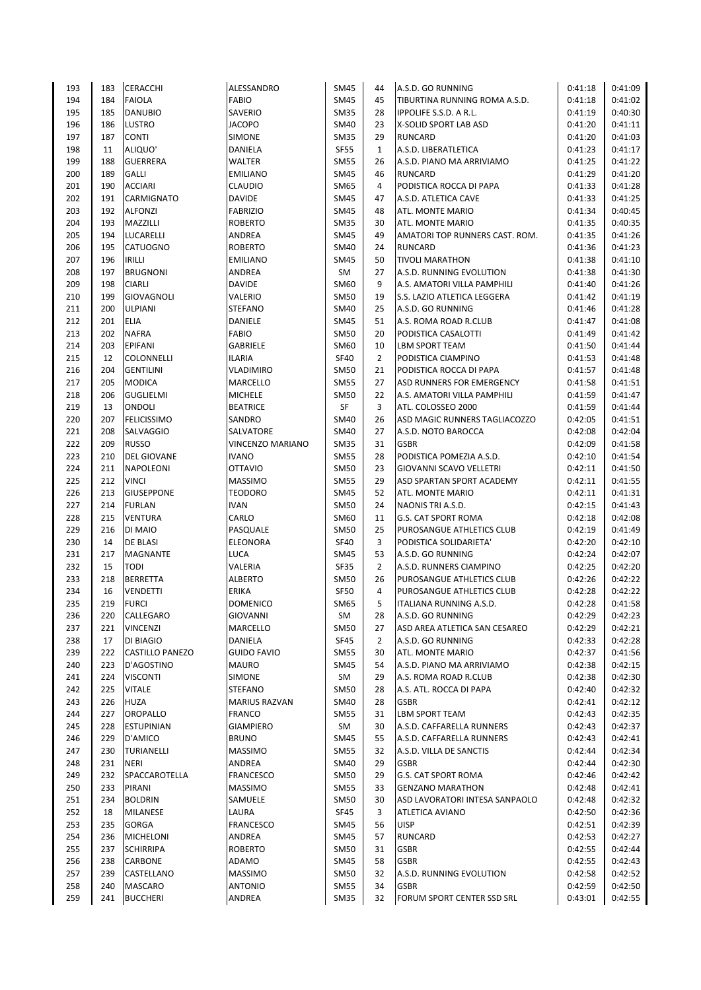| 193 | 183 | CERACCHI           | ALESSANDRO           | <b>SM45</b>         | 44             | A.S.D. GO RUNNING              | 0:41:18            | 0:41:09 |
|-----|-----|--------------------|----------------------|---------------------|----------------|--------------------------------|--------------------|---------|
| 194 | 184 | <b>FAIOLA</b>      | <b>FABIO</b>         | <b>SM45</b>         | 45             | TIBURTINA RUNNING ROMA A.S.D.  | 0:41:18            | 0:41:02 |
| 195 | 185 | <b>DANUBIO</b>     | SAVERIO              | <b>SM35</b>         | 28             | <b>IPPOLIFE S.S.D. A R.L.</b>  | 0:41:19            | 0:40:30 |
| 196 | 186 | <b>LUSTRO</b>      | <b>JACOPO</b>        | <b>SM40</b>         | 23             | X-SOLID SPORT LAB ASD          | 0:41:20            | 0:41:11 |
| 197 | 187 | <b>CONTI</b>       | SIMONE               | <b>SM35</b>         | 29             | <b>RUNCARD</b>                 | 0:41:20            | 0:41:03 |
| 198 | 11  | ALIQUO'            | DANIELA              | SF55                | $\mathbf{1}$   | A.S.D. LIBERATLETICA           | 0:41:23            | 0:41:17 |
| 199 | 188 | <b>GUERRERA</b>    | WALTER               | <b>SM55</b>         | 26             | A.S.D. PIANO MA ARRIVIAMO      | 0:41:25            | 0:41:22 |
| 200 | 189 | <b>GALLI</b>       | <b>EMILIANO</b>      | <b>SM45</b>         | 46             | <b>RUNCARD</b>                 | 0:41:29            | 0:41:20 |
| 201 | 190 | <b>ACCIARI</b>     | <b>CLAUDIO</b>       | SM65                | 4              | PODISTICA ROCCA DI PAPA        | 0:41:33            | 0:41:28 |
| 202 | 191 | CARMIGNATO         | <b>DAVIDE</b>        | <b>SM45</b>         | 47             | A.S.D. ATLETICA CAVE           | 0:41:33            | 0:41:25 |
| 203 | 192 | <b>ALFONZI</b>     | <b>FABRIZIO</b>      | SM45                | 48             | ATL. MONTE MARIO               | 0:41:34            | 0:40:45 |
| 204 | 193 | MAZZILLI           | <b>ROBERTO</b>       | <b>SM35</b>         | 30             | ATL. MONTE MARIO               | 0:41:35            | 0:40:35 |
| 205 | 194 | LUCARELLI          | ANDREA               | <b>SM45</b>         | 49             | AMATORI TOP RUNNERS CAST. ROM. | 0:41:35            | 0:41:26 |
| 206 | 195 | CATUOGNO           | <b>ROBERTO</b>       | SM40                | 24             | <b>RUNCARD</b>                 | 0:41:36            | 0:41:23 |
| 207 | 196 | <b>IRILLI</b>      | <b>EMILIANO</b>      | SM45                | 50             | <b>TIVOLI MARATHON</b>         | 0:41:38            | 0:41:10 |
| 208 | 197 | <b>BRUGNONI</b>    | ANDREA               | SM                  | 27             | A.S.D. RUNNING EVOLUTION       | 0:41:38            | 0:41:30 |
| 209 | 198 | <b>CIARLI</b>      | <b>DAVIDE</b>        | SM60                | 9              | A.S. AMATORI VILLA PAMPHILI    | 0:41:40            | 0:41:26 |
| 210 | 199 | <b>GIOVAGNOLI</b>  | VALERIO              | <b>SM50</b>         | 19             | S.S. LAZIO ATLETICA LEGGERA    | 0:41:42            | 0:41:19 |
| 211 | 200 | <b>ULPIANI</b>     | <b>STEFANO</b>       | SM40                | 25             | A.S.D. GO RUNNING              | 0:41:46            | 0:41:28 |
| 212 | 201 | <b>ELIA</b>        | DANIELE              | <b>SM45</b>         | 51             | A.S. ROMA ROAD R.CLUB          | 0:41:47            | 0:41:08 |
| 213 | 202 | <b>NAFRA</b>       | <b>FABIO</b>         | <b>SM50</b>         | 20             | PODISTICA CASALOTTI            | 0:41:49            | 0:41:42 |
| 214 | 203 | EPIFANI            | <b>GABRIELE</b>      | SM60                | 10             | <b>LBM SPORT TEAM</b>          | 0:41:50            | 0:41:44 |
| 215 | 12  | COLONNELLI         | <b>ILARIA</b>        | <b>SF40</b>         | $\overline{2}$ | PODISTICA CIAMPINO             | 0:41:53            | 0:41:48 |
| 216 | 204 | <b>GENTILINI</b>   | <b>VLADIMIRO</b>     | <b>SM50</b>         | 21             | PODISTICA ROCCA DI PAPA        | 0:41:57            | 0:41:48 |
| 217 | 205 | <b>MODICA</b>      | MARCELLO             | <b>SM55</b>         | 27             | ASD RUNNERS FOR EMERGENCY      | 0:41:58            | 0:41:51 |
| 218 | 206 | <b>GUGLIELMI</b>   | <b>MICHELE</b>       | SM50                | 22             | A.S. AMATORI VILLA PAMPHILI    | 0:41:59            | 0:41:47 |
| 219 | 13  | ONDOLI             | <b>BEATRICE</b>      | SF                  | 3              | ATL. COLOSSEO 2000             | 0:41:59            | 0:41:44 |
| 220 | 207 | <b>FELICISSIMO</b> | SANDRO               | <b>SM40</b>         | 26             | ASD MAGIC RUNNERS TAGLIACOZZO  | 0:42:05            | 0:41:51 |
| 221 | 208 | SALVAGGIO          | SALVATORE            |                     | 27             | A.S.D. NOTO BAROCCA            | 0:42:08            | 0:42:04 |
| 222 | 209 | <b>RUSSO</b>       | VINCENZO MARIANO     | SM40<br><b>SM35</b> | 31             | <b>GSBR</b>                    | 0:42:09            | 0:41:58 |
| 223 | 210 | <b>DEL GIOVANE</b> | <b>IVANO</b>         | <b>SM55</b>         | 28             | PODISTICA POMEZIA A.S.D.       | 0:42:10            | 0:41:54 |
| 224 | 211 | NAPOLEONI          | <b>OTTAVIO</b>       | <b>SM50</b>         | 23             | <b>GIOVANNI SCAVO VELLETRI</b> | 0:42:11            | 0:41:50 |
|     | 212 | <b>VINCI</b>       |                      |                     | 29             |                                | 0:42:11            | 0:41:55 |
| 225 |     |                    | <b>MASSIMO</b>       | <b>SM55</b>         | 52             | ASD SPARTAN SPORT ACADEMY      |                    |         |
| 226 | 213 | <b>GIUSEPPONE</b>  | <b>TEODORO</b>       | <b>SM45</b>         |                | ATL. MONTE MARIO               | 0:42:11            | 0:41:31 |
| 227 | 214 | <b>FURLAN</b>      | <b>IVAN</b>          | <b>SM50</b>         | 24             | NAONIS TRI A.S.D.              | 0:42:15            | 0:41:43 |
| 228 | 215 | <b>VENTURA</b>     | CARLO                | SM60                | 11             | G.S. CAT SPORT ROMA            | 0:42:18            | 0:42:08 |
| 229 | 216 | DI MAIO            | PASQUALE             | <b>SM50</b>         | 25             | PUROSANGUE ATHLETICS CLUB      | 0:42:19            | 0:41:49 |
| 230 | 14  | <b>DE BLASI</b>    | <b>ELEONORA</b>      | <b>SF40</b>         | 3              | PODISTICA SOLIDARIETA'         | 0:42:20            | 0:42:10 |
| 231 | 217 | <b>MAGNANTE</b>    | <b>LUCA</b>          | <b>SM45</b>         | 53             | A.S.D. GO RUNNING              | 0:42:24<br>0:42:25 | 0:42:07 |
| 232 | 15  | <b>TODI</b>        | VALERIA              | SF35                | $\overline{2}$ | A.S.D. RUNNERS CIAMPINO        |                    | 0:42:20 |
| 233 | 218 | <b>BERRETTA</b>    | <b>ALBERTO</b>       | <b>SM50</b>         | 26             | PUROSANGUE ATHLETICS CLUB      | 0:42:26            | 0:42:22 |
| 234 | 16  | <b>VENDETTI</b>    | <b>ERIKA</b>         | SF50                | 4              | PUROSANGUE ATHLETICS CLUB      | 0:42:28            | 0:42:22 |
| 235 | 219 | <b>FURCI</b>       | <b>DOMENICO</b>      | SM65                | 5              | ITALIANA RUNNING A.S.D.        | 0:42:28            | 0:41:58 |
| 236 | 220 | CALLEGARO          | <b>GIOVANNI</b>      | SM                  | 28             | A.S.D. GO RUNNING              | 0:42:29            | 0:42:23 |
| 237 | 221 | <b>VINCENZI</b>    | MARCELLO             | <b>SM50</b>         | 27             | ASD AREA ATLETICA SAN CESAREO  | 0:42:29            | 0:42:21 |
| 238 | 17  | DI BIAGIO          | DANIELA              | SF45                | $\overline{2}$ | A.S.D. GO RUNNING              | 0:42:33            | 0:42:28 |
| 239 | 222 | CASTILLO PANEZO    | <b>GUIDO FAVIO</b>   | <b>SM55</b>         | 30             | ATL. MONTE MARIO               | 0:42:37            | 0:41:56 |
| 240 | 223 | D'AGOSTINO         | <b>MAURO</b>         | SM45                | 54             | A.S.D. PIANO MA ARRIVIAMO      | 0:42:38            | 0:42:15 |
| 241 | 224 | <b>VISCONTI</b>    | SIMONE               | SM                  | 29             | A.S. ROMA ROAD R.CLUB          | 0:42:38            | 0:42:30 |
| 242 | 225 | <b>VITALE</b>      | <b>STEFANO</b>       | <b>SM50</b>         | 28             | A.S. ATL. ROCCA DI PAPA        | 0:42:40            | 0:42:32 |
| 243 | 226 | HUZA               | <b>MARIUS RAZVAN</b> | <b>SM40</b>         | 28             | <b>GSBR</b>                    | 0:42:41            | 0:42:12 |
| 244 | 227 | OROPALLO           | <b>FRANCO</b>        | <b>SM55</b>         | 31             | <b>LBM SPORT TEAM</b>          | 0:42:43            | 0:42:35 |
| 245 | 228 | <b>ESTUPINIAN</b>  | <b>GIAMPIERO</b>     | SM                  | 30             | A.S.D. CAFFARELLA RUNNERS      | 0:42:43            | 0:42:37 |
| 246 | 229 | D'AMICO            | <b>BRUNO</b>         | SM45                | 55             | A.S.D. CAFFARELLA RUNNERS      | 0:42:43            | 0:42:41 |
| 247 | 230 | TURIANELLI         | <b>MASSIMO</b>       | <b>SM55</b>         | 32             | A.S.D. VILLA DE SANCTIS        | 0:42:44            | 0:42:34 |
| 248 | 231 | <b>NERI</b>        | ANDREA               | SM40                | 29             | <b>GSBR</b>                    | 0:42:44            | 0:42:30 |
| 249 | 232 | SPACCAROTELLA      | FRANCESCO            | <b>SM50</b>         | 29             | G.S. CAT SPORT ROMA            | 0:42:46            | 0:42:42 |
| 250 | 233 | PIRANI             | <b>MASSIMO</b>       | <b>SM55</b>         | 33             | <b>GENZANO MARATHON</b>        | 0:42:48            | 0:42:41 |
| 251 | 234 | <b>BOLDRIN</b>     | SAMUELE              | <b>SM50</b>         | 30             | ASD LAVORATORI INTESA SANPAOLO | 0:42:48            | 0:42:32 |
| 252 | 18  | MILANESE           | LAURA                | <b>SF45</b>         | 3              | <b>ATLETICA AVIANO</b>         | 0:42:50            | 0:42:36 |
| 253 | 235 | <b>GORGA</b>       | <b>FRANCESCO</b>     | <b>SM45</b>         | 56             | <b>UISP</b>                    | 0:42:51            | 0:42:39 |
| 254 | 236 | <b>MICHELONI</b>   | ANDREA               | <b>SM45</b>         | 57             | <b>RUNCARD</b>                 | 0:42:53            | 0:42:27 |
| 255 | 237 | <b>SCHIRRIPA</b>   | <b>ROBERTO</b>       | <b>SM50</b>         | 31             | <b>GSBR</b>                    | 0:42:55            | 0:42:44 |
| 256 | 238 | CARBONE            | ADAMO                | SM45                | 58             | <b>GSBR</b>                    | 0:42:55            | 0:42:43 |
| 257 | 239 | CASTELLANO         | <b>MASSIMO</b>       | <b>SM50</b>         | 32             | A.S.D. RUNNING EVOLUTION       | 0:42:58            | 0:42:52 |
| 258 | 240 | MASCARO            | <b>ANTONIO</b>       | <b>SM55</b>         | 34             | <b>GSBR</b>                    | 0:42:59            | 0:42:50 |
| 259 | 241 | <b>BUCCHERI</b>    | ANDREA               | <b>SM35</b>         | 32             | FORUM SPORT CENTER SSD SRL     | 0:43:01            | 0:42:55 |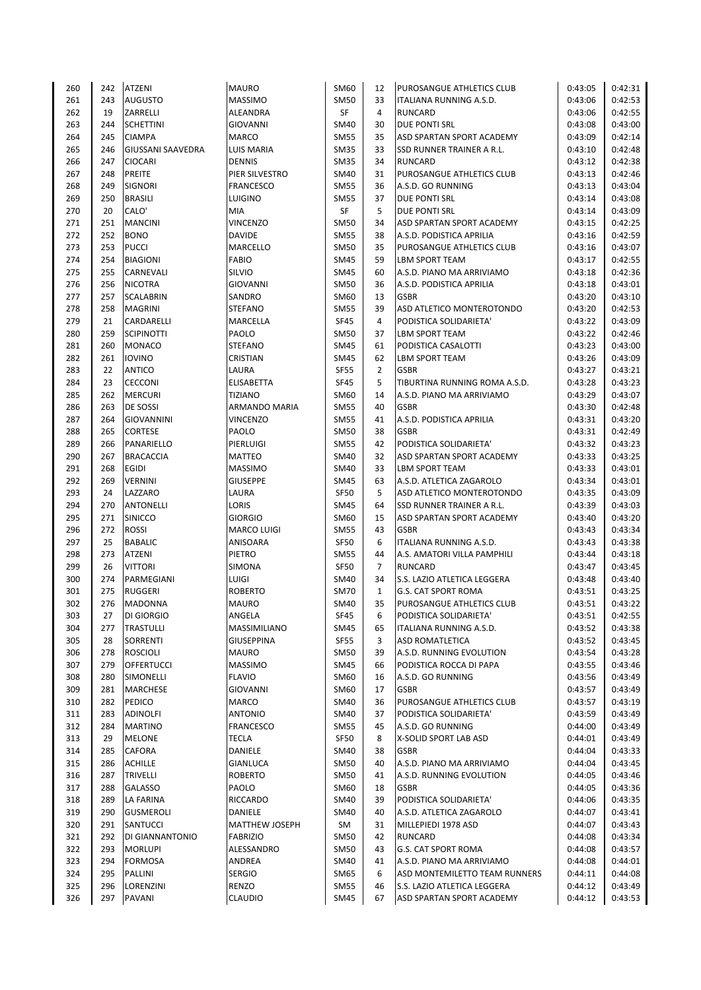| 260        | 242        | <b>ATZENI</b>                        | <b>MAURO</b>                     | SM60         | 12             | PUROSANGUE ATHLETICS CLUB                   | 0:43:05            | 0:42:31            |
|------------|------------|--------------------------------------|----------------------------------|--------------|----------------|---------------------------------------------|--------------------|--------------------|
| 261        | 243        | <b>AUGUSTO</b>                       | <b>MASSIMO</b>                   | <b>SM50</b>  | 33             | ITALIANA RUNNING A.S.D.                     | 0:43:06            | 0:42:53            |
| 262        | 19         | ZARRELLI                             | ALEANDRA                         | SF           | 4              | <b>RUNCARD</b>                              | 0:43:06            | 0:42:55            |
| 263        | 244        | <b>SCHETTINI</b>                     | <b>GIOVANNI</b>                  | SM40         | 30             | <b>DUE PONTI SRL</b>                        | 0:43:08            | 0:43:00            |
| 264        | 245        | <b>CIAMPA</b>                        | <b>MARCO</b>                     | <b>SM55</b>  | 35             | ASD SPARTAN SPORT ACADEMY                   | 0:43:09            | 0:42:14            |
| 265        | 246        | <b>GIUSSANI SAAVEDRA</b>             | LUIS MARIA                       | <b>SM35</b>  | 33             | SSD RUNNER TRAINER A R.L.                   | 0:43:10            | 0:42:48            |
| 266        | 247        | <b>CIOCARI</b>                       | <b>DENNIS</b>                    | <b>SM35</b>  | 34             | <b>RUNCARD</b>                              | 0:43:12            | 0:42:38            |
| 267        | 248        | PREITE                               | PIER SILVESTRO                   | <b>SM40</b>  | 31             | PUROSANGUE ATHLETICS CLUB                   | 0:43:13            | 0:42:46            |
| 268        | 249        | <b>SIGNORI</b>                       | <b>FRANCESCO</b>                 | <b>SM55</b>  | 36             | A.S.D. GO RUNNING                           | 0:43:13            | 0:43:04            |
| 269        | 250        | <b>BRASILI</b>                       | LUIGINO                          | <b>SM55</b>  | 37             | DUE PONTI SRL                               | 0:43:14            | 0:43:08            |
| 270        | 20         | CALO'                                | MIA                              | SF           | 5              | DUE PONTI SRL                               | 0:43:14            | 0:43:09            |
| 271        | 251        | <b>MANCINI</b>                       | <b>VINCENZO</b>                  | <b>SM50</b>  | 34             | ASD SPARTAN SPORT ACADEMY                   | 0:43:15            | 0:42:25            |
| 272        | 252        | <b>BONO</b>                          | <b>DAVIDE</b>                    | <b>SM55</b>  | 38             | A.S.D. PODISTICA APRILIA                    | 0:43:16            | 0:42:59            |
| 273        | 253        | <b>PUCCI</b>                         | <b>MARCELLO</b>                  | <b>SM50</b>  | 35             | PUROSANGUE ATHLETICS CLUB                   | 0:43:16            | 0:43:07            |
| 274        | 254        | <b>BIAGIONI</b>                      | FABIO                            | <b>SM45</b>  | 59             | <b>LBM SPORT TEAM</b>                       | 0:43:17            | 0:42:55            |
| 275        | 255        | CARNEVALI                            | SILVIO                           | <b>SM45</b>  | 60             | A.S.D. PIANO MA ARRIVIAMO                   | 0:43:18            | 0:42:36            |
| 276        | 256        | <b>NICOTRA</b>                       | <b>GIOVANNI</b>                  | <b>SM50</b>  | 36             | A.S.D. PODISTICA APRILIA                    | 0:43:18            | 0:43:01            |
| 277        | 257        | <b>SCALABRIN</b>                     | SANDRO                           | SM60         | 13             | <b>GSBR</b>                                 | 0:43:20            | 0:43:10            |
| 278        | 258        | <b>MAGRINI</b>                       | <b>STEFANO</b>                   | <b>SM55</b>  | 39             | ASD ATLETICO MONTEROTONDO                   | 0:43:20            | 0:42:53            |
| 279        | 21         | CARDARELLI                           | <b>MARCELLA</b>                  | <b>SF45</b>  | 4              | PODISTICA SOLIDARIETA'                      | 0:43:22            | 0:43:09            |
| 280        | 259        | <b>SCIPINOTTI</b>                    | PAOLO                            | <b>SM50</b>  | 37             | <b>LBM SPORT TEAM</b>                       | 0:43:22            | 0:42:46            |
| 281        | 260        | <b>MONACO</b>                        | <b>STEFANO</b>                   | <b>SM45</b>  | 61             | PODISTICA CASALOTTI                         | 0:43:23            | 0:43:00            |
| 282        | 261        | <b>IOVINO</b>                        | <b>CRISTIAN</b>                  | <b>SM45</b>  | 62             | <b>LBM SPORT TEAM</b>                       | 0:43:26            | 0:43:09            |
| 283        | 22         | <b>ANTICO</b>                        | LAURA                            | <b>SF55</b>  | $\overline{2}$ | <b>GSBR</b>                                 | 0:43:27            | 0:43:21            |
| 284        | 23         | <b>CECCONI</b>                       | <b>ELISABETTA</b>                | <b>SF45</b>  | 5              | TIBURTINA RUNNING ROMA A.S.D.               | 0:43:28            | 0:43:23            |
| 285        | 262        | <b>MERCURI</b>                       | <b>TIZIANO</b>                   | SM60         | 14             | A.S.D. PIANO MA ARRIVIAMO                   | 0:43:29            | 0:43:07            |
| 286        | 263        | DE SOSSI                             | <b>ARMANDO MARIA</b>             | <b>SM55</b>  | 40             | <b>GSBR</b>                                 | 0:43:30            | 0:42:48            |
| 287        | 264        | <b>GIOVANNINI</b>                    | <b>VINCENZO</b>                  | <b>SM55</b>  | 41             | A.S.D. PODISTICA APRILIA                    | 0:43:31            | 0:43:20            |
| 288        | 265        | <b>CORTESE</b>                       | PAOLO                            | <b>SM50</b>  | 38             | <b>GSBR</b>                                 | 0:43:31            | 0:42:49            |
| 289        | 266        | PANARIELLO                           | PIERLUIGI                        | <b>SM55</b>  | 42             | PODISTICA SOLIDARIETA'                      | 0:43:32            | 0:43:23            |
| 290        | 267        | <b>BRACACCIA</b>                     | MATTEO                           | <b>SM40</b>  | 32             | ASD SPARTAN SPORT ACADEMY                   | 0:43:33            | 0:43:25            |
| 291        | 268        | <b>EGIDI</b>                         | <b>MASSIMO</b>                   | <b>SM40</b>  | 33             | <b>LBM SPORT TEAM</b>                       | 0:43:33            | 0:43:01            |
| 292        | 269        | <b>VERNINI</b>                       | <b>GIUSEPPE</b>                  | <b>SM45</b>  | 63             | A.S.D. ATLETICA ZAGAROLO                    | 0:43:34            | 0:43:01            |
| 293        | 24         | LAZZARO                              | LAURA                            | <b>SF50</b>  | 5              | ASD ATLETICO MONTEROTONDO                   | 0:43:35            | 0:43:09            |
| 294        | 270        | <b>ANTONELLI</b>                     | LORIS                            | <b>SM45</b>  | 64             | <b>SSD RUNNER TRAINER A R.L.</b>            | 0:43:39            | 0:43:03            |
| 295        | 271        | SINICCO                              | <b>GIORGIO</b>                   | SM60         | 15             | ASD SPARTAN SPORT ACADEMY                   | 0:43:40            | 0:43:20            |
| 296        | 272        | <b>ROSSI</b>                         | <b>MARCO LUIGI</b>               | <b>SM55</b>  | 43             | <b>GSBR</b>                                 | 0:43:43            | 0:43:34            |
| 297        | 25         | <b>BABALIC</b>                       | ANISOARA                         | <b>SF50</b>  | 6              | ITALIANA RUNNING A.S.D.                     | 0:43:43            | 0:43:38            |
| 298        | 273        | <b>ATZENI</b>                        | PIETRO                           | <b>SM55</b>  | 44             | A.S. AMATORI VILLA PAMPHILI                 | 0:43:44            | 0:43:18            |
| 299        | 26         | <b>VITTORI</b>                       | SIMONA                           | <b>SF50</b>  | $\overline{7}$ | <b>RUNCARD</b>                              | 0:43:47            | 0:43:45            |
| 300        | 274        | PARMEGIANI                           | LUIGI                            | <b>SM40</b>  | 34             | S.S. LAZIO ATLETICA LEGGERA                 | 0:43:48            | 0:43:40            |
| 301        | 275        | <b>RUGGERI</b>                       | <b>ROBERTO</b>                   | <b>SM70</b>  | $\mathbf{1}$   | <b>G.S. CAT SPORT ROMA</b>                  | 0:43:51            | 0:43:25            |
| 302        | 276        | <b>MADONNA</b>                       | <b>MAURO</b>                     | SM40         | 35             | PUROSANGUE ATHLETICS CLUB                   | 0:43:51            | 0:43:22            |
| 303        | 27         | DI GIORGIO                           | ANGELA                           | <b>SF45</b>  | 6              | PODISTICA SOLIDARIETA'                      | 0:43:51            | 0:42:55            |
| 304        | 277        | <b>TRASTULLI</b>                     | <b>MASSIMILIANO</b>              | <b>SM45</b>  | 65             | <b>ITALIANA RUNNING A.S.D.</b>              | 0:43:52            | 0:43:38            |
|            | 28         |                                      | <b>GIUSEPPINA</b>                | <b>SF55</b>  |                |                                             |                    |                    |
| 305        | 278        | SORRENTI                             | <b>MAURO</b>                     | <b>SM50</b>  | 3<br>39        | ASD ROMATLETICA<br>A.S.D. RUNNING EVOLUTION | 0:43:52<br>0:43:54 | 0:43:45<br>0:43:28 |
| 306        |            | <b>ROSCIOLI</b><br><b>OFFERTUCCI</b> | <b>MASSIMO</b>                   |              |                |                                             |                    | 0:43:46            |
| 307        | 279        |                                      |                                  | <b>SM45</b>  | 66             | PODISTICA ROCCA DI PAPA                     | 0:43:55            |                    |
| 308<br>309 | 280<br>281 | SIMONELLI<br><b>MARCHESE</b>         | <b>FLAVIO</b><br><b>GIOVANNI</b> | SM60<br>SM60 | 16<br>17       | A.S.D. GO RUNNING<br><b>GSBR</b>            | 0:43:56<br>0:43:57 | 0:43:49<br>0:43:49 |
|            |            | PEDICO                               |                                  |              |                |                                             |                    |                    |
| 310        | 282        |                                      | <b>MARCO</b>                     | SM40         | 36             | PUROSANGUE ATHLETICS CLUB                   | 0:43:57            | 0:43:19            |
| 311        | 283        | <b>ADINOLFI</b>                      | <b>ANTONIO</b>                   | SM40         | 37             | PODISTICA SOLIDARIETA'                      | 0:43:59            | 0:43:49            |
| 312        | 284        | <b>MARTINO</b>                       | <b>FRANCESCO</b>                 | <b>SM55</b>  | 45             | A.S.D. GO RUNNING                           | 0:44:00            | 0:43:49            |
| 313        | 29         | <b>MELONE</b>                        | <b>TECLA</b>                     | <b>SF50</b>  | 8              | X-SOLID SPORT LAB ASD                       | 0:44:01            | 0:43:49            |
| 314        | 285        | <b>CAFORA</b>                        | DANIELE                          | SM40         | 38             | <b>GSBR</b>                                 | 0:44:04            | 0:43:33            |
| 315        | 286        | ACHILLE                              | GIANLUCA                         | SM50         | 40             | A.S.D. PIANO MA ARRIVIAMO                   | 0:44:04            | 0:43:45            |
| 316        | 287        | <b>TRIVELLI</b>                      | ROBERTO                          | <b>SM50</b>  | 41             | A.S.D. RUNNING EVOLUTION                    | 0:44:05            | 0:43:46            |
| 317        | 288        | GALASSO                              | PAOLO                            | SM60         | 18             | <b>GSBR</b>                                 | 0:44:05            | 0:43:36            |
| 318        | 289        | LA FARINA                            | RICCARDO                         | SM40         | 39             | PODISTICA SOLIDARIETA'                      | 0:44:06            | 0:43:35            |
| 319        | 290        | <b>GUSMEROLI</b>                     | DANIELE                          | SM40         | 40             | A.S.D. ATLETICA ZAGAROLO                    | 0:44:07            | 0:43:41            |
| 320        | 291        | SANTUCCI                             | MATTHEW JOSEPH                   | SM           | 31             | MILLEPIEDI 1978 ASD                         | 0:44:07            | 0:43:43            |
| 321        | 292        | DI GIANNANTONIO                      | <b>FABRIZIO</b>                  | <b>SM50</b>  | 42             | <b>RUNCARD</b>                              | 0:44:08            | 0:43:34            |
| 322        | 293        | <b>MORLUPI</b>                       | ALESSANDRO                       | <b>SM50</b>  | 43             | <b>G.S. CAT SPORT ROMA</b>                  | 0:44:08            | 0:43:57            |
| 323        | 294        | <b>FORMOSA</b>                       | ANDREA                           | SM40         | 41             | A.S.D. PIANO MA ARRIVIAMO                   | 0:44:08            | 0:44:01            |
| 324        | 295        | PALLINI                              | <b>SERGIO</b>                    | SM65         | 6              | ASD MONTEMILETTO TEAM RUNNERS               | 0:44:11            | 0:44:08            |
| 325        | 296        | LORENZINI                            | RENZO                            | <b>SM55</b>  | 46             | <b>S.S. LAZIO ATLETICA LEGGERA</b>          | 0:44:12            | 0:43:49            |
| 326        | 297        | PAVANI                               | <b>CLAUDIO</b>                   | <b>SM45</b>  | 67             | ASD SPARTAN SPORT ACADEMY                   | 0:44:12            | 0:43:53            |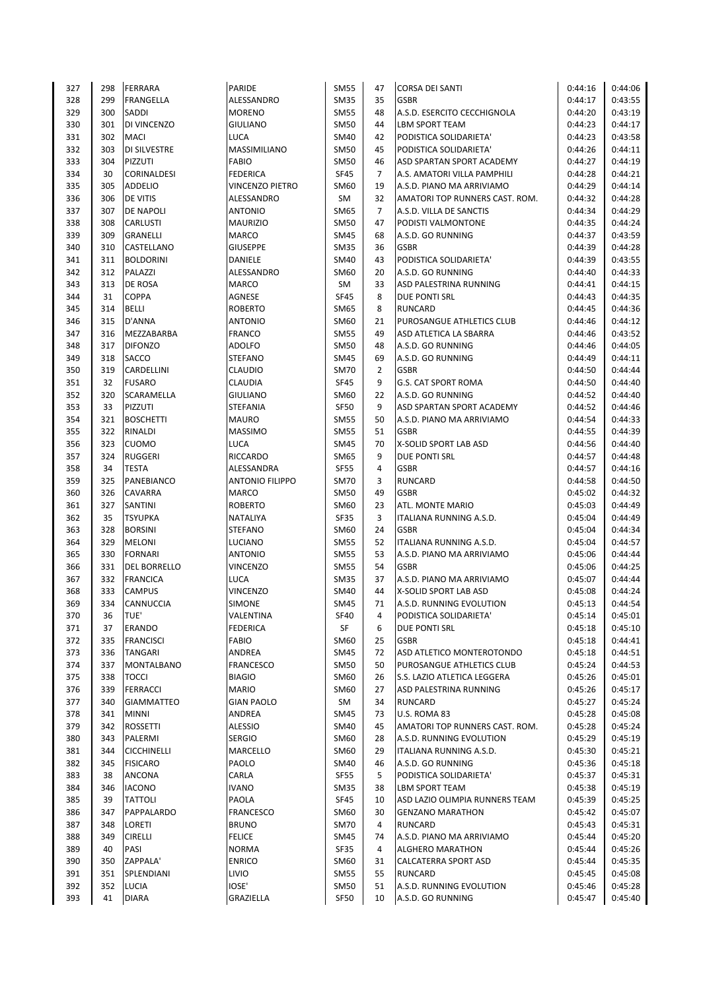| 327 | 298 | <b>FERRARA</b>      | PARIDE                 | <b>SM55</b> | 47             | <b>CORSA DEI SANTI</b>         | 0:44:16 | 0:44:06 |
|-----|-----|---------------------|------------------------|-------------|----------------|--------------------------------|---------|---------|
| 328 | 299 | <b>FRANGELLA</b>    | ALESSANDRO             | <b>SM35</b> | 35             | <b>GSBR</b>                    | 0:44:17 | 0:43:55 |
| 329 | 300 | <b>SADDI</b>        | <b>MORENO</b>          | <b>SM55</b> | 48             | A.S.D. ESERCITO CECCHIGNOLA    | 0:44:20 | 0:43:19 |
|     |     |                     |                        |             |                |                                |         |         |
| 330 | 301 | DI VINCENZO         | <b>GIULIANO</b>        | <b>SM50</b> | 44             | <b>LBM SPORT TEAM</b>          | 0:44:23 | 0:44:17 |
| 331 | 302 | <b>MACI</b>         | LUCA                   | SM40        | 42             | PODISTICA SOLIDARIETA'         | 0:44:23 | 0:43:58 |
| 332 | 303 | DI SILVESTRE        | <b>MASSIMILIANO</b>    | <b>SM50</b> | 45             | PODISTICA SOLIDARIETA'         | 0:44:26 | 0:44:11 |
| 333 | 304 | PIZZUTI             | <b>FABIO</b>           | <b>SM50</b> | 46             | ASD SPARTAN SPORT ACADEMY      | 0:44:27 | 0:44:19 |
| 334 | 30  | CORINALDESI         | <b>FEDERICA</b>        | <b>SF45</b> | $\overline{7}$ | A.S. AMATORI VILLA PAMPHILI    | 0:44:28 | 0:44:21 |
| 335 | 305 | <b>ADDELIO</b>      | <b>VINCENZO PIETRO</b> | SM60        | 19             | A.S.D. PIANO MA ARRIVIAMO      | 0:44:29 | 0:44:14 |
| 336 | 306 | DE VITIS            | ALESSANDRO             | SM          | 32             | AMATORI TOP RUNNERS CAST. ROM. | 0:44:32 | 0:44:28 |
| 337 | 307 | <b>DE NAPOLI</b>    | <b>ANTONIO</b>         | <b>SM65</b> | 7              | A.S.D. VILLA DE SANCTIS        | 0:44:34 | 0:44:29 |
|     |     |                     |                        |             |                |                                |         |         |
| 338 | 308 | <b>CARLUSTI</b>     | <b>MAURIZIO</b>        | <b>SM50</b> | 47             | PODISTI VALMONTONE             | 0:44:35 | 0:44:24 |
| 339 | 309 | <b>GRANELLI</b>     | <b>MARCO</b>           | <b>SM45</b> | 68             | A.S.D. GO RUNNING              | 0:44:37 | 0:43:59 |
| 340 | 310 | CASTELLANO          | <b>GIUSEPPE</b>        | <b>SM35</b> | 36             | <b>GSBR</b>                    | 0:44:39 | 0:44:28 |
| 341 | 311 | <b>BOLDORINI</b>    | DANIELE                | SM40        | 43             | PODISTICA SOLIDARIETA'         | 0:44:39 | 0:43:55 |
| 342 | 312 | PALAZZI             | ALESSANDRO             | SM60        | 20             | A.S.D. GO RUNNING              | 0:44:40 | 0:44:33 |
| 343 | 313 | DE ROSA             | <b>MARCO</b>           | SM          | 33             | ASD PALESTRINA RUNNING         | 0:44:41 | 0:44:15 |
| 344 | 31  | <b>COPPA</b>        | AGNESE                 | <b>SF45</b> | 8              | DUE PONTI SRL                  | 0:44:43 | 0:44:35 |
|     |     |                     |                        |             |                |                                |         |         |
| 345 | 314 | <b>BELLI</b>        | <b>ROBERTO</b>         | SM65        | 8              | <b>RUNCARD</b>                 | 0:44:45 | 0:44:36 |
| 346 | 315 | D'ANNA              | <b>ANTONIO</b>         | SM60        | 21             | PUROSANGUE ATHLETICS CLUB      | 0:44:46 | 0:44:12 |
| 347 | 316 | MEZZABARBA          | <b>FRANCO</b>          | <b>SM55</b> | 49             | ASD ATLETICA LA SBARRA         | 0:44:46 | 0:43:52 |
| 348 | 317 | <b>DIFONZO</b>      | <b>ADOLFO</b>          | <b>SM50</b> | 48             | A.S.D. GO RUNNING              | 0:44:46 | 0:44:05 |
| 349 | 318 | <b>SACCO</b>        | <b>STEFANO</b>         | <b>SM45</b> | 69             | A.S.D. GO RUNNING              | 0:44:49 | 0:44:11 |
| 350 | 319 | CARDELLINI          | <b>CLAUDIO</b>         | <b>SM70</b> | $\overline{2}$ | <b>GSBR</b>                    | 0:44:50 | 0:44:44 |
| 351 | 32  | <b>FUSARO</b>       | CLAUDIA                | <b>SF45</b> | 9              | <b>G.S. CAT SPORT ROMA</b>     | 0:44:50 | 0:44:40 |
| 352 | 320 | SCARAMELLA          | <b>GIULIANO</b>        | SM60        | 22             | A.S.D. GO RUNNING              | 0:44:52 | 0:44:40 |
|     |     |                     |                        |             |                |                                |         |         |
| 353 | 33  | PIZZUTI             | <b>STEFANIA</b>        | <b>SF50</b> | 9              | ASD SPARTAN SPORT ACADEMY      | 0:44:52 | 0:44:46 |
| 354 | 321 | <b>BOSCHETTI</b>    | <b>MAURO</b>           | <b>SM55</b> | 50             | A.S.D. PIANO MA ARRIVIAMO      | 0:44:54 | 0:44:33 |
| 355 | 322 | RINALDI             | <b>MASSIMO</b>         | <b>SM55</b> | 51             | <b>GSBR</b>                    | 0:44:55 | 0:44:39 |
| 356 | 323 | <b>CUOMO</b>        | LUCA                   | <b>SM45</b> | 70             | X-SOLID SPORT LAB ASD          | 0:44:56 | 0:44:40 |
| 357 | 324 | <b>RUGGERI</b>      | <b>RICCARDO</b>        | SM65        | 9              | <b>DUE PONTI SRL</b>           | 0:44:57 | 0:44:48 |
| 358 | 34  | <b>TESTA</b>        | ALESSANDRA             | <b>SF55</b> | 4              | <b>GSBR</b>                    | 0:44:57 | 0:44:16 |
| 359 | 325 | PANEBIANCO          | <b>ANTONIO FILIPPO</b> | <b>SM70</b> | 3              | <b>RUNCARD</b>                 | 0:44:58 | 0:44:50 |
| 360 | 326 | CAVARRA             | <b>MARCO</b>           | <b>SM50</b> | 49             | <b>GSBR</b>                    | 0:45:02 | 0:44:32 |
|     |     |                     |                        |             |                |                                |         |         |
| 361 | 327 | SANTINI             | <b>ROBERTO</b>         | SM60        | 23             | ATL. MONTE MARIO               | 0:45:03 | 0:44:49 |
| 362 | 35  | <b>TSYUPKA</b>      | NATALIYA               | SF35        | 3              | ITALIANA RUNNING A.S.D.        | 0:45:04 | 0:44:49 |
| 363 | 328 | <b>BORSINI</b>      | <b>STEFANO</b>         | SM60        | 24             | <b>GSBR</b>                    | 0:45:04 | 0:44:34 |
| 364 | 329 | <b>MELONI</b>       | <b>LUCIANO</b>         | <b>SM55</b> | 52             | ITALIANA RUNNING A.S.D.        | 0:45:04 | 0:44:57 |
| 365 | 330 | <b>FORNARI</b>      | <b>ANTONIO</b>         | <b>SM55</b> | 53             | A.S.D. PIANO MA ARRIVIAMO      | 0:45:06 | 0:44:44 |
| 366 | 331 | <b>DEL BORRELLO</b> | <b>VINCENZO</b>        | <b>SM55</b> | 54             | <b>GSBR</b>                    | 0:45:06 | 0:44:25 |
| 367 | 332 | <b>FRANCICA</b>     | LUCA                   | <b>SM35</b> | 37             | A.S.D. PIANO MA ARRIVIAMO      | 0:45:07 | 0:44:44 |
| 368 | 333 | <b>CAMPUS</b>       | <b>VINCENZO</b>        | SM40        | 44             | X-SOLID SPORT LAB ASD          | 0:45:08 | 0:44:24 |
| 369 |     |                     |                        |             | 71             |                                |         |         |
|     | 334 | <b>CANNUCCIA</b>    | SIMONE                 | <b>SM45</b> |                | A.S.D. RUNNING EVOLUTION       | 0:45:13 | 0:44:54 |
| 370 | 36  | TUE'                | VALENTINA              | <b>SF40</b> | 4              | PODISTICA SOLIDARIETA'         | 0:45:14 | 0:45:01 |
| 371 | 37  | ERANDO              | <b>FEDERICA</b>        | SF          | 6              | <b>DUE PONTI SRL</b>           | 0:45:18 | 0:45:10 |
| 372 | 335 | <b>FRANCISCI</b>    | <b>FABIO</b>           | SM60        | 25             | <b>GSBR</b>                    | 0:45:18 | 0:44:41 |
| 373 | 336 | <b>TANGARI</b>      | ANDREA                 | <b>SM45</b> | 72             | ASD ATLETICO MONTEROTONDO      | 0:45:18 | 0:44:51 |
| 374 | 337 | MONTALBANO          | <b>FRANCESCO</b>       | <b>SM50</b> | 50             | PUROSANGUE ATHLETICS CLUB      | 0:45:24 | 0:44:53 |
| 375 | 338 | <b>TOCCI</b>        | <b>BIAGIO</b>          | SM60        | 26             | S.S. LAZIO ATLETICA LEGGERA    | 0:45:26 | 0:45:01 |
| 376 | 339 | <b>FERRACCI</b>     | <b>MARIO</b>           | SM60        | 27             | ASD PALESTRINA RUNNING         | 0:45:26 | 0:45:17 |
|     |     |                     |                        |             |                |                                |         |         |
| 377 | 340 | <b>GIAMMATTEO</b>   | <b>GIAN PAOLO</b>      | SM          | 34             | <b>RUNCARD</b>                 | 0:45:27 | 0:45:24 |
| 378 | 341 | <b>MINNI</b>        | ANDREA                 | <b>SM45</b> | 73             | U.S. ROMA 83                   | 0:45:28 | 0:45:08 |
| 379 | 342 | <b>ROSSETTI</b>     | <b>ALESSIO</b>         | <b>SM40</b> | 45             | AMATORI TOP RUNNERS CAST. ROM. | 0:45:28 | 0:45:24 |
| 380 | 343 | PALERMI             | <b>SERGIO</b>          | SM60        | 28             | A.S.D. RUNNING EVOLUTION       | 0:45:29 | 0:45:19 |
| 381 | 344 | <b>CICCHINELLI</b>  | MARCELLO               | SM60        | 29             | ITALIANA RUNNING A.S.D.        | 0:45:30 | 0:45:21 |
| 382 | 345 | <b>FISICARO</b>     | PAOLO                  | SM40        | 46             | A.S.D. GO RUNNING              | 0:45:36 | 0:45:18 |
| 383 | 38  | <b>ANCONA</b>       | CARLA                  | <b>SF55</b> | 5              | PODISTICA SOLIDARIETA'         | 0:45:37 | 0:45:31 |
| 384 | 346 | <b>IACONO</b>       | <b>IVANO</b>           | <b>SM35</b> | 38             | <b>LBM SPORT TEAM</b>          | 0:45:38 | 0:45:19 |
|     |     |                     |                        |             |                |                                |         |         |
| 385 | 39  | <b>TATTOLI</b>      | PAOLA                  | <b>SF45</b> | 10             | ASD LAZIO OLIMPIA RUNNERS TEAM | 0:45:39 | 0:45:25 |
| 386 | 347 | PAPPALARDO          | <b>FRANCESCO</b>       | SM60        | 30             | <b>GENZANO MARATHON</b>        | 0:45:42 | 0:45:07 |
| 387 | 348 | <b>LORETI</b>       | <b>BRUNO</b>           | <b>SM70</b> | 4              | <b>RUNCARD</b>                 | 0:45:43 | 0:45:31 |
| 388 | 349 | <b>CIRELLI</b>      | <b>FELICE</b>          | <b>SM45</b> | 74             | A.S.D. PIANO MA ARRIVIAMO      | 0:45:44 | 0:45:20 |
| 389 | 40  | PASI                | <b>NORMA</b>           | SF35        | 4              | <b>ALGHERO MARATHON</b>        | 0:45:44 | 0:45:26 |
| 390 | 350 | <b>ZAPPALA'</b>     | <b>ENRICO</b>          | SM60        | 31             | <b>CALCATERRA SPORT ASD</b>    | 0:45:44 | 0:45:35 |
| 391 | 351 | SPLENDIANI          | LIVIO                  | <b>SM55</b> | 55             | <b>RUNCARD</b>                 | 0:45:45 | 0:45:08 |
| 392 | 352 | <b>LUCIA</b>        | <b>IOSE'</b>           | <b>SM50</b> | 51             | A.S.D. RUNNING EVOLUTION       | 0:45:46 | 0:45:28 |
|     |     |                     |                        |             | 10             |                                |         |         |
| 393 | 41  | <b>DIARA</b>        | GRAZIELLA              | SF50        |                | A.S.D. GO RUNNING              | 0:45:47 | 0:45:40 |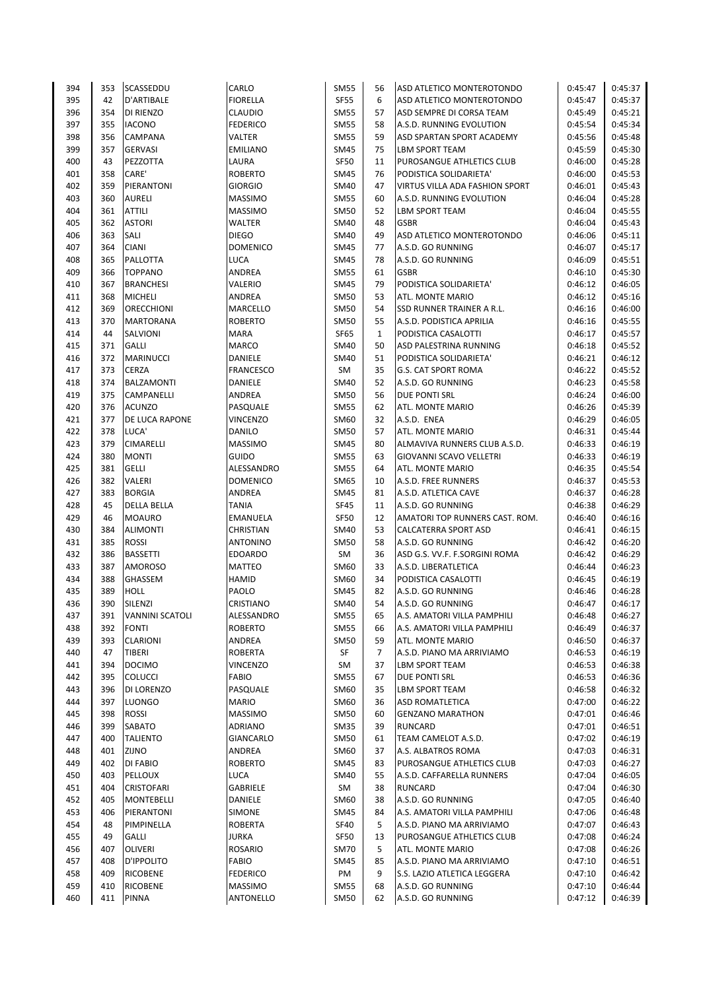| 394 | 353 | SCASSEDDU              | CARLO            | <b>SM55</b> | 56             | ASD ATLETICO MONTEROTONDO      | 0:45:47 | 0:45:37 |
|-----|-----|------------------------|------------------|-------------|----------------|--------------------------------|---------|---------|
| 395 | 42  | D'ARTIBALE             | <b>FIORELLA</b>  | <b>SF55</b> | 6              | ASD ATLETICO MONTEROTONDO      | 0:45:47 | 0:45:37 |
| 396 | 354 | DI RIENZO              | CLAUDIO          | <b>SM55</b> | 57             | ASD SEMPRE DI CORSA TEAM       | 0:45:49 | 0:45:21 |
| 397 | 355 | <b>IACONO</b>          | <b>FEDERICO</b>  | <b>SM55</b> | 58             | A.S.D. RUNNING EVOLUTION       | 0:45:54 | 0:45:34 |
| 398 | 356 | <b>CAMPANA</b>         | VALTER           | <b>SM55</b> | 59             | ASD SPARTAN SPORT ACADEMY      | 0:45:56 | 0:45:48 |
| 399 | 357 | <b>GERVASI</b>         | <b>EMILIANO</b>  | <b>SM45</b> | 75             | <b>LBM SPORT TEAM</b>          | 0:45:59 | 0:45:30 |
| 400 | 43  | PEZZOTTA               | LAURA            | SF50        | 11             | PUROSANGUE ATHLETICS CLUB      | 0:46:00 | 0:45:28 |
| 401 | 358 | CARE'                  | <b>ROBERTO</b>   | <b>SM45</b> | 76             | PODISTICA SOLIDARIETA'         | 0:46:00 | 0:45:53 |
| 402 | 359 | PIERANTONI             | <b>GIORGIO</b>   | SM40        | 47             | VIRTUS VILLA ADA FASHION SPORT | 0:46:01 | 0:45:43 |
| 403 | 360 | <b>AURELI</b>          | <b>MASSIMO</b>   | <b>SM55</b> | 60             | A.S.D. RUNNING EVOLUTION       | 0:46:04 | 0:45:28 |
| 404 | 361 | <b>ATTILI</b>          | <b>MASSIMO</b>   | <b>SM50</b> | 52             | <b>LBM SPORT TEAM</b>          | 0:46:04 | 0:45:55 |
| 405 | 362 | <b>ASTORI</b>          | WALTER           | <b>SM40</b> | 48             | <b>GSBR</b>                    | 0:46:04 | 0:45:43 |
| 406 | 363 | SALI                   | <b>DIEGO</b>     | SM40        | 49             | ASD ATLETICO MONTEROTONDO      | 0:46:06 | 0:45:11 |
| 407 | 364 | <b>CIANI</b>           | <b>DOMENICO</b>  | SM45        | 77             | A.S.D. GO RUNNING              | 0:46:07 | 0:45:17 |
| 408 | 365 | PALLOTTA               | LUCA             | SM45        | 78             | A.S.D. GO RUNNING              | 0:46:09 | 0:45:51 |
| 409 | 366 | <b>TOPPANO</b>         | ANDREA           | <b>SM55</b> | 61             | <b>GSBR</b>                    | 0:46:10 | 0:45:30 |
| 410 | 367 | <b>BRANCHESI</b>       | VALERIO          | <b>SM45</b> | 79             | PODISTICA SOLIDARIETA'         | 0:46:12 | 0:46:05 |
| 411 | 368 | <b>MICHELI</b>         | ANDREA           | <b>SM50</b> | 53             | ATL. MONTE MARIO               | 0:46:12 | 0:45:16 |
| 412 | 369 | <b>ORECCHIONI</b>      | MARCELLO         | <b>SM50</b> | 54             | SSD RUNNER TRAINER A R.L.      | 0:46:16 | 0:46:00 |
| 413 | 370 | <b>MARTORANA</b>       | <b>ROBERTO</b>   | <b>SM50</b> | 55             | A.S.D. PODISTICA APRILIA       | 0:46:16 | 0:45:55 |
| 414 | 44  | SALVIONI               | <b>MARA</b>      | SF65        | $\mathbf{1}$   | PODISTICA CASALOTTI            | 0:46:17 | 0:45:57 |
| 415 | 371 | <b>GALLI</b>           | <b>MARCO</b>     | SM40        | 50             | ASD PALESTRINA RUNNING         | 0:46:18 | 0:45:52 |
| 416 | 372 | MARINUCCI              | DANIELE          | SM40        | 51             | PODISTICA SOLIDARIETA'         | 0:46:21 | 0:46:12 |
| 417 | 373 | <b>CERZA</b>           | <b>FRANCESCO</b> | SM          | 35             | <b>G.S. CAT SPORT ROMA</b>     | 0:46:22 | 0:45:52 |
|     |     |                        |                  |             |                |                                |         |         |
| 418 | 374 | <b>BALZAMONTI</b>      | DANIELE          | SM40        | 52             | A.S.D. GO RUNNING              | 0:46:23 | 0:45:58 |
| 419 | 375 | CAMPANELLI             | <b>ANDREA</b>    | <b>SM50</b> | 56             | DUE PONTI SRL                  | 0:46:24 | 0:46:00 |
| 420 | 376 | <b>ACUNZO</b>          | PASQUALE         | <b>SM55</b> | 62             | ATL. MONTE MARIO               | 0:46:26 | 0:45:39 |
| 421 | 377 | DE LUCA RAPONE         | <b>VINCENZO</b>  | SM60        | 32             | A.S.D. ENEA                    | 0:46:29 | 0:46:05 |
| 422 | 378 | LUCA'                  | <b>DANILO</b>    | <b>SM50</b> | 57             | ATL. MONTE MARIO               | 0:46:31 | 0:45:44 |
| 423 | 379 | CIMARELLI              | <b>MASSIMO</b>   | SM45        | 80             | ALMAVIVA RUNNERS CLUB A.S.D.   | 0:46:33 | 0:46:19 |
| 424 | 380 | <b>MONTI</b>           | <b>GUIDO</b>     | <b>SM55</b> | 63             | <b>GIOVANNI SCAVO VELLETRI</b> | 0:46:33 | 0:46:19 |
| 425 | 381 | <b>GELLI</b>           | ALESSANDRO       | <b>SM55</b> | 64             | ATL. MONTE MARIO               | 0:46:35 | 0:45:54 |
| 426 | 382 | VALERI                 | <b>DOMENICO</b>  | SM65        | 10             | A.S.D. FREE RUNNERS            | 0:46:37 | 0:45:53 |
| 427 | 383 | <b>BORGIA</b>          | ANDREA           | SM45        | 81             | A.S.D. ATLETICA CAVE           | 0:46:37 | 0:46:28 |
| 428 | 45  | <b>DELLA BELLA</b>     | <b>TANIA</b>     | SF45        | 11             | A.S.D. GO RUNNING              | 0:46:38 | 0:46:29 |
| 429 | 46  | <b>MOAURO</b>          | EMANUELA         | <b>SF50</b> | 12             | AMATORI TOP RUNNERS CAST. ROM. | 0:46:40 | 0:46:16 |
| 430 | 384 | <b>ALIMONTI</b>        | CHRISTIAN        | SM40        | 53             | <b>CALCATERRA SPORT ASD</b>    | 0:46:41 | 0:46:15 |
| 431 | 385 | <b>ROSSI</b>           | ANTONINO         | <b>SM50</b> | 58             | A.S.D. GO RUNNING              | 0:46:42 | 0:46:20 |
| 432 | 386 | <b>BASSETTI</b>        | <b>EDOARDO</b>   | SM          | 36             | ASD G.S. VV.F. F.SORGINI ROMA  | 0:46:42 | 0:46:29 |
| 433 | 387 | <b>AMOROSO</b>         | <b>MATTEO</b>    | SM60        | 33             | A.S.D. LIBERATLETICA           | 0:46:44 | 0:46:23 |
| 434 | 388 | GHASSEM                | <b>HAMID</b>     | SM60        | 34             | PODISTICA CASALOTTI            | 0:46:45 | 0:46:19 |
| 435 | 389 | <b>HOLL</b>            | PAOLO            | SM45        | 82             | A.S.D. GO RUNNING              | 0:46:46 | 0:46:28 |
| 436 | 390 | SILENZI                | CRISTIANO        | SM40        | 54             | A.S.D. GO RUNNING              | 0:46:47 | 0:46:17 |
| 437 | 391 | <b>VANNINI SCATOLI</b> | ALESSANDRO       | SM55        | 65             | A.S. AMATORI VILLA PAMPHILI    | 0:46:48 | 0:46:27 |
| 438 | 392 | <b>FONTI</b>           | <b>ROBERTO</b>   | <b>SM55</b> | 66             | A.S. AMATORI VILLA PAMPHILI    | 0:46:49 | 0:46:37 |
| 439 | 393 | <b>CLARIONI</b>        | ANDREA           | <b>SM50</b> | 59             | ATL. MONTE MARIO               | 0:46:50 | 0:46:37 |
| 440 | 47  | <b>TIBERI</b>          | ROBERTA          | SF          | $\overline{7}$ | A.S.D. PIANO MA ARRIVIAMO      | 0:46:53 | 0:46:19 |
| 441 | 394 | <b>DOCIMO</b>          | <b>VINCENZO</b>  | SM          | 37             | LBM SPORT TEAM                 | 0:46:53 | 0:46:38 |
| 442 | 395 | <b>COLUCCI</b>         | <b>FABIO</b>     | <b>SM55</b> | 67             | DUE PONTI SRL                  | 0:46:53 | 0:46:36 |
| 443 | 396 | DI LORENZO             | PASQUALE         | SM60        | 35             | LBM SPORT TEAM                 | 0:46:58 | 0:46:32 |
|     |     |                        |                  |             |                |                                |         |         |
| 444 | 397 | <b>LUONGO</b>          | <b>MARIO</b>     | SM60        | 36             | ASD ROMATLETICA                | 0:47:00 | 0:46:22 |
| 445 | 398 | <b>ROSSI</b>           | <b>MASSIMO</b>   | <b>SM50</b> | 60             | <b>GENZANO MARATHON</b>        | 0:47:01 | 0:46:46 |
| 446 | 399 | SABATO                 | <b>ADRIANO</b>   | <b>SM35</b> | 39             | RUNCARD                        | 0:47:01 | 0:46:51 |
| 447 | 400 | <b>TALIENTO</b>        | GIANCARLO        | <b>SM50</b> | 61             | TEAM CAMELOT A.S.D.            | 0:47:02 | 0:46:19 |
| 448 | 401 | ZIJNO                  | ANDREA           | SM60        | 37             | A.S. ALBATROS ROMA             | 0:47:03 | 0:46:31 |
| 449 | 402 | DI FABIO               | <b>ROBERTO</b>   | SM45        | 83             | PUROSANGUE ATHLETICS CLUB      | 0:47:03 | 0:46:27 |
| 450 | 403 | PELLOUX                | LUCA             | SM40        | 55             | A.S.D. CAFFARELLA RUNNERS      | 0:47:04 | 0:46:05 |
| 451 | 404 | <b>CRISTOFARI</b>      | <b>GABRIELE</b>  | SM          | 38             | <b>RUNCARD</b>                 | 0:47:04 | 0:46:30 |
| 452 | 405 | <b>MONTEBELLI</b>      | DANIELE          | SM60        | 38             | A.S.D. GO RUNNING              | 0:47:05 | 0:46:40 |
| 453 | 406 | PIERANTONI             | <b>SIMONE</b>    | <b>SM45</b> | 84             | A.S. AMATORI VILLA PAMPHILI    | 0:47:06 | 0:46:48 |
| 454 | 48  | PIMPINELLA             | <b>ROBERTA</b>   | <b>SF40</b> | 5              | A.S.D. PIANO MA ARRIVIAMO      | 0:47:07 | 0:46:43 |
| 455 | 49  | <b>GALLI</b>           | JURKA            | SF50        | 13             | PUROSANGUE ATHLETICS CLUB      | 0:47:08 | 0:46:24 |
| 456 | 407 | OLIVERI                | <b>ROSARIO</b>   | <b>SM70</b> | 5              | ATL. MONTE MARIO               | 0:47:08 | 0:46:26 |
| 457 | 408 | D'IPPOLITO             | <b>FABIO</b>     | SM45        | 85             | A.S.D. PIANO MA ARRIVIAMO      | 0:47:10 | 0:46:51 |
| 458 | 409 | <b>RICOBENE</b>        | <b>FEDERICO</b>  | PM          | 9              | S.S. LAZIO ATLETICA LEGGERA    | 0:47:10 | 0:46:42 |
| 459 | 410 | <b>RICOBENE</b>        | <b>MASSIMO</b>   | <b>SM55</b> | 68             | A.S.D. GO RUNNING              | 0:47:10 | 0:46:44 |
| 460 | 411 | PINNA                  | ANTONELLO        | SM50        | 62             | A.S.D. GO RUNNING              | 0:47:12 | 0:46:39 |
|     |     |                        |                  |             |                |                                |         |         |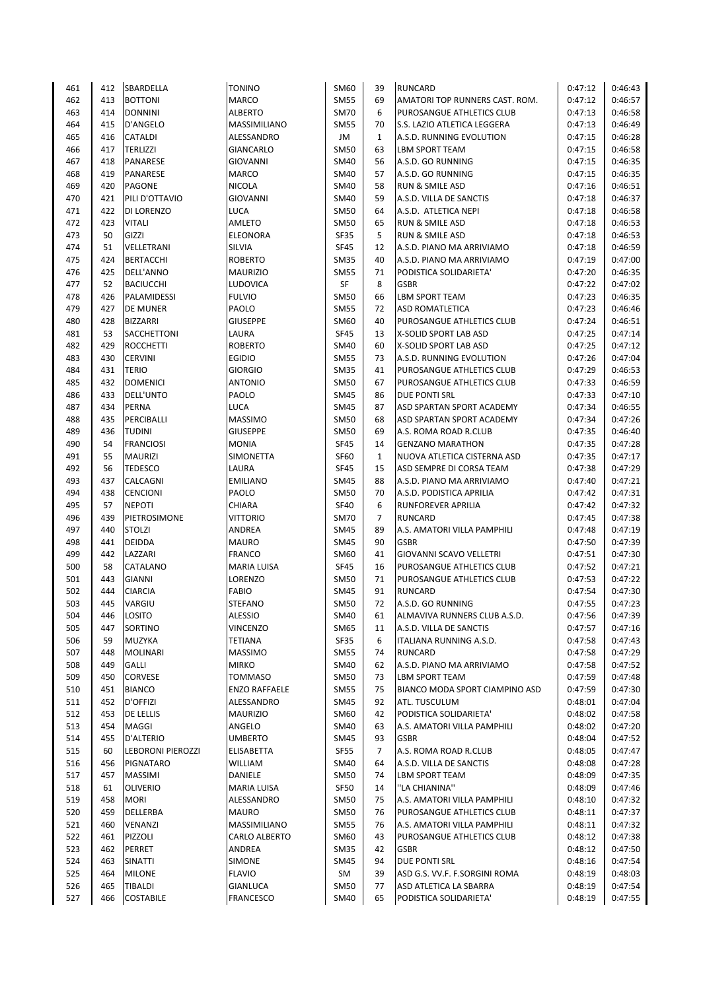| 461 | 412 | SBARDELLA                | <b>TONINO</b>        | SM60        | 39             | <b>RUNCARD</b>                 | 0:47:12 | 0:46:43 |
|-----|-----|--------------------------|----------------------|-------------|----------------|--------------------------------|---------|---------|
| 462 | 413 | <b>BOTTONI</b>           | <b>MARCO</b>         | <b>SM55</b> | 69             | AMATORI TOP RUNNERS CAST. ROM. | 0:47:12 | 0:46:57 |
| 463 | 414 | <b>DONNINI</b>           | <b>ALBERTO</b>       | <b>SM70</b> | 6              | PUROSANGUE ATHLETICS CLUB      | 0:47:13 | 0:46:58 |
| 464 | 415 | <b>D'ANGELO</b>          | MASSIMILIANO         | <b>SM55</b> | 70             | S.S. LAZIO ATLETICA LEGGERA    | 0:47:13 | 0:46:49 |
| 465 | 416 | <b>CATALDI</b>           | ALESSANDRO           | JM          | $\mathbf{1}$   | A.S.D. RUNNING EVOLUTION       | 0:47:15 | 0:46:28 |
| 466 | 417 | <b>TERLIZZI</b>          | GIANCARLO            | <b>SM50</b> | 63             | <b>LBM SPORT TEAM</b>          | 0:47:15 | 0:46:58 |
| 467 | 418 | PANARESE                 | <b>GIOVANNI</b>      | <b>SM40</b> | 56             | A.S.D. GO RUNNING              | 0:47:15 | 0:46:35 |
| 468 | 419 | PANARESE                 | <b>MARCO</b>         | <b>SM40</b> | 57             | A.S.D. GO RUNNING              | 0:47:15 | 0:46:35 |
| 469 | 420 | <b>PAGONE</b>            | <b>NICOLA</b>        | SM40        | 58             | <b>RUN &amp; SMILE ASD</b>     | 0:47:16 | 0:46:51 |
| 470 | 421 | PILI D'OTTAVIO           | <b>GIOVANNI</b>      | SM40        | 59             | A.S.D. VILLA DE SANCTIS        | 0:47:18 | 0:46:37 |
| 471 | 422 | DI LORENZO               | LUCA                 | <b>SM50</b> | 64             | A.S.D. ATLETICA NEPI           | 0:47:18 | 0:46:58 |
| 472 | 423 | <b>VITALI</b>            | <b>AMLETO</b>        | <b>SM50</b> | 65             | <b>RUN &amp; SMILE ASD</b>     | 0:47:18 | 0:46:53 |
| 473 | 50  | GIZZI                    | <b>ELEONORA</b>      | SF35        | 5              | <b>RUN &amp; SMILE ASD</b>     | 0:47:18 | 0:46:53 |
| 474 | 51  | VELLETRANI               | SILVIA               | <b>SF45</b> | 12             | A.S.D. PIANO MA ARRIVIAMO      | 0:47:18 | 0:46:59 |
| 475 | 424 | <b>BERTACCHI</b>         | <b>ROBERTO</b>       | <b>SM35</b> | 40             | A.S.D. PIANO MA ARRIVIAMO      | 0:47:19 | 0:47:00 |
| 476 | 425 | DELL'ANNO                | <b>MAURIZIO</b>      | <b>SM55</b> | 71             | PODISTICA SOLIDARIETA'         | 0:47:20 | 0:46:35 |
| 477 | 52  | <b>BACIUCCHI</b>         | LUDOVICA             | SF          | 8              | <b>GSBR</b>                    | 0:47:22 | 0:47:02 |
| 478 | 426 | PALAMIDESSI              | <b>FULVIO</b>        | <b>SM50</b> | 66             | <b>LBM SPORT TEAM</b>          | 0:47:23 | 0:46:35 |
| 479 | 427 | DE MUNER                 | PAOLO                | <b>SM55</b> | 72             | <b>ASD ROMATLETICA</b>         | 0:47:23 | 0:46:46 |
| 480 | 428 | <b>BIZZARRI</b>          | <b>GIUSEPPE</b>      | SM60        | 40             | PUROSANGUE ATHLETICS CLUB      | 0:47:24 | 0:46:51 |
| 481 | 53  | SACCHETTONI              | LAURA                | <b>SF45</b> | 13             | <b>X-SOLID SPORT LAB ASD</b>   | 0:47:25 | 0:47:14 |
| 482 | 429 | <b>ROCCHETTI</b>         | <b>ROBERTO</b>       | SM40        | 60             | <b>X-SOLID SPORT LAB ASD</b>   | 0:47:25 | 0:47:12 |
| 483 | 430 | <b>CERVINI</b>           | <b>EGIDIO</b>        | <b>SM55</b> | 73             | A.S.D. RUNNING EVOLUTION       | 0:47:26 | 0:47:04 |
|     |     |                          |                      |             |                |                                |         |         |
| 484 | 431 | <b>TERIO</b>             | <b>GIORGIO</b>       | <b>SM35</b> | 41             | PUROSANGUE ATHLETICS CLUB      | 0:47:29 | 0:46:53 |
| 485 | 432 | <b>DOMENICI</b>          | <b>ANTONIO</b>       | <b>SM50</b> | 67             | PUROSANGUE ATHLETICS CLUB      | 0:47:33 | 0:46:59 |
| 486 | 433 | DELL'UNTO                | PAOLO                | SM45        | 86             | <b>DUE PONTI SRL</b>           | 0:47:33 | 0:47:10 |
| 487 | 434 | PERNA                    | LUCA                 | SM45        | 87             | ASD SPARTAN SPORT ACADEMY      | 0:47:34 | 0:46:55 |
| 488 | 435 | PERCIBALLI               | <b>MASSIMO</b>       | <b>SM50</b> | 68             | ASD SPARTAN SPORT ACADEMY      | 0:47:34 | 0:47:26 |
| 489 | 436 | <b>TUDINI</b>            | <b>GIUSEPPE</b>      | <b>SM50</b> | 69             | A.S. ROMA ROAD R.CLUB          | 0:47:35 | 0:46:40 |
| 490 | 54  | <b>FRANCIOSI</b>         | <b>MONIA</b>         | SF45        | 14             | <b>GENZANO MARATHON</b>        | 0:47:35 | 0:47:28 |
| 491 | 55  | <b>MAURIZI</b>           | SIMONETTA            | <b>SF60</b> | $\mathbf{1}$   | NUOVA ATLETICA CISTERNA ASD    | 0:47:35 | 0:47:17 |
| 492 | 56  | <b>TEDESCO</b>           | LAURA                | SF45        | 15             | ASD SEMPRE DI CORSA TEAM       | 0:47:38 | 0:47:29 |
| 493 | 437 | CALCAGNI                 | <b>EMILIANO</b>      | <b>SM45</b> | 88             | A.S.D. PIANO MA ARRIVIAMO      | 0:47:40 | 0:47:21 |
| 494 | 438 | <b>CENCIONI</b>          | PAOLO                | SM50        | 70             | A.S.D. PODISTICA APRILIA       | 0:47:42 | 0:47:31 |
| 495 | 57  | <b>NEPOTI</b>            | CHIARA               | <b>SF40</b> | 6              | <b>RUNFOREVER APRILIA</b>      | 0:47:42 | 0:47:32 |
| 496 | 439 | PIETROSIMONE             | <b>VITTORIO</b>      | <b>SM70</b> | $\overline{7}$ | <b>RUNCARD</b>                 | 0:47:45 | 0:47:38 |
| 497 | 440 | <b>STOLZI</b>            | ANDREA               | SM45        | 89             | A.S. AMATORI VILLA PAMPHILI    | 0:47:48 | 0:47:19 |
| 498 | 441 | DEIDDA                   | MAURO                | <b>SM45</b> | 90             | <b>GSBR</b>                    | 0:47:50 | 0:47:39 |
| 499 | 442 | LAZZARI                  | <b>FRANCO</b>        | SM60        | 41             | GIOVANNI SCAVO VELLETRI        | 0:47:51 | 0:47:30 |
| 500 | 58  | CATALANO                 |                      | SF45        | 16             | PUROSANGUE ATHLETICS CLUB      | 0:47:52 | 0:47:21 |
|     |     |                          | MARIA LUISA          |             |                |                                |         |         |
| 501 | 443 | <b>GIANNI</b>            | LORENZO              | SM50        | 71             | PUROSANGUE ATHLETICS CLUB      | 0:47:53 | 0:47:22 |
| 502 | 444 | <b>CIARCIA</b>           | <b>FABIO</b>         | SM45        | 91             | RUNCARD                        | 0:47:54 | 0:47:30 |
| 503 | 445 | VARGIU                   | <b>STEFANO</b>       | <b>SM50</b> | 72             | A.S.D. GO RUNNING              | 0:47:55 | 0:47:23 |
| 504 | 446 | LOSITO                   | <b>ALESSIO</b>       | SM40        | 61             | ALMAVIVA RUNNERS CLUB A.S.D.   | 0:47:56 | 0:47:39 |
| 505 | 447 | SORTINO                  | <b>VINCENZO</b>      | SM65        | 11             | A.S.D. VILLA DE SANCTIS        | 0:47:57 | 0:47:16 |
| 506 | 59  | MUZYKA                   | TETIANA              | SF35        | 6              | ITALIANA RUNNING A.S.D.        | 0:47:58 | 0:47:43 |
| 507 | 448 | <b>MOLINARI</b>          | <b>MASSIMO</b>       | <b>SM55</b> | 74             | <b>RUNCARD</b>                 | 0:47:58 | 0:47:29 |
| 508 | 449 | <b>GALLI</b>             | <b>MIRKO</b>         | <b>SM40</b> | 62             | A.S.D. PIANO MA ARRIVIAMO      | 0:47:58 | 0:47:52 |
| 509 | 450 | <b>CORVESE</b>           | TOMMASO              | <b>SM50</b> | 73             | <b>LBM SPORT TEAM</b>          | 0:47:59 | 0:47:48 |
| 510 | 451 | <b>BIANCO</b>            | <b>ENZO RAFFAELE</b> | <b>SM55</b> | 75             | BIANCO MODA SPORT CIAMPINO ASD | 0:47:59 | 0:47:30 |
| 511 | 452 | D'OFFIZI                 | ALESSANDRO           | <b>SM45</b> | 92             | ATL. TUSCULUM                  | 0:48:01 | 0:47:04 |
| 512 | 453 | DE LELLIS                | <b>MAURIZIO</b>      | SM60        | 42             | PODISTICA SOLIDARIETA'         | 0:48:02 | 0:47:58 |
| 513 | 454 | <b>MAGGI</b>             | ANGELO               | SM40        | 63             | A.S. AMATORI VILLA PAMPHILI    | 0:48:02 | 0:47:20 |
| 514 | 455 | <b>D'ALTERIO</b>         | <b>UMBERTO</b>       | <b>SM45</b> | 93             | <b>GSBR</b>                    | 0:48:04 | 0:47:52 |
| 515 | 60  | <b>LEBORONI PIEROZZI</b> | <b>ELISABETTA</b>    | <b>SF55</b> | $\overline{7}$ | A.S. ROMA ROAD R.CLUB          | 0:48:05 | 0:47:47 |
| 516 | 456 | PIGNATARO                | WILLIAM              | SM40        | 64             | A.S.D. VILLA DE SANCTIS        | 0:48:08 | 0:47:28 |
| 517 | 457 | <b>MASSIMI</b>           | DANIELE              | SM50        | 74             | LBM SPORT TEAM                 | 0:48:09 | 0:47:35 |
| 518 | 61  | <b>OLIVERIO</b>          | MARIA LUISA          | SF50        | 14             | "LA CHIANINA"                  | 0:48:09 | 0:47:46 |
| 519 | 458 | <b>MORI</b>              | ALESSANDRO           | <b>SM50</b> | 75             | A.S. AMATORI VILLA PAMPHILI    | 0:48:10 | 0:47:32 |
| 520 | 459 | DELLERBA                 | <b>MAURO</b>         | <b>SM50</b> | 76             | PUROSANGUE ATHLETICS CLUB      | 0:48:11 | 0:47:37 |
|     |     |                          |                      |             |                |                                |         |         |
| 521 | 460 | <b>VENANZI</b>           | MASSIMILIANO         | <b>SM55</b> | 76             | A.S. AMATORI VILLA PAMPHILI    | 0:48:11 | 0:47:32 |
| 522 | 461 | PIZZOLI                  | CARLO ALBERTO        | SM60        | 43             | PUROSANGUE ATHLETICS CLUB      | 0:48:12 | 0:47:38 |
| 523 | 462 | PERRET                   | ANDREA               | SM35        | 42             | <b>GSBR</b>                    | 0:48:12 | 0:47:50 |
| 524 | 463 | SINATTI                  | <b>SIMONE</b>        | SM45        | 94             | DUE PONTI SRL                  | 0:48:16 | 0:47:54 |
| 525 | 464 | <b>MILONE</b>            | <b>FLAVIO</b>        | SM          | 39             | ASD G.S. VV.F. F.SORGINI ROMA  | 0:48:19 | 0:48:03 |
| 526 | 465 | <b>TIBALDI</b>           | <b>GIANLUCA</b>      | <b>SM50</b> | 77             | ASD ATLETICA LA SBARRA         | 0:48:19 | 0:47:54 |
| 527 | 466 | <b>COSTABILE</b>         | <b>FRANCESCO</b>     | <b>SM40</b> | 65             | PODISTICA SOLIDARIETA'         | 0:48:19 | 0:47:55 |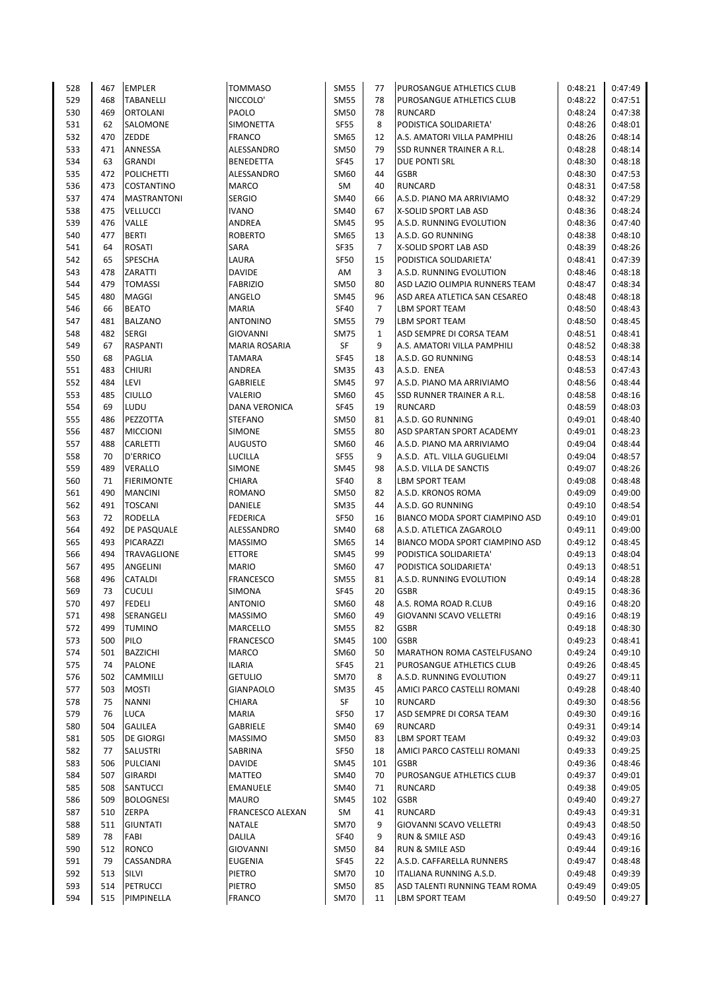| 528 | 467 | <b>EMPLER</b>      | <b>TOMMASO</b>       | <b>SM55</b> | 77             | PUROSANGUE ATHLETICS CLUB      | 0:48:21 | 0:47:49 |
|-----|-----|--------------------|----------------------|-------------|----------------|--------------------------------|---------|---------|
| 529 | 468 | <b>TABANELLI</b>   | NICCOLO'             | <b>SM55</b> | 78             | PUROSANGUE ATHLETICS CLUB      | 0:48:22 | 0:47:51 |
| 530 | 469 | <b>ORTOLANI</b>    | PAOLO                | <b>SM50</b> | 78             | RUNCARD                        | 0:48:24 | 0:47:38 |
| 531 | 62  | SALOMONE           | <b>SIMONETTA</b>     | <b>SF55</b> | 8              | PODISTICA SOLIDARIETA'         | 0:48:26 | 0:48:01 |
| 532 | 470 | ZEDDE              | <b>FRANCO</b>        | SM65        | 12             | A.S. AMATORI VILLA PAMPHILI    | 0:48:26 | 0:48:14 |
| 533 | 471 | ANNESSA            | ALESSANDRO           | <b>SM50</b> | 79             | SSD RUNNER TRAINER A R.L.      | 0:48:28 | 0:48:14 |
| 534 | 63  | <b>GRANDI</b>      | <b>BENEDETTA</b>     | SF45        | 17             | DUE PONTI SRL                  | 0:48:30 | 0:48:18 |
| 535 | 472 | <b>POLICHETTI</b>  | ALESSANDRO           | <b>SM60</b> | 44             | <b>GSBR</b>                    | 0:48:30 | 0:47:53 |
|     |     |                    |                      |             |                |                                |         |         |
| 536 | 473 | <b>COSTANTINO</b>  | <b>MARCO</b>         | SM          | 40             | <b>RUNCARD</b>                 | 0:48:31 | 0:47:58 |
| 537 | 474 | <b>MASTRANTONI</b> | <b>SERGIO</b>        | SM40        | 66             | A.S.D. PIANO MA ARRIVIAMO      | 0:48:32 | 0:47:29 |
| 538 | 475 | <b>VELLUCCI</b>    | <b>IVANO</b>         | SM40        | 67             | X-SOLID SPORT LAB ASD          | 0:48:36 | 0:48:24 |
| 539 | 476 | VALLE              | ANDREA               | <b>SM45</b> | 95             | A.S.D. RUNNING EVOLUTION       | 0:48:36 | 0:47:40 |
| 540 | 477 | <b>BERTI</b>       | <b>ROBERTO</b>       | SM65        | 13             | A.S.D. GO RUNNING              | 0:48:38 | 0:48:10 |
| 541 | 64  | <b>ROSATI</b>      | SARA                 | <b>SF35</b> | $\overline{7}$ | X-SOLID SPORT LAB ASD          | 0:48:39 | 0:48:26 |
| 542 | 65  | SPESCHA            | LAURA                | SF50        | 15             | PODISTICA SOLIDARIETA'         | 0:48:41 | 0:47:39 |
| 543 | 478 | ZARATTI            | <b>DAVIDE</b>        | AM          | 3              | A.S.D. RUNNING EVOLUTION       | 0:48:46 | 0:48:18 |
| 544 | 479 | <b>TOMASSI</b>     | <b>FABRIZIO</b>      | <b>SM50</b> | 80             | ASD LAZIO OLIMPIA RUNNERS TEAM | 0:48:47 | 0:48:34 |
| 545 | 480 | <b>MAGGI</b>       | ANGELO               | <b>SM45</b> | 96             | ASD AREA ATLETICA SAN CESAREO  | 0:48:48 | 0:48:18 |
| 546 | 66  | <b>BEATO</b>       | <b>MARIA</b>         | <b>SF40</b> | $\overline{7}$ | <b>LBM SPORT TEAM</b>          | 0:48:50 | 0:48:43 |
| 547 | 481 | <b>BALZANO</b>     | <b>ANTONINO</b>      | <b>SM55</b> | 79             | LBM SPORT TEAM                 | 0:48:50 | 0:48:45 |
| 548 | 482 | <b>SERGI</b>       | <b>GIOVANNI</b>      | <b>SM75</b> | $\mathbf{1}$   | ASD SEMPRE DI CORSA TEAM       | 0:48:51 | 0:48:41 |
|     |     |                    |                      |             |                |                                |         |         |
| 549 | 67  | <b>RASPANTI</b>    | <b>MARIA ROSARIA</b> | SF          | 9              | A.S. AMATORI VILLA PAMPHILI    | 0:48:52 | 0:48:38 |
| 550 | 68  | <b>PAGLIA</b>      | <b>TAMARA</b>        | <b>SF45</b> | 18             | A.S.D. GO RUNNING              | 0:48:53 | 0:48:14 |
| 551 | 483 | <b>CHIURI</b>      | <b>ANDREA</b>        | <b>SM35</b> | 43             | A.S.D. ENEA                    | 0:48:53 | 0:47:43 |
| 552 | 484 | LEVI               | <b>GABRIELE</b>      | <b>SM45</b> | 97             | A.S.D. PIANO MA ARRIVIAMO      | 0:48:56 | 0:48:44 |
| 553 | 485 | <b>CIULLO</b>      | <b>VALERIO</b>       | SM60        | 45             | SSD RUNNER TRAINER A R.L.      | 0:48:58 | 0:48:16 |
| 554 | 69  | LUDU               | <b>DANA VERONICA</b> | <b>SF45</b> | 19             | <b>RUNCARD</b>                 | 0:48:59 | 0:48:03 |
| 555 | 486 | PEZZOTTA           | <b>STEFANO</b>       | <b>SM50</b> | 81             | A.S.D. GO RUNNING              | 0:49:01 | 0:48:40 |
| 556 | 487 | <b>MICCIONI</b>    | <b>SIMONE</b>        | <b>SM55</b> | 80             | ASD SPARTAN SPORT ACADEMY      | 0:49:01 | 0:48:23 |
| 557 | 488 | <b>CARLETTI</b>    | <b>AUGUSTO</b>       | SM60        | 46             | A.S.D. PIANO MA ARRIVIAMO      | 0:49:04 | 0:48:44 |
| 558 | 70  | <b>D'ERRICO</b>    | LUCILLA              | <b>SF55</b> | 9              | A.S.D. ATL. VILLA GUGLIELMI    | 0:49:04 | 0:48:57 |
| 559 | 489 | <b>VERALLO</b>     | SIMONE               | SM45        | 98             | A.S.D. VILLA DE SANCTIS        | 0:49:07 | 0:48:26 |
| 560 | 71  | <b>FIERIMONTE</b>  | CHIARA               | <b>SF40</b> | 8              | <b>LBM SPORT TEAM</b>          | 0:49:08 | 0:48:48 |
| 561 | 490 | <b>MANCINI</b>     | ROMANO               | <b>SM50</b> | 82             | A.S.D. KRONOS ROMA             | 0:49:09 | 0:49:00 |
|     |     |                    |                      |             | 44             | A.S.D. GO RUNNING              |         |         |
| 562 | 491 | <b>TOSCANI</b>     | DANIELE              | <b>SM35</b> |                |                                | 0:49:10 | 0:48:54 |
| 563 | 72  | <b>RODELLA</b>     | <b>FEDERICA</b>      | SF50        | 16             | BIANCO MODA SPORT CIAMPINO ASD | 0:49:10 | 0:49:01 |
| 564 | 492 | DE PASQUALE        | ALESSANDRO           | SM40        | 68             | A.S.D. ATLETICA ZAGAROLO       | 0:49:11 | 0:49:00 |
| 565 | 493 | PICARAZZI          | <b>MASSIMO</b>       | SM65        | 14             | BIANCO MODA SPORT CIAMPINO ASD | 0:49:12 | 0:48:45 |
| 566 | 494 | <b>TRAVAGLIONE</b> | <b>ETTORE</b>        | <b>SM45</b> | 99             | PODISTICA SOLIDARIETA'         | 0:49:13 | 0:48:04 |
| 567 | 495 | <b>ANGELINI</b>    | <b>MARIO</b>         | SM60        | 47             | PODISTICA SOLIDARIETA'         | 0:49:13 | 0:48:51 |
| 568 | 496 | <b>CATALDI</b>     | <b>FRANCESCO</b>     | <b>SM55</b> | 81             | A.S.D. RUNNING EVOLUTION       | 0:49:14 | 0:48:28 |
| 569 | 73  | <b>CUCULI</b>      | SIMONA               | SF45        | 20             | <b>GSBR</b>                    | 0:49:15 | 0:48:36 |
| 570 | 497 | <b>FEDELI</b>      | <b>ANTONIO</b>       | SM60        | 48             | A.S. ROMA ROAD R.CLUB          | 0:49:16 | 0:48:20 |
| 571 | 498 | SERANGELI          | <b>MASSIMO</b>       | SM60        | 49             | GIOVANNI SCAVO VELLETRI        | 0:49:16 | 0:48:19 |
| 572 | 499 | <b>TUMINO</b>      | MARCELLO             | <b>SM55</b> | 82             | <b>GSBR</b>                    | 0:49:18 | 0:48:30 |
| 573 | 500 | PILO               | <b>FRANCESCO</b>     | <b>SM45</b> | 100            | <b>GSBR</b>                    | 0:49:23 | 0:48:41 |
| 574 | 501 | <b>BAZZICHI</b>    | <b>MARCO</b>         | <b>SM60</b> | 50             | MARATHON ROMA CASTELFUSANO     | 0:49:24 | 0:49:10 |
| 575 | 74  | <b>PALONE</b>      | <b>ILARIA</b>        | <b>SF45</b> | 21             | PUROSANGUE ATHLETICS CLUB      | 0:49:26 | 0:48:45 |
| 576 | 502 | <b>CAMMILLI</b>    | <b>GETULIO</b>       | <b>SM70</b> | 8              | A.S.D. RUNNING EVOLUTION       | 0:49:27 | 0:49:11 |
|     | 503 |                    |                      | <b>SM35</b> | 45             |                                | 0:49:28 |         |
| 577 |     | <b>MOSTI</b>       | <b>GIANPAOLO</b>     |             |                | AMICI PARCO CASTELLI ROMANI    |         | 0:48:40 |
| 578 | 75  | <b>NANNI</b>       | <b>CHIARA</b>        | SF          | 10             | <b>RUNCARD</b>                 | 0:49:30 | 0:48:56 |
| 579 | 76  | <b>LUCA</b>        | <b>MARIA</b>         | <b>SF50</b> | 17             | ASD SEMPRE DI CORSA TEAM       | 0:49:30 | 0:49:16 |
| 580 | 504 | <b>GALILEA</b>     | GABRIELE             | SM40        | 69             | RUNCARD                        | 0:49:31 | 0:49:14 |
| 581 | 505 | <b>DE GIORGI</b>   | <b>MASSIMO</b>       | <b>SM50</b> | 83             | LBM SPORT TEAM                 | 0:49:32 | 0:49:03 |
| 582 | 77  | <b>SALUSTRI</b>    | SABRINA              | SF50        | 18             | AMICI PARCO CASTELLI ROMANI    | 0:49:33 | 0:49:25 |
| 583 | 506 | PULCIANI           | <b>DAVIDE</b>        | SM45        | 101            | <b>GSBR</b>                    | 0:49:36 | 0:48:46 |
| 584 | 507 | <b>GIRARDI</b>     | <b>MATTEO</b>        | SM40        | 70             | PUROSANGUE ATHLETICS CLUB      | 0:49:37 | 0:49:01 |
| 585 | 508 | SANTUCCI           | EMANUELE             | <b>SM40</b> | 71             | <b>RUNCARD</b>                 | 0:49:38 | 0:49:05 |
| 586 | 509 | <b>BOLOGNESI</b>   | <b>MAURO</b>         | <b>SM45</b> | 102            | <b>GSBR</b>                    | 0:49:40 | 0:49:27 |
| 587 | 510 | ZERPA              | FRANCESCO ALEXAN     | SM          | 41             | RUNCARD                        | 0:49:43 | 0:49:31 |
| 588 | 511 | <b>GIUNTATI</b>    | <b>NATALE</b>        | <b>SM70</b> | 9              | GIOVANNI SCAVO VELLETRI        | 0:49:43 | 0:48:50 |
| 589 | 78  | FABI               | DALILA               | <b>SF40</b> | 9              | RUN & SMILE ASD                | 0:49:43 | 0:49:16 |
| 590 | 512 | <b>RONCO</b>       | <b>GIOVANNI</b>      | <b>SM50</b> | 84             | RUN & SMILE ASD                | 0:49:44 | 0:49:16 |
|     |     |                    |                      |             |                |                                |         |         |
| 591 | 79  | CASSANDRA          | <b>EUGENIA</b>       | SF45        | 22             | A.S.D. CAFFARELLA RUNNERS      | 0:49:47 | 0:48:48 |
| 592 | 513 | <b>SILVI</b>       | PIETRO               | <b>SM70</b> | 10             | ITALIANA RUNNING A.S.D.        | 0:49:48 | 0:49:39 |
| 593 | 514 | PETRUCCI           | PIETRO               | <b>SM50</b> | 85             | ASD TALENTI RUNNING TEAM ROMA  | 0:49:49 | 0:49:05 |
| 594 | 515 | PIMPINELLA         | <b>FRANCO</b>        | <b>SM70</b> | 11             | LBM SPORT TEAM                 | 0:49:50 | 0:49:27 |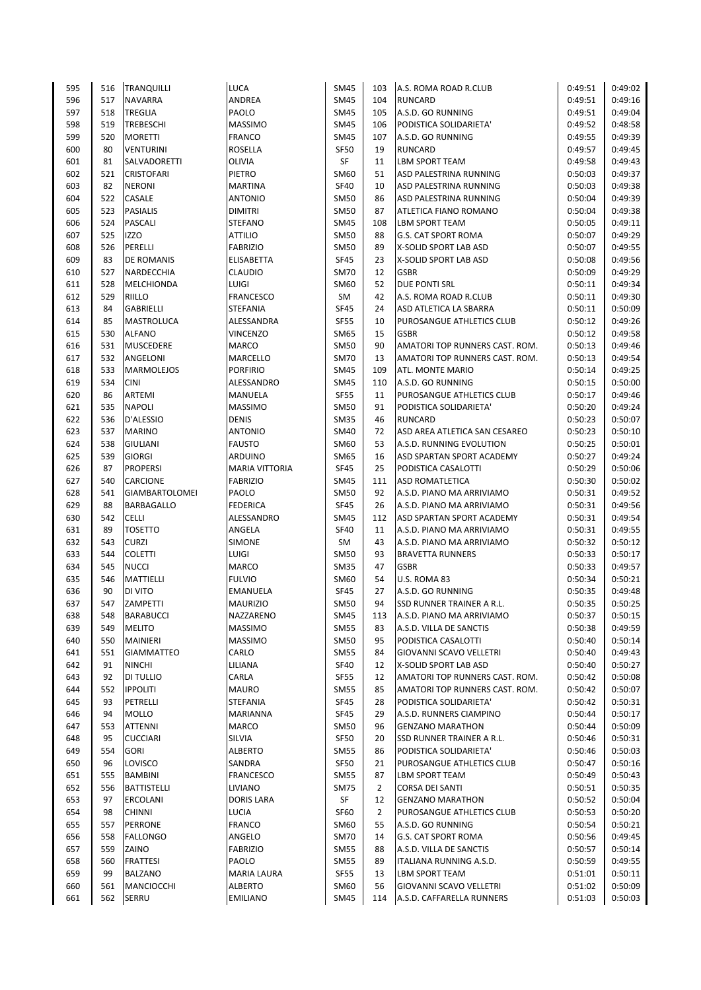| 595 | 516 | <b>TRANQUILLI</b>     | LUCA                  | <b>SM45</b> | 103            | A.S. ROMA ROAD R.CLUB          | 0:49:51 | 0:49:02 |
|-----|-----|-----------------------|-----------------------|-------------|----------------|--------------------------------|---------|---------|
| 596 | 517 | <b>NAVARRA</b>        | ANDREA                | <b>SM45</b> | 104            | <b>RUNCARD</b>                 | 0:49:51 | 0:49:16 |
| 597 | 518 | <b>TREGLIA</b>        | PAOLO                 | <b>SM45</b> | 105            | A.S.D. GO RUNNING              | 0:49:51 | 0:49:04 |
| 598 | 519 | <b>TREBESCHI</b>      | <b>MASSIMO</b>        | <b>SM45</b> | 106            | PODISTICA SOLIDARIETA'         | 0:49:52 | 0:48:58 |
| 599 | 520 | <b>MORETTI</b>        | FRANCO                | <b>SM45</b> | 107            | A.S.D. GO RUNNING              | 0:49:55 | 0:49:39 |
| 600 | 80  | <b>VENTURINI</b>      | ROSELLA               | <b>SF50</b> | 19             | <b>RUNCARD</b>                 | 0:49:57 | 0:49:45 |
| 601 | 81  | SALVADORETTI          | OLIVIA                | SF          | 11             | LBM SPORT TEAM                 | 0:49:58 | 0:49:43 |
| 602 | 521 | <b>CRISTOFARI</b>     | PIETRO                | SM60        | 51             | ASD PALESTRINA RUNNING         | 0:50:03 | 0:49:37 |
| 603 | 82  | <b>NERONI</b>         | <b>MARTINA</b>        | <b>SF40</b> | 10             | ASD PALESTRINA RUNNING         | 0:50:03 | 0:49:38 |
| 604 | 522 | CASALE                | ANTONIO               | <b>SM50</b> | 86             | ASD PALESTRINA RUNNING         | 0:50:04 | 0:49:39 |
| 605 | 523 | <b>PASIALIS</b>       | DIMITRI               | SM50        | 87             | ATLETICA FIANO ROMANO          | 0:50:04 | 0:49:38 |
| 606 | 524 | PASCALI               | STEFANO               | <b>SM45</b> | 108            | <b>LBM SPORT TEAM</b>          | 0:50:05 | 0:49:11 |
| 607 | 525 | <b>IZZO</b>           | ATTILIO               | SM50        | 88             | G.S. CAT SPORT ROMA            | 0:50:07 | 0:49:29 |
| 608 | 526 | PERELLI               | <b>FABRIZIO</b>       | SM50        | 89             | X-SOLID SPORT LAB ASD          | 0:50:07 | 0:49:55 |
| 609 | 83  | DE ROMANIS            | ELISABETTA            | SF45        | 23             | X-SOLID SPORT LAB ASD          | 0:50:08 | 0:49:56 |
| 610 | 527 | NARDECCHIA            | CLAUDIO               | <b>SM70</b> | 12             | <b>GSBR</b>                    | 0:50:09 | 0:49:29 |
| 611 | 528 | MELCHIONDA            | LUIGI                 | SM60        | 52             | <b>DUE PONTI SRL</b>           | 0:50:11 | 0:49:34 |
| 612 | 529 | RIILLO                | FRANCESCO             | SM          | 42             | A.S. ROMA ROAD R.CLUB          | 0:50:11 | 0:49:30 |
| 613 | 84  | GABRIELLI             | STEFANIA              | SF45        | 24             | ASD ATLETICA LA SBARRA         | 0:50:11 | 0:50:09 |
| 614 | 85  | MASTROLUCA            | ALESSANDRA            | <b>SF55</b> | 10             | PUROSANGUE ATHLETICS CLUB      | 0:50:12 | 0:49:26 |
| 615 | 530 | <b>ALFANO</b>         | <b>VINCENZO</b>       | SM65        | 15             | <b>GSBR</b>                    | 0:50:12 | 0:49:58 |
| 616 | 531 | <b>MUSCEDERE</b>      | <b>MARCO</b>          | SM50        | 90             | AMATORI TOP RUNNERS CAST. ROM. | 0:50:13 | 0:49:46 |
| 617 | 532 | ANGELONI              | MARCELLO              | <b>SM70</b> | 13             | AMATORI TOP RUNNERS CAST. ROM. | 0:50:13 | 0:49:54 |
| 618 | 533 | <b>MARMOLEJOS</b>     | <b>PORFIRIO</b>       | <b>SM45</b> | 109            | <b>ATL. MONTE MARIO</b>        | 0:50:14 | 0:49:25 |
| 619 | 534 | <b>CINI</b>           | ALESSANDRO            | <b>SM45</b> | 110            | A.S.D. GO RUNNING              | 0:50:15 | 0:50:00 |
| 620 | 86  | ARTEMI                | MANUELA               | <b>SF55</b> | 11             | PUROSANGUE ATHLETICS CLUB      | 0:50:17 | 0:49:46 |
| 621 | 535 | <b>NAPOLI</b>         | MASSIMO               | <b>SM50</b> | 91             | PODISTICA SOLIDARIETA'         | 0:50:20 | 0:49:24 |
| 622 | 536 | D'ALESSIO             | <b>DENIS</b>          | <b>SM35</b> | 46             | <b>RUNCARD</b>                 | 0:50:23 | 0:50:07 |
| 623 | 537 | <b>MARINO</b>         | <b>ANTONIO</b>        | SM40        | 72             | ASD AREA ATLETICA SAN CESAREO  | 0:50:23 | 0:50:10 |
| 624 | 538 | <b>GIULIANI</b>       | <b>FAUSTO</b>         | SM60        | 53             | A.S.D. RUNNING EVOLUTION       | 0:50:25 | 0:50:01 |
| 625 | 539 | <b>GIORGI</b>         | ARDUINO               | SM65        | 16             | ASD SPARTAN SPORT ACADEMY      | 0:50:27 | 0:49:24 |
| 626 | 87  | <b>PROPERSI</b>       | <b>MARIA VITTORIA</b> | <b>SF45</b> | 25             | PODISTICA CASALOTTI            | 0:50:29 | 0:50:06 |
| 627 | 540 | <b>CARCIONE</b>       | <b>FABRIZIO</b>       | <b>SM45</b> | 111            | <b>ASD ROMATLETICA</b>         | 0:50:30 | 0:50:02 |
|     |     |                       |                       |             |                |                                |         |         |
| 628 | 541 | <b>GIAMBARTOLOMEI</b> | PAOLO                 | <b>SM50</b> | 92             | A.S.D. PIANO MA ARRIVIAMO      | 0:50:31 | 0:49:52 |
| 629 | 88  | BARBAGALLO            | FEDERICA              | <b>SF45</b> | 26             | A.S.D. PIANO MA ARRIVIAMO      | 0:50:31 | 0:49:56 |
| 630 | 542 | <b>CELLI</b>          | ALESSANDRO            | <b>SM45</b> | 112            | ASD SPARTAN SPORT ACADEMY      | 0:50:31 | 0:49:54 |
| 631 | 89  | <b>TOSETTO</b>        | ANGELA                | <b>SF40</b> | 11             | A.S.D. PIANO MA ARRIVIAMO      | 0:50:31 | 0:49:55 |
| 632 | 543 | <b>CURZI</b>          | <b>SIMONE</b>         | SM          | 43             | A.S.D. PIANO MA ARRIVIAMO      | 0:50:32 | 0:50:12 |
| 633 | 544 | <b>COLETTI</b>        | LUIGI                 | <b>SM50</b> | 93             | <b>BRAVETTA RUNNERS</b>        | 0:50:33 | 0:50:17 |
| 634 | 545 | <b>NUCCI</b>          | MARCO                 | <b>SM35</b> | 47             | <b>GSBR</b>                    | 0:50:33 | 0:49:57 |
| 635 | 546 | MATTIELLI             | FULVIO                | SM60        | 54             | U.S. ROMA 83                   | 0:50:34 | 0:50:21 |
| 636 | 90  | DI VITO               | EMANUELA              | SF45        | 27             | A.S.D. GO RUNNING              | 0:50:35 | 0:49:48 |
| 637 | 547 | ZAMPETTI              | <b>MAURIZIO</b>       | <b>SM50</b> | 94             | SSD RUNNER TRAINER A R.L.      | 0:50:35 | 0:50:25 |
| 638 | 548 | <b>BARABUCCI</b>      | NAZZARENO             | SM45        | 113            | A.S.D. PIANO MA ARRIVIAMO      | 0:50:37 | 0:50:15 |
| 639 | 549 | <b>MELITO</b>         | MASSIMO               | <b>SM55</b> | 83             | A.S.D. VILLA DE SANCTIS        | 0:50:38 | 0:49:59 |
| 640 | 550 | MAINIERI              | MASSIMO               | SM50        | 95             | PODISTICA CASALOTTI            | 0:50:40 | 0:50:14 |
| 641 | 551 | <b>GIAMMATTEO</b>     | CARLO                 | <b>SM55</b> | 84             | GIOVANNI SCAVO VELLETRI        | 0:50:40 | 0:49:43 |
| 642 | 91  | <b>NINCHI</b>         | LILIANA               | SF40        | 12             | X-SOLID SPORT LAB ASD          | 0:50:40 | 0:50:27 |
| 643 | 92  | DI TULLIO             | CARLA                 | <b>SF55</b> | 12             | AMATORI TOP RUNNERS CAST. ROM. | 0:50:42 | 0:50:08 |
| 644 | 552 | <b>IPPOLITI</b>       | MAURO                 | SM55        | 85             | AMATORI TOP RUNNERS CAST. ROM. | 0:50:42 | 0:50:07 |
| 645 | 93  | PETRELLI              | STEFANIA              | SF45        | 28             | PODISTICA SOLIDARIETA'         | 0:50:42 | 0:50:31 |
| 646 | 94  | <b>MOLLO</b>          | MARIANNA              | SF45        | 29             | A.S.D. RUNNERS CIAMPINO        | 0:50:44 | 0:50:17 |
| 647 | 553 | <b>ATTENNI</b>        | MARCO                 | SM50        | 96             | <b>GENZANO MARATHON</b>        | 0:50:44 | 0:50:09 |
| 648 | 95  | <b>CUCCIARI</b>       | SILVIA                | <b>SF50</b> | 20             | SSD RUNNER TRAINER A R.L.      | 0:50:46 | 0:50:31 |
| 649 | 554 | <b>GORI</b>           | <b>ALBERTO</b>        | <b>SM55</b> | 86             | PODISTICA SOLIDARIETA'         | 0:50:46 | 0:50:03 |
| 650 | 96  | LOVISCO               | SANDRA                | <b>SF50</b> | 21             | PUROSANGUE ATHLETICS CLUB      | 0:50:47 | 0:50:16 |
| 651 | 555 | <b>BAMBINI</b>        | FRANCESCO             | SM55        | 87             | LBM SPORT TEAM                 | 0:50:49 | 0:50:43 |
| 652 | 556 | BATTISTELLI           | LIVIANO               | <b>SM75</b> | $\overline{2}$ | <b>CORSA DEI SANTI</b>         | 0:50:51 | 0:50:35 |
| 653 | 97  | ERCOLANI              | <b>DORIS LARA</b>     | SF          | 12             | <b>GENZANO MARATHON</b>        | 0:50:52 | 0:50:04 |
| 654 | 98  | <b>CHINNI</b>         | LUCIA                 | SF60        | $\overline{2}$ | PUROSANGUE ATHLETICS CLUB      | 0:50:53 | 0:50:20 |
| 655 | 557 | PERRONE               | <b>FRANCO</b>         | SM60        | 55             | A.S.D. GO RUNNING              | 0:50:54 | 0:50:21 |
| 656 | 558 | <b>FALLONGO</b>       | ANGELO                | <b>SM70</b> | 14             | <b>G.S. CAT SPORT ROMA</b>     | 0:50:56 | 0:49:45 |
| 657 | 559 | ZAINO                 | <b>FABRIZIO</b>       | SM55        | 88             | A.S.D. VILLA DE SANCTIS        | 0:50:57 | 0:50:14 |
| 658 | 560 | <b>FRATTESI</b>       | PAOLO                 | <b>SM55</b> | 89             | ITALIANA RUNNING A.S.D.        | 0:50:59 | 0:49:55 |
| 659 | 99  | <b>BALZANO</b>        | MARIA LAURA           | <b>SF55</b> | 13             | <b>LBM SPORT TEAM</b>          | 0:51:01 | 0:50:11 |
| 660 | 561 | MANCIOCCHI            | <b>ALBERTO</b>        | SM60        | 56             | GIOVANNI SCAVO VELLETRI        | 0:51:02 | 0:50:09 |
| 661 | 562 | SERRU                 | <b>EMILIANO</b>       | <b>SM45</b> | 114            | A.S.D. CAFFARELLA RUNNERS      | 0:51:03 | 0:50:03 |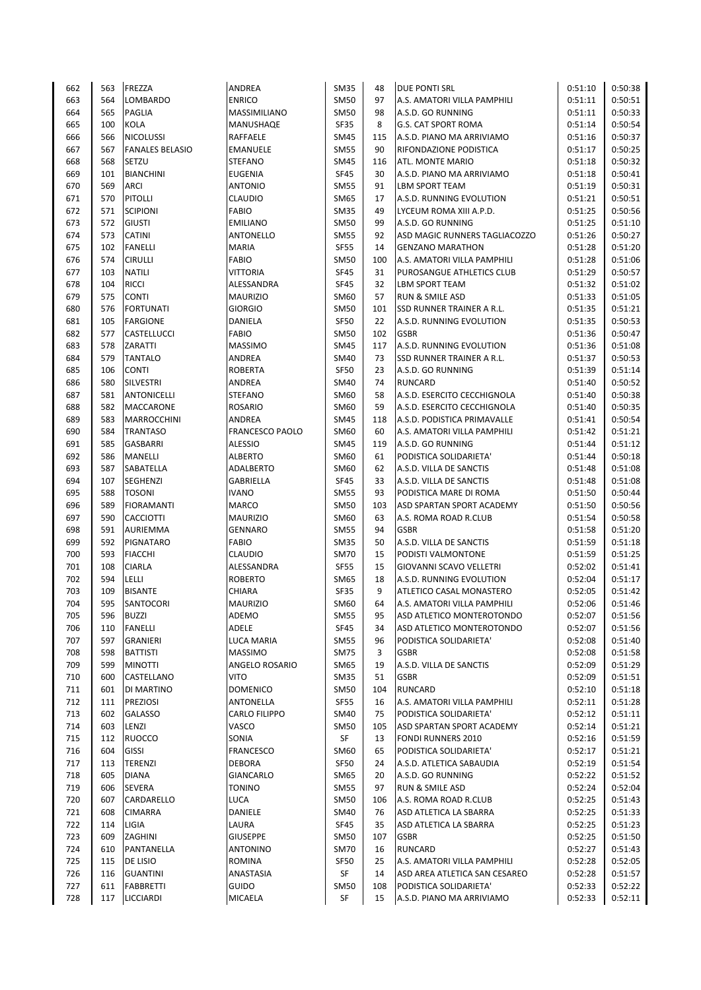| 662        | 563        | <b>FREZZA</b>                       | ANDREA                      | <b>SM35</b>                | 48        | <b>DUE PONTI SRL</b>                                    | 0:51:10            | 0:50:38            |
|------------|------------|-------------------------------------|-----------------------------|----------------------------|-----------|---------------------------------------------------------|--------------------|--------------------|
| 663        | 564        | <b>LOMBARDO</b>                     | <b>ENRICO</b>               | <b>SM50</b>                | 97        | A.S. AMATORI VILLA PAMPHILI                             | 0:51:11            | 0:50:51            |
| 664        | 565        | <b>PAGLIA</b>                       | MASSIMILIANO                | <b>SM50</b>                | 98        | A.S.D. GO RUNNING                                       | 0:51:11            | 0:50:33            |
| 665        | 100        | KOLA                                | MANUSHAQE                   | SF35                       | 8         | <b>G.S. CAT SPORT ROMA</b>                              | 0:51:14            | 0:50:54            |
| 666        | 566        | <b>NICOLUSSI</b>                    | RAFFAELE                    | <b>SM45</b>                | 115       | A.S.D. PIANO MA ARRIVIAMO                               | 0:51:16            | 0:50:37            |
| 667        | 567        | <b>FANALES BELASIO</b>              | EMANUELE                    | <b>SM55</b>                | 90        | RIFONDAZIONE PODISTICA                                  | 0:51:17            | 0:50:25            |
| 668        | 568        | SETZU                               | STEFANO                     | <b>SM45</b>                | 116       | ATL. MONTE MARIO                                        | 0:51:18            | 0:50:32            |
| 669        | 101        | <b>BIANCHINI</b>                    | EUGENIA                     | <b>SF45</b>                | 30        | A.S.D. PIANO MA ARRIVIAMO                               | 0:51:18            | 0:50:41            |
| 670        | 569        | <b>ARCI</b>                         | <b>ANTONIO</b>              | <b>SM55</b>                | 91        | <b>LBM SPORT TEAM</b>                                   | 0:51:19            | 0:50:31            |
| 671        | 570        | <b>PITOLLI</b>                      | CLAUDIO                     | SM65                       | 17        | A.S.D. RUNNING EVOLUTION                                | 0:51:21            | 0:50:51            |
| 672        | 571        | <b>SCIPIONI</b>                     | FABIO                       | <b>SM35</b>                | 49        | LYCEUM ROMA XIII A.P.D.                                 | 0:51:25            | 0:50:56            |
| 673        | 572        | <b>GIUSTI</b>                       | <b>EMILIANO</b>             | <b>SM50</b>                | 99        | A.S.D. GO RUNNING                                       | 0:51:25            | 0:51:10            |
| 674        | 573        | <b>CATINI</b>                       | <b>ANTONELLO</b>            | <b>SM55</b>                | 92        | ASD MAGIC RUNNERS TAGLIACOZZO                           | 0:51:26            | 0:50:27            |
| 675        | 102        | <b>FANELLI</b>                      | MARIA                       | <b>SF55</b>                | 14        | <b>GENZANO MARATHON</b>                                 | 0:51:28            | 0:51:20            |
| 676        | 574        | <b>CIRULLI</b>                      | FABIO                       | <b>SM50</b>                | 100       | A.S. AMATORI VILLA PAMPHILI                             | 0:51:28            | 0:51:06            |
| 677        | 103        | <b>NATILI</b>                       | VITTORIA                    | <b>SF45</b>                | 31        | PUROSANGUE ATHLETICS CLUB                               | 0:51:29            | 0:50:57            |
| 678        | 104        | <b>RICCI</b>                        | ALESSANDRA                  | <b>SF45</b>                | 32        | LBM SPORT TEAM                                          | 0:51:32            | 0:51:02            |
| 679        | 575        | <b>CONTI</b>                        | <b>MAURIZIO</b>             | SM60                       | 57        | <b>RUN &amp; SMILE ASD</b>                              | 0:51:33            | 0:51:05            |
| 680        | 576        | <b>FORTUNATI</b>                    | <b>GIORGIO</b>              | <b>SM50</b>                | 101       | SSD RUNNER TRAINER A R.L.                               | 0:51:35            | 0:51:21            |
| 681        | 105        | <b>FARGIONE</b>                     | DANIELA                     | <b>SF50</b>                | 22        | A.S.D. RUNNING EVOLUTION                                | 0:51:35            | 0:50:53            |
| 682        | 577        | CASTELLUCCI                         | FABIO                       | <b>SM50</b>                | 102       | <b>GSBR</b>                                             | 0:51:36            | 0:50:47            |
| 683        | 578        | ZARATTI                             | MASSIMO                     | <b>SM45</b>                | 117       | A.S.D. RUNNING EVOLUTION                                | 0:51:36            | 0:51:08            |
| 684        | 579        | <b>TANTALO</b>                      | ANDREA                      | SM40                       | 73        | SSD RUNNER TRAINER A R.L.                               | 0:51:37            | 0:50:53            |
| 685        | 106        | <b>CONTI</b>                        | <b>ROBERTA</b>              | <b>SF50</b>                | 23        | A.S.D. GO RUNNING                                       | 0:51:39            | 0:51:14            |
| 686        | 580        | <b>SILVESTRI</b>                    | ANDREA                      | <b>SM40</b>                | 74        | <b>RUNCARD</b>                                          | 0:51:40            | 0:50:52            |
| 687        | 581        | <b>ANTONICELLI</b>                  | STEFANO                     | SM60                       | 58        | A.S.D. ESERCITO CECCHIGNOLA                             | 0:51:40            | 0:50:38            |
| 688        | 582        | MACCARONE                           | <b>ROSARIO</b>              | SM60                       | 59        | A.S.D. ESERCITO CECCHIGNOLA                             | 0:51:40            | 0:50:35            |
| 689        | 583        | <b>MARROCCHINI</b>                  | ANDREA                      | <b>SM45</b>                | 118       | A.S.D. PODISTICA PRIMAVALLE                             | 0:51:41            | 0:50:54            |
| 690        | 584        | <b>TRANTASO</b>                     | <b>FRANCESCO PAOLO</b>      | SM60                       | 60        | A.S. AMATORI VILLA PAMPHILI                             | 0:51:42            | 0:51:21            |
| 691        | 585        | GASBARRI                            | ALESSIO                     | <b>SM45</b>                | 119       | A.S.D. GO RUNNING                                       | 0:51:44            | 0:51:12            |
| 692        | 586        | <b>MANELLI</b>                      | <b>ALBERTO</b>              | SM60                       | 61        | PODISTICA SOLIDARIETA'                                  | 0:51:44            | 0:50:18            |
| 693        | 587        | SABATELLA                           | ADALBERTO                   | SM60                       | 62        | A.S.D. VILLA DE SANCTIS                                 | 0:51:48            | 0:51:08            |
| 694        | 107        | SEGHENZI                            | <b>GABRIELLA</b>            | <b>SF45</b>                | 33        | A.S.D. VILLA DE SANCTIS                                 | 0:51:48            | 0:51:08            |
| 695        | 588        | <b>TOSONI</b>                       | <b>IVANO</b>                | <b>SM55</b>                | 93        | PODISTICA MARE DI ROMA                                  | 0:51:50            | 0:50:44            |
| 696        | 589        | <b>FIORAMANTI</b>                   | MARCO                       | <b>SM50</b>                | 103       | ASD SPARTAN SPORT ACADEMY                               | 0:51:50            | 0:50:56            |
| 697        | 590        | <b>CACCIOTTI</b>                    | MAURIZIO                    | SM60                       | 63        | A.S. ROMA ROAD R.CLUB                                   | 0:51:54            | 0:50:58            |
| 698        | 591        | AURIEMMA                            | GENNARO                     | <b>SM55</b>                | 94        | <b>GSBR</b>                                             | 0:51:58            | 0:51:20            |
| 699        | 592        | PIGNATARO                           | FABIO                       | <b>SM35</b>                | 50        | A.S.D. VILLA DE SANCTIS                                 | 0:51:59            | 0:51:18            |
| 700        | 593        | <b>FIACCHI</b>                      | CLAUDIO                     | <b>SM70</b>                | 15        | PODISTI VALMONTONE                                      | 0:51:59            | 0:51:25            |
| 701        | 108        | <b>CIARLA</b>                       | ALESSANDRA                  | SF55                       | 15        | <b>GIOVANNI SCAVO VELLETRI</b>                          | 0:52:02            | 0:51:41            |
| 702        | 594        | LELLI                               | ROBERTO                     | SM65                       | 18        | A.S.D. RUNNING EVOLUTION                                | 0:52:04            | 0:51:17            |
| 703        | 109        | <b>BISANTE</b>                      | CHIARA                      | SF35                       | 9         | ATLETICO CASAL MONASTERO                                | 0:52:05            | 0:51:42            |
| 704        | 595        | SANTOCORI                           | <b>MAURIZIO</b>             | SM60                       | 64        | A.S. AMATORI VILLA PAMPHILI                             | 0:52:06            | 0:51:46            |
| 705        | 596        | <b>BUZZI</b>                        | ADEMO                       | <b>SM55</b>                | 95        | ASD ATLETICO MONTEROTONDO                               | 0:52:07            | 0:51:56            |
| 706        | 110        | <b>FANELLI</b>                      | ADELE                       | SF45                       | 34        | ASD ATLETICO MONTEROTONDO                               | 0:52:07            | 0:51:56            |
| 707        | 597        | <b>GRANIERI</b>                     | LUCA MARIA                  | SM55                       | 96        | PODISTICA SOLIDARIETA'                                  | 0:52:08            | 0:51:40            |
| 708        | 598        | <b>BATTISTI</b>                     | MASSIMO                     | <b>SM75</b>                | 3         | <b>GSBR</b>                                             | 0:52:08            | 0:51:58            |
| 709        | 599        | <b>MINOTTI</b>                      | ANGELO ROSARIO              | SM65                       | 19        | A.S.D. VILLA DE SANCTIS                                 | 0:52:09            | 0:51:29            |
| 710        | 600        | CASTELLANO                          | VITO                        | <b>SM35</b>                | 51        | <b>GSBR</b>                                             | 0:52:09            | 0:51:51            |
| 711        | 601        | DI MARTINO                          | <b>DOMENICO</b>             |                            |           |                                                         | 0:52:10            | 0:51:18            |
| 712        |            |                                     |                             | SM50                       | 104       | <b>RUNCARD</b>                                          |                    |                    |
|            | 111        | <b>PREZIOSI</b>                     | ANTONELLA                   | <b>SF55</b>                | 16        | A.S. AMATORI VILLA PAMPHILI                             | 0:52:11            | 0:51:28            |
|            |            | <b>GALASSO</b>                      | CARLO FILIPPO               |                            | 75        | PODISTICA SOLIDARIETA'                                  |                    |                    |
| 713        | 602<br>603 |                                     | VASCO                       | <b>SM40</b><br><b>SM50</b> | 105       | ASD SPARTAN SPORT ACADEMY                               | 0:52:12            | 0:51:11            |
| 714        |            | LENZI                               |                             |                            |           | <b>FONDI RUNNERS 2010</b>                               | 0:52:14            | 0:51:21            |
| 715        | 112        | <b>RUOCCO</b>                       | SONIA                       | SF                         | 13        |                                                         | 0:52:16            | 0:51:59            |
| 716        | 604        | <b>GISSI</b>                        | FRANCESCO                   | SM60                       | 65<br>24  | PODISTICA SOLIDARIETA'                                  | 0:52:17<br>0:52:19 | 0:51:21            |
| 717<br>718 | 113<br>605 | TERENZI<br><b>DIANA</b>             | DEBORA<br>GIANCARLO         | <b>SF50</b><br>SM65        | 20        | A.S.D. ATLETICA SABAUDIA<br>A.S.D. GO RUNNING           | 0:52:22            | 0:51:54<br>0:51:52 |
| 719        | 606        | SEVERA                              | TONINO                      | <b>SM55</b>                | 97        | RUN & SMILE ASD                                         | 0:52:24            | 0:52:04            |
| 720        | 607        | CARDARELLO                          | LUCA                        | <b>SM50</b>                | 106       | A.S. ROMA ROAD R.CLUB                                   | 0:52:25            | 0:51:43            |
|            | 608        | <b>CIMARRA</b>                      |                             |                            | 76        |                                                         |                    |                    |
| 721        |            |                                     | DANIELE                     | SM40                       | 35        | ASD ATLETICA LA SBARRA<br>ASD ATLETICA LA SBARRA        | 0:52:25            | 0:51:33            |
| 722        | 114        | LIGIA                               | LAURA                       | SF45                       |           |                                                         | 0:52:25            | 0:51:23            |
| 723<br>724 | 609<br>610 | ZAGHINI<br>PANTANELLA               | <b>GIUSEPPE</b><br>ANTONINO | <b>SM50</b><br><b>SM70</b> | 107<br>16 | <b>GSBR</b><br><b>RUNCARD</b>                           | 0:52:25<br>0:52:27 | 0:51:50            |
|            |            |                                     |                             |                            | 25        |                                                         |                    | 0:51:43            |
| 725        | 115        | DE LISIO                            | ROMINA                      | SF50                       | 14        | A.S. AMATORI VILLA PAMPHILI                             | 0:52:28            | 0:52:05            |
| 726<br>727 | 116<br>611 | <b>GUANTINI</b><br><b>FABBRETTI</b> | ANASTASIA<br>GUIDO          | SF<br><b>SM50</b>          | 108       | ASD AREA ATLETICA SAN CESAREO<br>PODISTICA SOLIDARIETA' | 0:52:28<br>0:52:33 | 0:51:57<br>0:52:22 |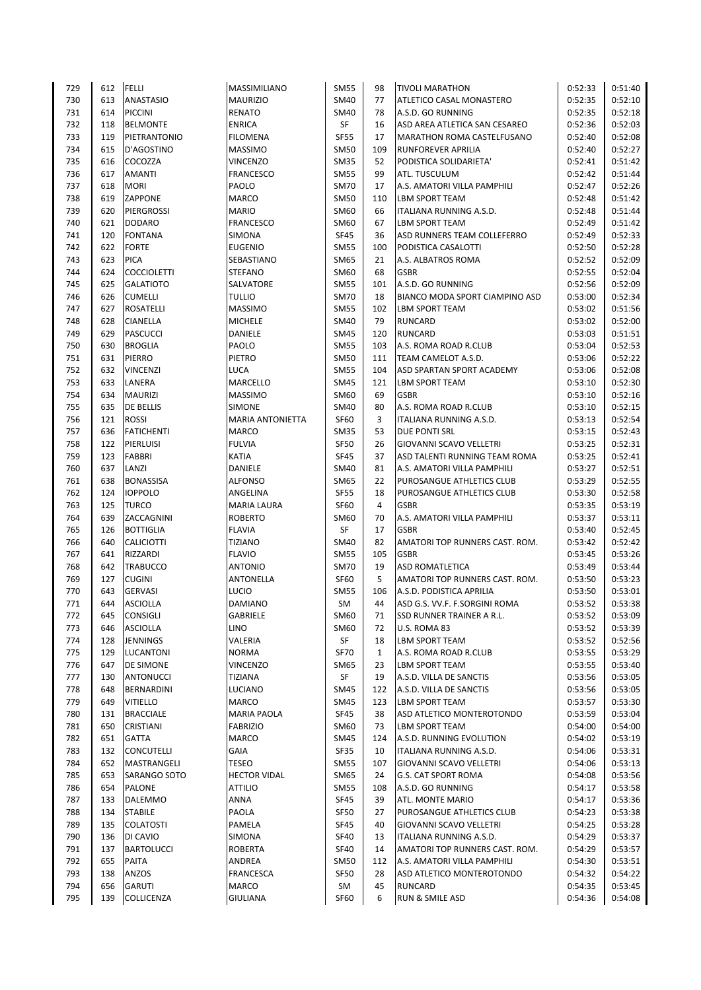| 729 | 612 | <b>FELLI</b>       | MASSIMILIANO            | <b>SM55</b> | 98           | <b>TIVOLI MARATHON</b>         | 0:52:33 | 0:51:40            |
|-----|-----|--------------------|-------------------------|-------------|--------------|--------------------------------|---------|--------------------|
| 730 | 613 | <b>ANASTASIO</b>   | <b>MAURIZIO</b>         | SM40        | 77           | ATLETICO CASAL MONASTERO       | 0:52:35 | 0:52:10            |
| 731 | 614 | <b>PICCINI</b>     | <b>RENATO</b>           | SM40        | 78           | A.S.D. GO RUNNING              | 0:52:35 | 0:52:18            |
| 732 | 118 | <b>BELMONTE</b>    | <b>ENRICA</b>           | SF          | 16           | ASD AREA ATLETICA SAN CESAREO  | 0:52:36 | 0:52:03            |
| 733 | 119 | PIETRANTONIO       | <b>FILOMENA</b>         | <b>SF55</b> | 17           | MARATHON ROMA CASTELFUSANO     | 0:52:40 | 0:52:08            |
| 734 | 615 | D'AGOSTINO         | <b>MASSIMO</b>          | <b>SM50</b> | 109          | RUNFOREVER APRILIA             | 0:52:40 | 0:52:27            |
| 735 | 616 | COCOZZA            | <b>VINCENZO</b>         | <b>SM35</b> | 52           | PODISTICA SOLIDARIETA'         | 0:52:41 | 0:51:42            |
| 736 | 617 | <b>AMANTI</b>      | <b>FRANCESCO</b>        | <b>SM55</b> | 99           | ATL. TUSCULUM                  | 0:52:42 | 0:51:44            |
| 737 | 618 | <b>MORI</b>        | PAOLO                   | <b>SM70</b> | 17           | A.S. AMATORI VILLA PAMPHILI    | 0:52:47 | 0:52:26            |
| 738 | 619 | ZAPPONE            | <b>MARCO</b>            | <b>SM50</b> | 110          | <b>LBM SPORT TEAM</b>          | 0:52:48 | 0:51:42            |
| 739 | 620 | PIERGROSSI         | <b>MARIO</b>            | SM60        | 66           | ITALIANA RUNNING A.S.D.        | 0:52:48 | 0:51:44            |
| 740 | 621 | <b>DODARO</b>      | <b>FRANCESCO</b>        | SM60        | 67           | <b>LBM SPORT TEAM</b>          | 0:52:49 | 0:51:42            |
| 741 | 120 | <b>FONTANA</b>     | SIMONA                  | <b>SF45</b> | 36           | ASD RUNNERS TEAM COLLEFERRO    | 0:52:49 | 0:52:33            |
| 742 | 622 | <b>FORTE</b>       | <b>EUGENIO</b>          | <b>SM55</b> | 100          | PODISTICA CASALOTTI            | 0:52:50 | 0:52:28            |
| 743 | 623 | <b>PICA</b>        | SEBASTIANO              | <b>SM65</b> | 21           | A.S. ALBATROS ROMA             | 0:52:52 | 0:52:09            |
| 744 | 624 | <b>COCCIOLETTI</b> | <b>STEFANO</b>          | SM60        | 68           | <b>GSBR</b>                    | 0:52:55 | 0:52:04            |
| 745 | 625 | <b>GALATIOTO</b>   | SALVATORE               | <b>SM55</b> | 101          | A.S.D. GO RUNNING              | 0:52:56 | 0:52:09            |
| 746 | 626 | <b>CUMELLI</b>     | <b>TULLIO</b>           | <b>SM70</b> | 18           | BIANCO MODA SPORT CIAMPINO ASD | 0:53:00 | 0:52:34            |
| 747 | 627 | <b>ROSATELLI</b>   | <b>MASSIMO</b>          | <b>SM55</b> | 102          | <b>LBM SPORT TEAM</b>          | 0:53:02 | 0:51:56            |
| 748 | 628 | <b>CIANELLA</b>    | <b>MICHELE</b>          | SM40        | 79           | <b>RUNCARD</b>                 | 0:53:02 | 0:52:00            |
| 749 | 629 | <b>PASCUCCI</b>    | <b>DANIELE</b>          | <b>SM45</b> | 120          | <b>RUNCARD</b>                 | 0:53:03 | 0:51:51            |
| 750 | 630 | <b>BROGLIA</b>     | PAOLO                   | <b>SM55</b> | 103          | A.S. ROMA ROAD R.CLUB          | 0:53:04 | 0:52:53            |
| 751 | 631 | PIERRO             | PIETRO                  | SM50        | 111          | TEAM CAMELOT A.S.D.            | 0:53:06 | 0:52:22            |
| 752 | 632 | <b>VINCENZI</b>    | LUCA                    | <b>SM55</b> | 104          | ASD SPARTAN SPORT ACADEMY      | 0:53:06 | 0:52:08            |
| 753 | 633 | LANERA             | <b>MARCELLO</b>         | <b>SM45</b> | 121          | LBM SPORT TEAM                 | 0:53:10 | 0:52:30            |
| 754 | 634 | <b>MAURIZI</b>     | <b>MASSIMO</b>          | SM60        | 69           | <b>GSBR</b>                    | 0:53:10 | 0:52:16            |
| 755 | 635 | DE BELLIS          | <b>SIMONE</b>           | SM40        | 80           | A.S. ROMA ROAD R.CLUB          | 0:53:10 | 0:52:15            |
| 756 | 121 | <b>ROSSI</b>       | <b>MARIA ANTONIETTA</b> | SF60        | 3            | ITALIANA RUNNING A.S.D.        | 0:53:13 | 0:52:54            |
| 757 | 636 | <b>FATICHENTI</b>  | <b>MARCO</b>            | <b>SM35</b> | 53           | DUE PONTI SRL                  | 0:53:15 | 0:52:43            |
| 758 | 122 | PIERLUISI          | <b>FULVIA</b>           | <b>SF50</b> | 26           | <b>GIOVANNI SCAVO VELLETRI</b> | 0:53:25 | 0:52:31            |
| 759 | 123 | <b>FABBRI</b>      | <b>KATIA</b>            | <b>SF45</b> | 37           | ASD TALENTI RUNNING TEAM ROMA  | 0:53:25 | 0:52:41            |
|     | 637 | LANZI              |                         | <b>SM40</b> | 81           | A.S. AMATORI VILLA PAMPHILI    | 0:53:27 |                    |
| 760 |     |                    | DANIELE                 |             | 22           |                                |         | 0:52:51<br>0:52:55 |
| 761 | 638 | <b>BONASSISA</b>   | <b>ALFONSO</b>          | SM65        |              | PUROSANGUE ATHLETICS CLUB      | 0:53:29 |                    |
| 762 | 124 | <b>IOPPOLO</b>     | ANGELINA                | <b>SF55</b> | 18           | PUROSANGUE ATHLETICS CLUB      | 0:53:30 | 0:52:58            |
| 763 | 125 | <b>TURCO</b>       | <b>MARIA LAURA</b>      | <b>SF60</b> | 4            | <b>GSBR</b>                    | 0:53:35 | 0:53:19            |
| 764 | 639 | ZACCAGNINI         | <b>ROBERTO</b>          | <b>SM60</b> | 70           | A.S. AMATORI VILLA PAMPHILI    | 0:53:37 | 0:53:11            |
| 765 | 126 | <b>BOTTIGLIA</b>   | <b>FLAVIA</b>           | SF          | 17           | <b>GSBR</b>                    | 0:53:40 | 0:52:45            |
| 766 | 640 | <b>CALICIOTTI</b>  | <b>TIZIANO</b>          | SM40        | 82           | AMATORI TOP RUNNERS CAST. ROM. | 0:53:42 | 0:52:42            |
| 767 | 641 | <b>RIZZARDI</b>    | <b>FLAVIO</b>           | <b>SM55</b> | 105          | <b>GSBR</b>                    | 0:53:45 | 0:53:26            |
| 768 | 642 | <b>TRABUCCO</b>    | <b>ANTONIO</b>          | <b>SM70</b> | 19           | <b>ASD ROMATLETICA</b>         | 0:53:49 | 0:53:44            |
| 769 | 127 | <b>CUGINI</b>      | <b>ANTONELLA</b>        | <b>SF60</b> | 5            | AMATORI TOP RUNNERS CAST. ROM. | 0:53:50 | 0:53:23            |
| 770 | 643 | <b>GERVASI</b>     | <b>LUCIO</b>            | <b>SM55</b> | 106          | A.S.D. PODISTICA APRILIA       | 0:53:50 | 0:53:01            |
| 771 | 644 | <b>ASCIOLLA</b>    | <b>DAMIANO</b>          | SM          | 44           | ASD G.S. VV.F. F.SORGINI ROMA  | 0:53:52 | 0:53:38            |
| 772 | 645 | <b>CONSIGLI</b>    | GABRIELE                | SM60        | 71           | SSD RUNNER TRAINER A R.L.      | 0:53:52 | 0:53:09            |
| 773 | 646 | <b>ASCIOLLA</b>    | <b>LINO</b>             | SM60        | 72           | U.S. ROMA 83                   | 0:53:52 | 0:53:39            |
| 774 | 128 | <b>JENNINGS</b>    | VALERIA                 | SF          | 18           | <b>LBM SPORT TEAM</b>          | 0:53:52 | 0:52:56            |
| 775 | 129 | <b>LUCANTONI</b>   | <b>NORMA</b>            | <b>SF70</b> | $\mathbf{1}$ | A.S. ROMA ROAD R.CLUB          | 0:53:55 | 0:53:29            |
| 776 | 647 | DE SIMONE          | <b>VINCENZO</b>         | <b>SM65</b> | 23           | <b>LBM SPORT TEAM</b>          | 0:53:55 | 0:53:40            |
| 777 | 130 | ANTONUCCI          | TIZIANA                 | SF          | 19           | A.S.D. VILLA DE SANCTIS        | 0:53:56 | 0:53:05            |
| 778 | 648 | BERNARDINI         | LUCIANO                 | SM45        | 122          | A.S.D. VILLA DE SANCTIS        | 0:53:56 | 0:53:05            |
| 779 | 649 | <b>VITIELLO</b>    | MARCO                   | SM45        | 123          | <b>LBM SPORT TEAM</b>          | 0:53:57 | 0:53:30            |
| 780 | 131 | <b>BRACCIALE</b>   | <b>MARIA PAOLA</b>      | SF45        | 38           | ASD ATLETICO MONTEROTONDO      | 0:53:59 | 0:53:04            |
| 781 | 650 | CRISTIANI          | <b>FABRIZIO</b>         | SM60        | 73           | <b>LBM SPORT TEAM</b>          | 0:54:00 | 0:54:00            |
| 782 | 651 | <b>GATTA</b>       | MARCO                   | SM45        | 124          | A.S.D. RUNNING EVOLUTION       | 0:54:02 | 0:53:19            |
| 783 | 132 | <b>CONCUTELLI</b>  | GAIA                    | SF35        | 10           | <b>ITALIANA RUNNING A.S.D.</b> | 0:54:06 | 0:53:31            |
| 784 | 652 | MASTRANGELI        | TESEO                   | SM55        | 107          | GIOVANNI SCAVO VELLETRI        | 0:54:06 | 0:53:13            |
| 785 | 653 | SARANGO SOTO       | <b>HECTOR VIDAL</b>     | SM65        | 24           | G.S. CAT SPORT ROMA            | 0:54:08 | 0:53:56            |
| 786 | 654 | <b>PALONE</b>      | <b>ATTILIO</b>          | <b>SM55</b> | 108          | A.S.D. GO RUNNING              | 0:54:17 | 0:53:58            |
| 787 | 133 | DALEMMO            | ANNA                    | SF45        | 39           | ATL. MONTE MARIO               | 0:54:17 | 0:53:36            |
| 788 | 134 | <b>STABILE</b>     | PAOLA                   | <b>SF50</b> | 27           | PUROSANGUE ATHLETICS CLUB      | 0:54:23 | 0:53:38            |
| 789 | 135 | <b>COLATOSTI</b>   | PAMELA                  | <b>SF45</b> | 40           | <b>GIOVANNI SCAVO VELLETRI</b> | 0:54:25 | 0:53:28            |
| 790 | 136 | DI CAVIO           | SIMONA                  | <b>SF40</b> | 13           | ITALIANA RUNNING A.S.D.        | 0:54:29 | 0:53:37            |
| 791 | 137 | <b>BARTOLUCCI</b>  | <b>ROBERTA</b>          | <b>SF40</b> | 14           | AMATORI TOP RUNNERS CAST. ROM. | 0:54:29 | 0:53:57            |
| 792 | 655 | PAITA              | ANDREA                  | SM50        | 112          | A.S. AMATORI VILLA PAMPHILI    | 0:54:30 | 0:53:51            |
| 793 | 138 | ANZOS              | <b>FRANCESCA</b>        | <b>SF50</b> | 28           | ASD ATLETICO MONTEROTONDO      | 0:54:32 | 0:54:22            |
| 794 | 656 | <b>GARUTI</b>      | MARCO                   | SM          | 45           | <b>RUNCARD</b>                 | 0:54:35 | 0:53:45            |
| 795 | 139 | COLLICENZA         | <b>GIULIANA</b>         | <b>SF60</b> | 6            | RUN & SMILE ASD                | 0:54:36 | 0:54:08            |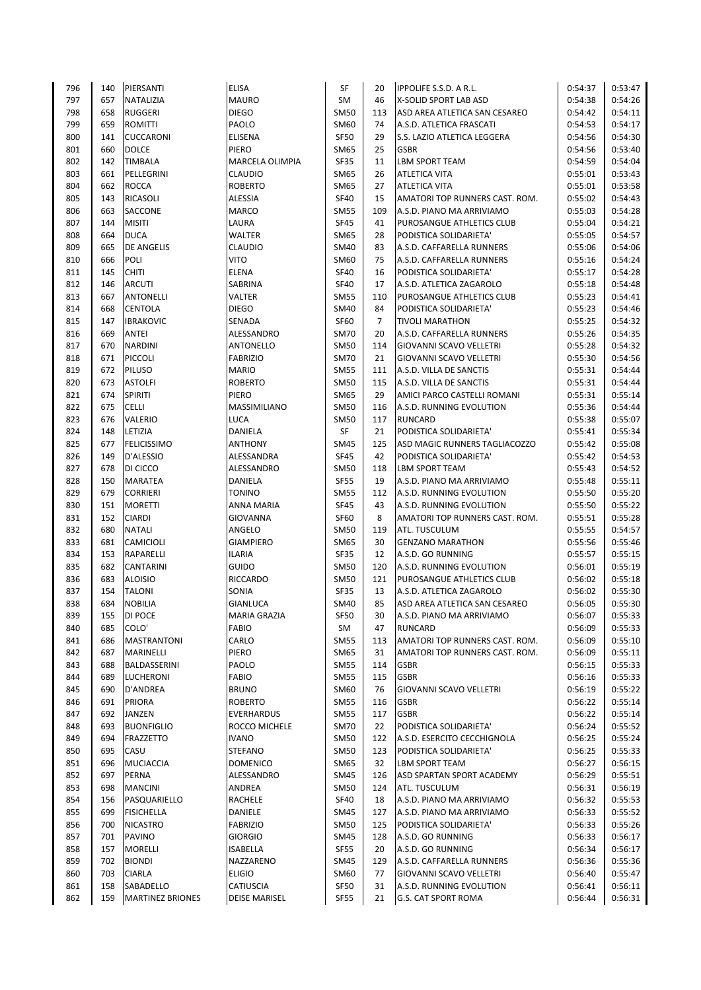| 140 | PIERSANTI                                                                                                                                                                                                                                                              | <b>ELISA</b>                                                                                                                                                                                                                                                                                                                                                                                                                                                                                                                                                                                                                                       | SF                                                                                                                                                                                                                                                                                                                                                                                                                                                                                                                                                                                 | 20                                                                                                                                                                                                                                                                                                                                                                                                                                                                                               | <b>IPPOLIFE S.S.D. A R.L.</b>                                                                                                                                                                                                       | 0:54:37                                                                                                                                                                                                                                                                                                                                                                                                                                                                                                                                                                                                                                                                                                                                                                                                                                                                                                                                                                                                                                                                    | 0:53:47                                                                                                                                                                                                                                                                                                                                                                                                                                   |
|-----|------------------------------------------------------------------------------------------------------------------------------------------------------------------------------------------------------------------------------------------------------------------------|----------------------------------------------------------------------------------------------------------------------------------------------------------------------------------------------------------------------------------------------------------------------------------------------------------------------------------------------------------------------------------------------------------------------------------------------------------------------------------------------------------------------------------------------------------------------------------------------------------------------------------------------------|------------------------------------------------------------------------------------------------------------------------------------------------------------------------------------------------------------------------------------------------------------------------------------------------------------------------------------------------------------------------------------------------------------------------------------------------------------------------------------------------------------------------------------------------------------------------------------|--------------------------------------------------------------------------------------------------------------------------------------------------------------------------------------------------------------------------------------------------------------------------------------------------------------------------------------------------------------------------------------------------------------------------------------------------------------------------------------------------|-------------------------------------------------------------------------------------------------------------------------------------------------------------------------------------------------------------------------------------|----------------------------------------------------------------------------------------------------------------------------------------------------------------------------------------------------------------------------------------------------------------------------------------------------------------------------------------------------------------------------------------------------------------------------------------------------------------------------------------------------------------------------------------------------------------------------------------------------------------------------------------------------------------------------------------------------------------------------------------------------------------------------------------------------------------------------------------------------------------------------------------------------------------------------------------------------------------------------------------------------------------------------------------------------------------------------|-------------------------------------------------------------------------------------------------------------------------------------------------------------------------------------------------------------------------------------------------------------------------------------------------------------------------------------------------------------------------------------------------------------------------------------------|
| 657 | <b>NATALIZIA</b>                                                                                                                                                                                                                                                       | <b>MAURO</b>                                                                                                                                                                                                                                                                                                                                                                                                                                                                                                                                                                                                                                       | SM                                                                                                                                                                                                                                                                                                                                                                                                                                                                                                                                                                                 | 46                                                                                                                                                                                                                                                                                                                                                                                                                                                                                               | X-SOLID SPORT LAB ASD                                                                                                                                                                                                               | 0:54:38                                                                                                                                                                                                                                                                                                                                                                                                                                                                                                                                                                                                                                                                                                                                                                                                                                                                                                                                                                                                                                                                    | 0:54:26                                                                                                                                                                                                                                                                                                                                                                                                                                   |
| 658 | <b>RUGGERI</b>                                                                                                                                                                                                                                                         | <b>DIEGO</b>                                                                                                                                                                                                                                                                                                                                                                                                                                                                                                                                                                                                                                       | <b>SM50</b>                                                                                                                                                                                                                                                                                                                                                                                                                                                                                                                                                                        | 113                                                                                                                                                                                                                                                                                                                                                                                                                                                                                              | ASD AREA ATLETICA SAN CESAREO                                                                                                                                                                                                       | 0:54:42                                                                                                                                                                                                                                                                                                                                                                                                                                                                                                                                                                                                                                                                                                                                                                                                                                                                                                                                                                                                                                                                    | 0:54:11                                                                                                                                                                                                                                                                                                                                                                                                                                   |
| 659 | <b>ROMITTI</b>                                                                                                                                                                                                                                                         | PAOLO                                                                                                                                                                                                                                                                                                                                                                                                                                                                                                                                                                                                                                              | SM60                                                                                                                                                                                                                                                                                                                                                                                                                                                                                                                                                                               | 74                                                                                                                                                                                                                                                                                                                                                                                                                                                                                               | A.S.D. ATLETICA FRASCATI                                                                                                                                                                                                            | 0:54:53                                                                                                                                                                                                                                                                                                                                                                                                                                                                                                                                                                                                                                                                                                                                                                                                                                                                                                                                                                                                                                                                    | 0:54:17                                                                                                                                                                                                                                                                                                                                                                                                                                   |
| 141 | <b>CUCCARONI</b>                                                                                                                                                                                                                                                       | <b>ELISENA</b>                                                                                                                                                                                                                                                                                                                                                                                                                                                                                                                                                                                                                                     | SF50                                                                                                                                                                                                                                                                                                                                                                                                                                                                                                                                                                               | 29                                                                                                                                                                                                                                                                                                                                                                                                                                                                                               | S.S. LAZIO ATLETICA LEGGERA                                                                                                                                                                                                         | 0:54:56                                                                                                                                                                                                                                                                                                                                                                                                                                                                                                                                                                                                                                                                                                                                                                                                                                                                                                                                                                                                                                                                    | 0:54:30                                                                                                                                                                                                                                                                                                                                                                                                                                   |
| 660 | <b>DOLCE</b>                                                                                                                                                                                                                                                           | PIERO                                                                                                                                                                                                                                                                                                                                                                                                                                                                                                                                                                                                                                              | SM65                                                                                                                                                                                                                                                                                                                                                                                                                                                                                                                                                                               | 25                                                                                                                                                                                                                                                                                                                                                                                                                                                                                               | <b>GSBR</b>                                                                                                                                                                                                                         | 0:54:56                                                                                                                                                                                                                                                                                                                                                                                                                                                                                                                                                                                                                                                                                                                                                                                                                                                                                                                                                                                                                                                                    | 0:53:40                                                                                                                                                                                                                                                                                                                                                                                                                                   |
| 142 | <b>TIMBALA</b>                                                                                                                                                                                                                                                         | MARCELA OLIMPIA                                                                                                                                                                                                                                                                                                                                                                                                                                                                                                                                                                                                                                    | SF35                                                                                                                                                                                                                                                                                                                                                                                                                                                                                                                                                                               | 11                                                                                                                                                                                                                                                                                                                                                                                                                                                                                               | <b>LBM SPORT TEAM</b>                                                                                                                                                                                                               | 0:54:59                                                                                                                                                                                                                                                                                                                                                                                                                                                                                                                                                                                                                                                                                                                                                                                                                                                                                                                                                                                                                                                                    | 0:54:04                                                                                                                                                                                                                                                                                                                                                                                                                                   |
| 661 | PELLEGRINI                                                                                                                                                                                                                                                             | <b>CLAUDIO</b>                                                                                                                                                                                                                                                                                                                                                                                                                                                                                                                                                                                                                                     | SM65                                                                                                                                                                                                                                                                                                                                                                                                                                                                                                                                                                               | 26                                                                                                                                                                                                                                                                                                                                                                                                                                                                                               | <b>ATLETICA VITA</b>                                                                                                                                                                                                                | 0:55:01                                                                                                                                                                                                                                                                                                                                                                                                                                                                                                                                                                                                                                                                                                                                                                                                                                                                                                                                                                                                                                                                    | 0:53:43                                                                                                                                                                                                                                                                                                                                                                                                                                   |
| 662 | <b>ROCCA</b>                                                                                                                                                                                                                                                           | <b>ROBERTO</b>                                                                                                                                                                                                                                                                                                                                                                                                                                                                                                                                                                                                                                     | SM65                                                                                                                                                                                                                                                                                                                                                                                                                                                                                                                                                                               | 27                                                                                                                                                                                                                                                                                                                                                                                                                                                                                               | <b>ATLETICA VITA</b>                                                                                                                                                                                                                | 0:55:01                                                                                                                                                                                                                                                                                                                                                                                                                                                                                                                                                                                                                                                                                                                                                                                                                                                                                                                                                                                                                                                                    | 0:53:58                                                                                                                                                                                                                                                                                                                                                                                                                                   |
| 143 | <b>RICASOLI</b>                                                                                                                                                                                                                                                        | ALESSIA                                                                                                                                                                                                                                                                                                                                                                                                                                                                                                                                                                                                                                            | <b>SF40</b>                                                                                                                                                                                                                                                                                                                                                                                                                                                                                                                                                                        | 15                                                                                                                                                                                                                                                                                                                                                                                                                                                                                               | AMATORI TOP RUNNERS CAST. ROM.                                                                                                                                                                                                      | 0:55:02                                                                                                                                                                                                                                                                                                                                                                                                                                                                                                                                                                                                                                                                                                                                                                                                                                                                                                                                                                                                                                                                    | 0:54:43                                                                                                                                                                                                                                                                                                                                                                                                                                   |
| 663 | SACCONE                                                                                                                                                                                                                                                                | <b>MARCO</b>                                                                                                                                                                                                                                                                                                                                                                                                                                                                                                                                                                                                                                       | <b>SM55</b>                                                                                                                                                                                                                                                                                                                                                                                                                                                                                                                                                                        | 109                                                                                                                                                                                                                                                                                                                                                                                                                                                                                              | A.S.D. PIANO MA ARRIVIAMO                                                                                                                                                                                                           | 0:55:03                                                                                                                                                                                                                                                                                                                                                                                                                                                                                                                                                                                                                                                                                                                                                                                                                                                                                                                                                                                                                                                                    | 0:54:28                                                                                                                                                                                                                                                                                                                                                                                                                                   |
| 144 | <b>MISITI</b>                                                                                                                                                                                                                                                          | LAURA                                                                                                                                                                                                                                                                                                                                                                                                                                                                                                                                                                                                                                              | <b>SF45</b>                                                                                                                                                                                                                                                                                                                                                                                                                                                                                                                                                                        | 41                                                                                                                                                                                                                                                                                                                                                                                                                                                                                               | PUROSANGUE ATHLETICS CLUB                                                                                                                                                                                                           | 0:55:04                                                                                                                                                                                                                                                                                                                                                                                                                                                                                                                                                                                                                                                                                                                                                                                                                                                                                                                                                                                                                                                                    | 0:54:21                                                                                                                                                                                                                                                                                                                                                                                                                                   |
| 664 | <b>DUCA</b>                                                                                                                                                                                                                                                            | WALTER                                                                                                                                                                                                                                                                                                                                                                                                                                                                                                                                                                                                                                             | SM65                                                                                                                                                                                                                                                                                                                                                                                                                                                                                                                                                                               | 28                                                                                                                                                                                                                                                                                                                                                                                                                                                                                               | PODISTICA SOLIDARIETA'                                                                                                                                                                                                              | 0:55:05                                                                                                                                                                                                                                                                                                                                                                                                                                                                                                                                                                                                                                                                                                                                                                                                                                                                                                                                                                                                                                                                    | 0:54:57                                                                                                                                                                                                                                                                                                                                                                                                                                   |
| 665 | <b>DE ANGELIS</b>                                                                                                                                                                                                                                                      | <b>CLAUDIO</b>                                                                                                                                                                                                                                                                                                                                                                                                                                                                                                                                                                                                                                     |                                                                                                                                                                                                                                                                                                                                                                                                                                                                                                                                                                                    | 83                                                                                                                                                                                                                                                                                                                                                                                                                                                                                               | A.S.D. CAFFARELLA RUNNERS                                                                                                                                                                                                           | 0:55:06                                                                                                                                                                                                                                                                                                                                                                                                                                                                                                                                                                                                                                                                                                                                                                                                                                                                                                                                                                                                                                                                    | 0:54:06                                                                                                                                                                                                                                                                                                                                                                                                                                   |
| 666 | POLI                                                                                                                                                                                                                                                                   |                                                                                                                                                                                                                                                                                                                                                                                                                                                                                                                                                                                                                                                    |                                                                                                                                                                                                                                                                                                                                                                                                                                                                                                                                                                                    | 75                                                                                                                                                                                                                                                                                                                                                                                                                                                                                               |                                                                                                                                                                                                                                     |                                                                                                                                                                                                                                                                                                                                                                                                                                                                                                                                                                                                                                                                                                                                                                                                                                                                                                                                                                                                                                                                            | 0:54:24                                                                                                                                                                                                                                                                                                                                                                                                                                   |
|     |                                                                                                                                                                                                                                                                        |                                                                                                                                                                                                                                                                                                                                                                                                                                                                                                                                                                                                                                                    |                                                                                                                                                                                                                                                                                                                                                                                                                                                                                                                                                                                    | 16                                                                                                                                                                                                                                                                                                                                                                                                                                                                                               |                                                                                                                                                                                                                                     |                                                                                                                                                                                                                                                                                                                                                                                                                                                                                                                                                                                                                                                                                                                                                                                                                                                                                                                                                                                                                                                                            | 0:54:28                                                                                                                                                                                                                                                                                                                                                                                                                                   |
| 146 | <b>ARCUTI</b>                                                                                                                                                                                                                                                          | SABRINA                                                                                                                                                                                                                                                                                                                                                                                                                                                                                                                                                                                                                                            | <b>SF40</b>                                                                                                                                                                                                                                                                                                                                                                                                                                                                                                                                                                        | 17                                                                                                                                                                                                                                                                                                                                                                                                                                                                                               |                                                                                                                                                                                                                                     | 0:55:18                                                                                                                                                                                                                                                                                                                                                                                                                                                                                                                                                                                                                                                                                                                                                                                                                                                                                                                                                                                                                                                                    | 0:54:48                                                                                                                                                                                                                                                                                                                                                                                                                                   |
| 667 | <b>ANTONELLI</b>                                                                                                                                                                                                                                                       | VALTER                                                                                                                                                                                                                                                                                                                                                                                                                                                                                                                                                                                                                                             | <b>SM55</b>                                                                                                                                                                                                                                                                                                                                                                                                                                                                                                                                                                        | 110                                                                                                                                                                                                                                                                                                                                                                                                                                                                                              | PUROSANGUE ATHLETICS CLUB                                                                                                                                                                                                           | 0:55:23                                                                                                                                                                                                                                                                                                                                                                                                                                                                                                                                                                                                                                                                                                                                                                                                                                                                                                                                                                                                                                                                    | 0:54:41                                                                                                                                                                                                                                                                                                                                                                                                                                   |
|     |                                                                                                                                                                                                                                                                        |                                                                                                                                                                                                                                                                                                                                                                                                                                                                                                                                                                                                                                                    |                                                                                                                                                                                                                                                                                                                                                                                                                                                                                                                                                                                    | 84                                                                                                                                                                                                                                                                                                                                                                                                                                                                                               |                                                                                                                                                                                                                                     |                                                                                                                                                                                                                                                                                                                                                                                                                                                                                                                                                                                                                                                                                                                                                                                                                                                                                                                                                                                                                                                                            | 0:54:46                                                                                                                                                                                                                                                                                                                                                                                                                                   |
|     |                                                                                                                                                                                                                                                                        |                                                                                                                                                                                                                                                                                                                                                                                                                                                                                                                                                                                                                                                    |                                                                                                                                                                                                                                                                                                                                                                                                                                                                                                                                                                                    |                                                                                                                                                                                                                                                                                                                                                                                                                                                                                                  |                                                                                                                                                                                                                                     |                                                                                                                                                                                                                                                                                                                                                                                                                                                                                                                                                                                                                                                                                                                                                                                                                                                                                                                                                                                                                                                                            | 0:54:32                                                                                                                                                                                                                                                                                                                                                                                                                                   |
|     |                                                                                                                                                                                                                                                                        |                                                                                                                                                                                                                                                                                                                                                                                                                                                                                                                                                                                                                                                    |                                                                                                                                                                                                                                                                                                                                                                                                                                                                                                                                                                                    |                                                                                                                                                                                                                                                                                                                                                                                                                                                                                                  |                                                                                                                                                                                                                                     |                                                                                                                                                                                                                                                                                                                                                                                                                                                                                                                                                                                                                                                                                                                                                                                                                                                                                                                                                                                                                                                                            | 0:54:35                                                                                                                                                                                                                                                                                                                                                                                                                                   |
|     |                                                                                                                                                                                                                                                                        |                                                                                                                                                                                                                                                                                                                                                                                                                                                                                                                                                                                                                                                    |                                                                                                                                                                                                                                                                                                                                                                                                                                                                                                                                                                                    |                                                                                                                                                                                                                                                                                                                                                                                                                                                                                                  |                                                                                                                                                                                                                                     |                                                                                                                                                                                                                                                                                                                                                                                                                                                                                                                                                                                                                                                                                                                                                                                                                                                                                                                                                                                                                                                                            | 0:54:32                                                                                                                                                                                                                                                                                                                                                                                                                                   |
|     |                                                                                                                                                                                                                                                                        |                                                                                                                                                                                                                                                                                                                                                                                                                                                                                                                                                                                                                                                    |                                                                                                                                                                                                                                                                                                                                                                                                                                                                                                                                                                                    |                                                                                                                                                                                                                                                                                                                                                                                                                                                                                                  |                                                                                                                                                                                                                                     |                                                                                                                                                                                                                                                                                                                                                                                                                                                                                                                                                                                                                                                                                                                                                                                                                                                                                                                                                                                                                                                                            | 0:54:56                                                                                                                                                                                                                                                                                                                                                                                                                                   |
|     |                                                                                                                                                                                                                                                                        |                                                                                                                                                                                                                                                                                                                                                                                                                                                                                                                                                                                                                                                    |                                                                                                                                                                                                                                                                                                                                                                                                                                                                                                                                                                                    |                                                                                                                                                                                                                                                                                                                                                                                                                                                                                                  |                                                                                                                                                                                                                                     |                                                                                                                                                                                                                                                                                                                                                                                                                                                                                                                                                                                                                                                                                                                                                                                                                                                                                                                                                                                                                                                                            | 0:54:44                                                                                                                                                                                                                                                                                                                                                                                                                                   |
|     |                                                                                                                                                                                                                                                                        |                                                                                                                                                                                                                                                                                                                                                                                                                                                                                                                                                                                                                                                    |                                                                                                                                                                                                                                                                                                                                                                                                                                                                                                                                                                                    |                                                                                                                                                                                                                                                                                                                                                                                                                                                                                                  |                                                                                                                                                                                                                                     |                                                                                                                                                                                                                                                                                                                                                                                                                                                                                                                                                                                                                                                                                                                                                                                                                                                                                                                                                                                                                                                                            | 0:54:44                                                                                                                                                                                                                                                                                                                                                                                                                                   |
|     |                                                                                                                                                                                                                                                                        |                                                                                                                                                                                                                                                                                                                                                                                                                                                                                                                                                                                                                                                    |                                                                                                                                                                                                                                                                                                                                                                                                                                                                                                                                                                                    |                                                                                                                                                                                                                                                                                                                                                                                                                                                                                                  |                                                                                                                                                                                                                                     |                                                                                                                                                                                                                                                                                                                                                                                                                                                                                                                                                                                                                                                                                                                                                                                                                                                                                                                                                                                                                                                                            | 0:55:14                                                                                                                                                                                                                                                                                                                                                                                                                                   |
|     |                                                                                                                                                                                                                                                                        |                                                                                                                                                                                                                                                                                                                                                                                                                                                                                                                                                                                                                                                    |                                                                                                                                                                                                                                                                                                                                                                                                                                                                                                                                                                                    |                                                                                                                                                                                                                                                                                                                                                                                                                                                                                                  |                                                                                                                                                                                                                                     |                                                                                                                                                                                                                                                                                                                                                                                                                                                                                                                                                                                                                                                                                                                                                                                                                                                                                                                                                                                                                                                                            | 0:54:44                                                                                                                                                                                                                                                                                                                                                                                                                                   |
|     |                                                                                                                                                                                                                                                                        |                                                                                                                                                                                                                                                                                                                                                                                                                                                                                                                                                                                                                                                    |                                                                                                                                                                                                                                                                                                                                                                                                                                                                                                                                                                                    |                                                                                                                                                                                                                                                                                                                                                                                                                                                                                                  |                                                                                                                                                                                                                                     |                                                                                                                                                                                                                                                                                                                                                                                                                                                                                                                                                                                                                                                                                                                                                                                                                                                                                                                                                                                                                                                                            | 0:55:07                                                                                                                                                                                                                                                                                                                                                                                                                                   |
|     |                                                                                                                                                                                                                                                                        |                                                                                                                                                                                                                                                                                                                                                                                                                                                                                                                                                                                                                                                    |                                                                                                                                                                                                                                                                                                                                                                                                                                                                                                                                                                                    |                                                                                                                                                                                                                                                                                                                                                                                                                                                                                                  |                                                                                                                                                                                                                                     |                                                                                                                                                                                                                                                                                                                                                                                                                                                                                                                                                                                                                                                                                                                                                                                                                                                                                                                                                                                                                                                                            | 0:55:34                                                                                                                                                                                                                                                                                                                                                                                                                                   |
|     |                                                                                                                                                                                                                                                                        |                                                                                                                                                                                                                                                                                                                                                                                                                                                                                                                                                                                                                                                    |                                                                                                                                                                                                                                                                                                                                                                                                                                                                                                                                                                                    |                                                                                                                                                                                                                                                                                                                                                                                                                                                                                                  |                                                                                                                                                                                                                                     |                                                                                                                                                                                                                                                                                                                                                                                                                                                                                                                                                                                                                                                                                                                                                                                                                                                                                                                                                                                                                                                                            | 0:55:08                                                                                                                                                                                                                                                                                                                                                                                                                                   |
|     |                                                                                                                                                                                                                                                                        |                                                                                                                                                                                                                                                                                                                                                                                                                                                                                                                                                                                                                                                    |                                                                                                                                                                                                                                                                                                                                                                                                                                                                                                                                                                                    |                                                                                                                                                                                                                                                                                                                                                                                                                                                                                                  |                                                                                                                                                                                                                                     |                                                                                                                                                                                                                                                                                                                                                                                                                                                                                                                                                                                                                                                                                                                                                                                                                                                                                                                                                                                                                                                                            | 0:54:53                                                                                                                                                                                                                                                                                                                                                                                                                                   |
|     |                                                                                                                                                                                                                                                                        |                                                                                                                                                                                                                                                                                                                                                                                                                                                                                                                                                                                                                                                    |                                                                                                                                                                                                                                                                                                                                                                                                                                                                                                                                                                                    |                                                                                                                                                                                                                                                                                                                                                                                                                                                                                                  |                                                                                                                                                                                                                                     |                                                                                                                                                                                                                                                                                                                                                                                                                                                                                                                                                                                                                                                                                                                                                                                                                                                                                                                                                                                                                                                                            | 0:54:52                                                                                                                                                                                                                                                                                                                                                                                                                                   |
|     |                                                                                                                                                                                                                                                                        |                                                                                                                                                                                                                                                                                                                                                                                                                                                                                                                                                                                                                                                    |                                                                                                                                                                                                                                                                                                                                                                                                                                                                                                                                                                                    |                                                                                                                                                                                                                                                                                                                                                                                                                                                                                                  |                                                                                                                                                                                                                                     |                                                                                                                                                                                                                                                                                                                                                                                                                                                                                                                                                                                                                                                                                                                                                                                                                                                                                                                                                                                                                                                                            | 0:55:11                                                                                                                                                                                                                                                                                                                                                                                                                                   |
|     |                                                                                                                                                                                                                                                                        |                                                                                                                                                                                                                                                                                                                                                                                                                                                                                                                                                                                                                                                    |                                                                                                                                                                                                                                                                                                                                                                                                                                                                                                                                                                                    |                                                                                                                                                                                                                                                                                                                                                                                                                                                                                                  |                                                                                                                                                                                                                                     |                                                                                                                                                                                                                                                                                                                                                                                                                                                                                                                                                                                                                                                                                                                                                                                                                                                                                                                                                                                                                                                                            |                                                                                                                                                                                                                                                                                                                                                                                                                                           |
|     |                                                                                                                                                                                                                                                                        |                                                                                                                                                                                                                                                                                                                                                                                                                                                                                                                                                                                                                                                    |                                                                                                                                                                                                                                                                                                                                                                                                                                                                                                                                                                                    |                                                                                                                                                                                                                                                                                                                                                                                                                                                                                                  |                                                                                                                                                                                                                                     |                                                                                                                                                                                                                                                                                                                                                                                                                                                                                                                                                                                                                                                                                                                                                                                                                                                                                                                                                                                                                                                                            | 0:55:20                                                                                                                                                                                                                                                                                                                                                                                                                                   |
|     |                                                                                                                                                                                                                                                                        |                                                                                                                                                                                                                                                                                                                                                                                                                                                                                                                                                                                                                                                    |                                                                                                                                                                                                                                                                                                                                                                                                                                                                                                                                                                                    |                                                                                                                                                                                                                                                                                                                                                                                                                                                                                                  |                                                                                                                                                                                                                                     |                                                                                                                                                                                                                                                                                                                                                                                                                                                                                                                                                                                                                                                                                                                                                                                                                                                                                                                                                                                                                                                                            | 0:55:22                                                                                                                                                                                                                                                                                                                                                                                                                                   |
|     |                                                                                                                                                                                                                                                                        |                                                                                                                                                                                                                                                                                                                                                                                                                                                                                                                                                                                                                                                    |                                                                                                                                                                                                                                                                                                                                                                                                                                                                                                                                                                                    |                                                                                                                                                                                                                                                                                                                                                                                                                                                                                                  |                                                                                                                                                                                                                                     |                                                                                                                                                                                                                                                                                                                                                                                                                                                                                                                                                                                                                                                                                                                                                                                                                                                                                                                                                                                                                                                                            | 0:55:28                                                                                                                                                                                                                                                                                                                                                                                                                                   |
|     |                                                                                                                                                                                                                                                                        |                                                                                                                                                                                                                                                                                                                                                                                                                                                                                                                                                                                                                                                    |                                                                                                                                                                                                                                                                                                                                                                                                                                                                                                                                                                                    |                                                                                                                                                                                                                                                                                                                                                                                                                                                                                                  |                                                                                                                                                                                                                                     |                                                                                                                                                                                                                                                                                                                                                                                                                                                                                                                                                                                                                                                                                                                                                                                                                                                                                                                                                                                                                                                                            | 0:54:57                                                                                                                                                                                                                                                                                                                                                                                                                                   |
|     |                                                                                                                                                                                                                                                                        |                                                                                                                                                                                                                                                                                                                                                                                                                                                                                                                                                                                                                                                    |                                                                                                                                                                                                                                                                                                                                                                                                                                                                                                                                                                                    |                                                                                                                                                                                                                                                                                                                                                                                                                                                                                                  |                                                                                                                                                                                                                                     |                                                                                                                                                                                                                                                                                                                                                                                                                                                                                                                                                                                                                                                                                                                                                                                                                                                                                                                                                                                                                                                                            | 0:55:46                                                                                                                                                                                                                                                                                                                                                                                                                                   |
|     |                                                                                                                                                                                                                                                                        |                                                                                                                                                                                                                                                                                                                                                                                                                                                                                                                                                                                                                                                    |                                                                                                                                                                                                                                                                                                                                                                                                                                                                                                                                                                                    |                                                                                                                                                                                                                                                                                                                                                                                                                                                                                                  |                                                                                                                                                                                                                                     |                                                                                                                                                                                                                                                                                                                                                                                                                                                                                                                                                                                                                                                                                                                                                                                                                                                                                                                                                                                                                                                                            | 0:55:15                                                                                                                                                                                                                                                                                                                                                                                                                                   |
|     |                                                                                                                                                                                                                                                                        |                                                                                                                                                                                                                                                                                                                                                                                                                                                                                                                                                                                                                                                    |                                                                                                                                                                                                                                                                                                                                                                                                                                                                                                                                                                                    |                                                                                                                                                                                                                                                                                                                                                                                                                                                                                                  |                                                                                                                                                                                                                                     |                                                                                                                                                                                                                                                                                                                                                                                                                                                                                                                                                                                                                                                                                                                                                                                                                                                                                                                                                                                                                                                                            | 0:55:19                                                                                                                                                                                                                                                                                                                                                                                                                                   |
|     |                                                                                                                                                                                                                                                                        |                                                                                                                                                                                                                                                                                                                                                                                                                                                                                                                                                                                                                                                    |                                                                                                                                                                                                                                                                                                                                                                                                                                                                                                                                                                                    |                                                                                                                                                                                                                                                                                                                                                                                                                                                                                                  |                                                                                                                                                                                                                                     |                                                                                                                                                                                                                                                                                                                                                                                                                                                                                                                                                                                                                                                                                                                                                                                                                                                                                                                                                                                                                                                                            | 0:55:18                                                                                                                                                                                                                                                                                                                                                                                                                                   |
|     |                                                                                                                                                                                                                                                                        |                                                                                                                                                                                                                                                                                                                                                                                                                                                                                                                                                                                                                                                    |                                                                                                                                                                                                                                                                                                                                                                                                                                                                                                                                                                                    |                                                                                                                                                                                                                                                                                                                                                                                                                                                                                                  |                                                                                                                                                                                                                                     |                                                                                                                                                                                                                                                                                                                                                                                                                                                                                                                                                                                                                                                                                                                                                                                                                                                                                                                                                                                                                                                                            | 0:55:30                                                                                                                                                                                                                                                                                                                                                                                                                                   |
|     |                                                                                                                                                                                                                                                                        |                                                                                                                                                                                                                                                                                                                                                                                                                                                                                                                                                                                                                                                    |                                                                                                                                                                                                                                                                                                                                                                                                                                                                                                                                                                                    |                                                                                                                                                                                                                                                                                                                                                                                                                                                                                                  |                                                                                                                                                                                                                                     |                                                                                                                                                                                                                                                                                                                                                                                                                                                                                                                                                                                                                                                                                                                                                                                                                                                                                                                                                                                                                                                                            | 0:55:30                                                                                                                                                                                                                                                                                                                                                                                                                                   |
|     |                                                                                                                                                                                                                                                                        |                                                                                                                                                                                                                                                                                                                                                                                                                                                                                                                                                                                                                                                    |                                                                                                                                                                                                                                                                                                                                                                                                                                                                                                                                                                                    |                                                                                                                                                                                                                                                                                                                                                                                                                                                                                                  |                                                                                                                                                                                                                                     |                                                                                                                                                                                                                                                                                                                                                                                                                                                                                                                                                                                                                                                                                                                                                                                                                                                                                                                                                                                                                                                                            | 0:55:33                                                                                                                                                                                                                                                                                                                                                                                                                                   |
|     |                                                                                                                                                                                                                                                                        |                                                                                                                                                                                                                                                                                                                                                                                                                                                                                                                                                                                                                                                    |                                                                                                                                                                                                                                                                                                                                                                                                                                                                                                                                                                                    |                                                                                                                                                                                                                                                                                                                                                                                                                                                                                                  |                                                                                                                                                                                                                                     |                                                                                                                                                                                                                                                                                                                                                                                                                                                                                                                                                                                                                                                                                                                                                                                                                                                                                                                                                                                                                                                                            | 0:55:33                                                                                                                                                                                                                                                                                                                                                                                                                                   |
|     |                                                                                                                                                                                                                                                                        |                                                                                                                                                                                                                                                                                                                                                                                                                                                                                                                                                                                                                                                    |                                                                                                                                                                                                                                                                                                                                                                                                                                                                                                                                                                                    |                                                                                                                                                                                                                                                                                                                                                                                                                                                                                                  |                                                                                                                                                                                                                                     |                                                                                                                                                                                                                                                                                                                                                                                                                                                                                                                                                                                                                                                                                                                                                                                                                                                                                                                                                                                                                                                                            | 0:55:10                                                                                                                                                                                                                                                                                                                                                                                                                                   |
|     |                                                                                                                                                                                                                                                                        |                                                                                                                                                                                                                                                                                                                                                                                                                                                                                                                                                                                                                                                    |                                                                                                                                                                                                                                                                                                                                                                                                                                                                                                                                                                                    |                                                                                                                                                                                                                                                                                                                                                                                                                                                                                                  |                                                                                                                                                                                                                                     |                                                                                                                                                                                                                                                                                                                                                                                                                                                                                                                                                                                                                                                                                                                                                                                                                                                                                                                                                                                                                                                                            | 0:55:11                                                                                                                                                                                                                                                                                                                                                                                                                                   |
|     |                                                                                                                                                                                                                                                                        |                                                                                                                                                                                                                                                                                                                                                                                                                                                                                                                                                                                                                                                    |                                                                                                                                                                                                                                                                                                                                                                                                                                                                                                                                                                                    |                                                                                                                                                                                                                                                                                                                                                                                                                                                                                                  |                                                                                                                                                                                                                                     |                                                                                                                                                                                                                                                                                                                                                                                                                                                                                                                                                                                                                                                                                                                                                                                                                                                                                                                                                                                                                                                                            | 0:55:33                                                                                                                                                                                                                                                                                                                                                                                                                                   |
|     |                                                                                                                                                                                                                                                                        |                                                                                                                                                                                                                                                                                                                                                                                                                                                                                                                                                                                                                                                    |                                                                                                                                                                                                                                                                                                                                                                                                                                                                                                                                                                                    |                                                                                                                                                                                                                                                                                                                                                                                                                                                                                                  |                                                                                                                                                                                                                                     |                                                                                                                                                                                                                                                                                                                                                                                                                                                                                                                                                                                                                                                                                                                                                                                                                                                                                                                                                                                                                                                                            | 0:55:33                                                                                                                                                                                                                                                                                                                                                                                                                                   |
|     |                                                                                                                                                                                                                                                                        |                                                                                                                                                                                                                                                                                                                                                                                                                                                                                                                                                                                                                                                    |                                                                                                                                                                                                                                                                                                                                                                                                                                                                                                                                                                                    |                                                                                                                                                                                                                                                                                                                                                                                                                                                                                                  |                                                                                                                                                                                                                                     |                                                                                                                                                                                                                                                                                                                                                                                                                                                                                                                                                                                                                                                                                                                                                                                                                                                                                                                                                                                                                                                                            | 0:55:22                                                                                                                                                                                                                                                                                                                                                                                                                                   |
|     |                                                                                                                                                                                                                                                                        |                                                                                                                                                                                                                                                                                                                                                                                                                                                                                                                                                                                                                                                    |                                                                                                                                                                                                                                                                                                                                                                                                                                                                                                                                                                                    |                                                                                                                                                                                                                                                                                                                                                                                                                                                                                                  |                                                                                                                                                                                                                                     |                                                                                                                                                                                                                                                                                                                                                                                                                                                                                                                                                                                                                                                                                                                                                                                                                                                                                                                                                                                                                                                                            | 0:55:14                                                                                                                                                                                                                                                                                                                                                                                                                                   |
|     |                                                                                                                                                                                                                                                                        |                                                                                                                                                                                                                                                                                                                                                                                                                                                                                                                                                                                                                                                    |                                                                                                                                                                                                                                                                                                                                                                                                                                                                                                                                                                                    |                                                                                                                                                                                                                                                                                                                                                                                                                                                                                                  |                                                                                                                                                                                                                                     |                                                                                                                                                                                                                                                                                                                                                                                                                                                                                                                                                                                                                                                                                                                                                                                                                                                                                                                                                                                                                                                                            | 0:55:14                                                                                                                                                                                                                                                                                                                                                                                                                                   |
|     |                                                                                                                                                                                                                                                                        |                                                                                                                                                                                                                                                                                                                                                                                                                                                                                                                                                                                                                                                    |                                                                                                                                                                                                                                                                                                                                                                                                                                                                                                                                                                                    |                                                                                                                                                                                                                                                                                                                                                                                                                                                                                                  |                                                                                                                                                                                                                                     |                                                                                                                                                                                                                                                                                                                                                                                                                                                                                                                                                                                                                                                                                                                                                                                                                                                                                                                                                                                                                                                                            | 0:55:52                                                                                                                                                                                                                                                                                                                                                                                                                                   |
|     |                                                                                                                                                                                                                                                                        |                                                                                                                                                                                                                                                                                                                                                                                                                                                                                                                                                                                                                                                    |                                                                                                                                                                                                                                                                                                                                                                                                                                                                                                                                                                                    |                                                                                                                                                                                                                                                                                                                                                                                                                                                                                                  |                                                                                                                                                                                                                                     |                                                                                                                                                                                                                                                                                                                                                                                                                                                                                                                                                                                                                                                                                                                                                                                                                                                                                                                                                                                                                                                                            | 0:55:24                                                                                                                                                                                                                                                                                                                                                                                                                                   |
| 695 | CASU                                                                                                                                                                                                                                                                   | <b>STEFANO</b>                                                                                                                                                                                                                                                                                                                                                                                                                                                                                                                                                                                                                                     | <b>SM50</b>                                                                                                                                                                                                                                                                                                                                                                                                                                                                                                                                                                        | 123                                                                                                                                                                                                                                                                                                                                                                                                                                                                                              | PODISTICA SOLIDARIETA'                                                                                                                                                                                                              | 0:56:25                                                                                                                                                                                                                                                                                                                                                                                                                                                                                                                                                                                                                                                                                                                                                                                                                                                                                                                                                                                                                                                                    | 0:55:33                                                                                                                                                                                                                                                                                                                                                                                                                                   |
|     |                                                                                                                                                                                                                                                                        |                                                                                                                                                                                                                                                                                                                                                                                                                                                                                                                                                                                                                                                    |                                                                                                                                                                                                                                                                                                                                                                                                                                                                                                                                                                                    |                                                                                                                                                                                                                                                                                                                                                                                                                                                                                                  |                                                                                                                                                                                                                                     |                                                                                                                                                                                                                                                                                                                                                                                                                                                                                                                                                                                                                                                                                                                                                                                                                                                                                                                                                                                                                                                                            | 0:56:15                                                                                                                                                                                                                                                                                                                                                                                                                                   |
| 697 | PERNA                                                                                                                                                                                                                                                                  | ALESSANDRO                                                                                                                                                                                                                                                                                                                                                                                                                                                                                                                                                                                                                                         | SM45                                                                                                                                                                                                                                                                                                                                                                                                                                                                                                                                                                               | 126                                                                                                                                                                                                                                                                                                                                                                                                                                                                                              | ASD SPARTAN SPORT ACADEMY                                                                                                                                                                                                           | 0:56:29                                                                                                                                                                                                                                                                                                                                                                                                                                                                                                                                                                                                                                                                                                                                                                                                                                                                                                                                                                                                                                                                    | 0:55:51                                                                                                                                                                                                                                                                                                                                                                                                                                   |
| 698 | <b>MANCINI</b>                                                                                                                                                                                                                                                         | ANDREA                                                                                                                                                                                                                                                                                                                                                                                                                                                                                                                                                                                                                                             | SM50                                                                                                                                                                                                                                                                                                                                                                                                                                                                                                                                                                               | 124                                                                                                                                                                                                                                                                                                                                                                                                                                                                                              | ATL. TUSCULUM                                                                                                                                                                                                                       | 0:56:31                                                                                                                                                                                                                                                                                                                                                                                                                                                                                                                                                                                                                                                                                                                                                                                                                                                                                                                                                                                                                                                                    | 0:56:19                                                                                                                                                                                                                                                                                                                                                                                                                                   |
| 156 | PASQUARIELLO                                                                                                                                                                                                                                                           | RACHELE                                                                                                                                                                                                                                                                                                                                                                                                                                                                                                                                                                                                                                            | <b>SF40</b>                                                                                                                                                                                                                                                                                                                                                                                                                                                                                                                                                                        | 18                                                                                                                                                                                                                                                                                                                                                                                                                                                                                               | A.S.D. PIANO MA ARRIVIAMO                                                                                                                                                                                                           | 0:56:32                                                                                                                                                                                                                                                                                                                                                                                                                                                                                                                                                                                                                                                                                                                                                                                                                                                                                                                                                                                                                                                                    | 0:55:53                                                                                                                                                                                                                                                                                                                                                                                                                                   |
| 699 | <b>FISICHELLA</b>                                                                                                                                                                                                                                                      | DANIELE                                                                                                                                                                                                                                                                                                                                                                                                                                                                                                                                                                                                                                            | SM45                                                                                                                                                                                                                                                                                                                                                                                                                                                                                                                                                                               | 127                                                                                                                                                                                                                                                                                                                                                                                                                                                                                              | A.S.D. PIANO MA ARRIVIAMO                                                                                                                                                                                                           | 0:56:33                                                                                                                                                                                                                                                                                                                                                                                                                                                                                                                                                                                                                                                                                                                                                                                                                                                                                                                                                                                                                                                                    | 0:55:52                                                                                                                                                                                                                                                                                                                                                                                                                                   |
| 700 | <b>NICASTRO</b>                                                                                                                                                                                                                                                        | <b>FABRIZIO</b>                                                                                                                                                                                                                                                                                                                                                                                                                                                                                                                                                                                                                                    | <b>SM50</b>                                                                                                                                                                                                                                                                                                                                                                                                                                                                                                                                                                        | 125                                                                                                                                                                                                                                                                                                                                                                                                                                                                                              | PODISTICA SOLIDARIETA'                                                                                                                                                                                                              | 0:56:33                                                                                                                                                                                                                                                                                                                                                                                                                                                                                                                                                                                                                                                                                                                                                                                                                                                                                                                                                                                                                                                                    | 0:55:26                                                                                                                                                                                                                                                                                                                                                                                                                                   |
| 701 | <b>PAVINO</b>                                                                                                                                                                                                                                                          | <b>GIORGIO</b>                                                                                                                                                                                                                                                                                                                                                                                                                                                                                                                                                                                                                                     | SM45                                                                                                                                                                                                                                                                                                                                                                                                                                                                                                                                                                               | 128                                                                                                                                                                                                                                                                                                                                                                                                                                                                                              | A.S.D. GO RUNNING                                                                                                                                                                                                                   | 0:56:33                                                                                                                                                                                                                                                                                                                                                                                                                                                                                                                                                                                                                                                                                                                                                                                                                                                                                                                                                                                                                                                                    | 0:56:17                                                                                                                                                                                                                                                                                                                                                                                                                                   |
| 157 | <b>MORELLI</b>                                                                                                                                                                                                                                                         | <b>ISABELLA</b>                                                                                                                                                                                                                                                                                                                                                                                                                                                                                                                                                                                                                                    | SF55                                                                                                                                                                                                                                                                                                                                                                                                                                                                                                                                                                               | 20                                                                                                                                                                                                                                                                                                                                                                                                                                                                                               | A.S.D. GO RUNNING                                                                                                                                                                                                                   | 0:56:34                                                                                                                                                                                                                                                                                                                                                                                                                                                                                                                                                                                                                                                                                                                                                                                                                                                                                                                                                                                                                                                                    | 0:56:17                                                                                                                                                                                                                                                                                                                                                                                                                                   |
|     | <b>BIONDI</b>                                                                                                                                                                                                                                                          | NAZZARENO                                                                                                                                                                                                                                                                                                                                                                                                                                                                                                                                                                                                                                          | SM45                                                                                                                                                                                                                                                                                                                                                                                                                                                                                                                                                                               | 129                                                                                                                                                                                                                                                                                                                                                                                                                                                                                              | A.S.D. CAFFARELLA RUNNERS                                                                                                                                                                                                           | 0:56:36                                                                                                                                                                                                                                                                                                                                                                                                                                                                                                                                                                                                                                                                                                                                                                                                                                                                                                                                                                                                                                                                    | 0:55:36                                                                                                                                                                                                                                                                                                                                                                                                                                   |
| 702 |                                                                                                                                                                                                                                                                        |                                                                                                                                                                                                                                                                                                                                                                                                                                                                                                                                                                                                                                                    |                                                                                                                                                                                                                                                                                                                                                                                                                                                                                                                                                                                    |                                                                                                                                                                                                                                                                                                                                                                                                                                                                                                  |                                                                                                                                                                                                                                     |                                                                                                                                                                                                                                                                                                                                                                                                                                                                                                                                                                                                                                                                                                                                                                                                                                                                                                                                                                                                                                                                            |                                                                                                                                                                                                                                                                                                                                                                                                                                           |
| 703 | <b>CIARLA</b>                                                                                                                                                                                                                                                          | <b>ELIGIO</b>                                                                                                                                                                                                                                                                                                                                                                                                                                                                                                                                                                                                                                      | SM60                                                                                                                                                                                                                                                                                                                                                                                                                                                                                                                                                                               | 77                                                                                                                                                                                                                                                                                                                                                                                                                                                                                               | GIOVANNI SCAVO VELLETRI                                                                                                                                                                                                             | 0:56:40                                                                                                                                                                                                                                                                                                                                                                                                                                                                                                                                                                                                                                                                                                                                                                                                                                                                                                                                                                                                                                                                    | 0:55:47                                                                                                                                                                                                                                                                                                                                                                                                                                   |
| 158 | SABADELLO                                                                                                                                                                                                                                                              | CATIUSCIA                                                                                                                                                                                                                                                                                                                                                                                                                                                                                                                                                                                                                                          | <b>SF50</b>                                                                                                                                                                                                                                                                                                                                                                                                                                                                                                                                                                        | 31                                                                                                                                                                                                                                                                                                                                                                                                                                                                                               | A.S.D. RUNNING EVOLUTION                                                                                                                                                                                                            | 0:56:41                                                                                                                                                                                                                                                                                                                                                                                                                                                                                                                                                                                                                                                                                                                                                                                                                                                                                                                                                                                                                                                                    | 0:56:11                                                                                                                                                                                                                                                                                                                                                                                                                                   |
|     | 145<br>668<br>147<br>669<br>670<br>671<br>672<br>673<br>674<br>675<br>676<br>148<br>677<br>149<br>678<br>150<br>679<br>151<br>152<br>680<br>681<br>153<br>682<br>683<br>154<br>684<br>155<br>685<br>686<br>687<br>688<br>689<br>690<br>691<br>692<br>693<br>694<br>696 | <b>CHITI</b><br><b>CENTOLA</b><br><b>IBRAKOVIC</b><br>ANTEI<br><b>NARDINI</b><br><b>PICCOLI</b><br>PILUSO<br><b>ASTOLFI</b><br><b>SPIRITI</b><br><b>CELLI</b><br><b>VALERIO</b><br>LETIZIA<br><b>FELICISSIMO</b><br>D'ALESSIO<br>DI CICCO<br><b>MARATEA</b><br><b>CORRIERI</b><br><b>MORETTI</b><br><b>CIARDI</b><br><b>NATALI</b><br>CAMICIOLI<br>RAPARELLI<br><b>CANTARINI</b><br><b>ALOISIO</b><br><b>TALONI</b><br><b>NOBILIA</b><br>DI POCE<br>COLO'<br><b>MASTRANTONI</b><br><b>MARINELLI</b><br>BALDASSERINI<br><b>LUCHERONI</b><br>D'ANDREA<br><b>PRIORA</b><br><b>JANZEN</b><br><b>BUONFIGLIO</b><br><b>FRAZZETTO</b><br><b>MUCIACCIA</b> | <b>VITO</b><br><b>ELENA</b><br><b>DIEGO</b><br>SENADA<br>ALESSANDRO<br><b>ANTONELLO</b><br><b>FABRIZIO</b><br><b>MARIO</b><br><b>ROBERTO</b><br>PIERO<br>MASSIMILIANO<br><b>LUCA</b><br>DANIELA<br>ANTHONY<br>ALESSANDRA<br>ALESSANDRO<br>DANIELA<br><b>TONINO</b><br>ANNA MARIA<br>GIOVANNA<br>ANGELO<br><b>GIAMPIERO</b><br><b>ILARIA</b><br><b>GUIDO</b><br>RICCARDO<br>SONIA<br>GIANLUCA<br>MARIA GRAZIA<br><b>FABIO</b><br>CARLO<br>PIERO<br>PAOLO<br><b>FABIO</b><br><b>BRUNO</b><br><b>ROBERTO</b><br><b>EVERHARDUS</b><br>ROCCO MICHELE<br><b>IVANO</b><br><b>DOMENICO</b> | SM40<br>SM60<br><b>SF40</b><br>SM40<br><b>SF60</b><br><b>SM70</b><br><b>SM50</b><br><b>SM70</b><br><b>SM55</b><br><b>SM50</b><br>SM65<br><b>SM50</b><br><b>SM50</b><br>SF<br>SM45<br><b>SF45</b><br><b>SM50</b><br><b>SF55</b><br><b>SM55</b><br><b>SF45</b><br>SF60<br><b>SM50</b><br>SM65<br>SF35<br><b>SM50</b><br><b>SM50</b><br>SF35<br>SM40<br>SF50<br>SM<br><b>SM55</b><br>SM65<br><b>SM55</b><br><b>SM55</b><br>SM60<br><b>SM55</b><br><b>SM55</b><br><b>SM70</b><br><b>SM50</b><br>SM65 | 7<br>20<br>114<br>21<br>111<br>115<br>29<br>116<br>117<br>21<br>125<br>42<br>118<br>19<br>112<br>43<br>8<br>119<br>30<br>12<br>120<br>121<br>13<br>85<br>30<br>47<br>113<br>31<br>114<br>115<br>76<br>116<br>117<br>22<br>122<br>32 | A.S.D. CAFFARELLA RUNNERS<br>PODISTICA SOLIDARIETA'<br>A.S.D. ATLETICA ZAGAROLO<br>PODISTICA SOLIDARIETA'<br><b>TIVOLI MARATHON</b><br>A.S.D. CAFFARELLA RUNNERS<br><b>GIOVANNI SCAVO VELLETRI</b><br>GIOVANNI SCAVO VELLETRI<br>A.S.D. VILLA DE SANCTIS<br>A.S.D. VILLA DE SANCTIS<br>AMICI PARCO CASTELLI ROMANI<br>A.S.D. RUNNING EVOLUTION<br><b>RUNCARD</b><br>PODISTICA SOLIDARIETA'<br>ASD MAGIC RUNNERS TAGLIACOZZO<br>PODISTICA SOLIDARIETA'<br>LBM SPORT TEAM<br>A.S.D. PIANO MA ARRIVIAMO<br>A.S.D. RUNNING EVOLUTION<br>A.S.D. RUNNING EVOLUTION<br>AMATORI TOP RUNNERS CAST. ROM.<br>ATL. TUSCULUM<br><b>GENZANO MARATHON</b><br>A.S.D. GO RUNNING<br>A.S.D. RUNNING EVOLUTION<br>PUROSANGUE ATHLETICS CLUB<br>A.S.D. ATLETICA ZAGAROLO<br>ASD AREA ATLETICA SAN CESAREO<br>A.S.D. PIANO MA ARRIVIAMO<br><b>RUNCARD</b><br>AMATORI TOP RUNNERS CAST. ROM.<br>AMATORI TOP RUNNERS CAST. ROM.<br><b>GSBR</b><br><b>GSBR</b><br>GIOVANNI SCAVO VELLETRI<br><b>GSBR</b><br><b>GSBR</b><br>PODISTICA SOLIDARIETA'<br>A.S.D. ESERCITO CECCHIGNOLA<br>LBM SPORT TEAM | 0:55:16<br>0:55:17<br>0:55:23<br>0:55:25<br>0:55:26<br>0:55:28<br>0:55:30<br>0:55:31<br>0:55:31<br>0:55:31<br>0:55:36<br>0:55:38<br>0:55:41<br>0:55:42<br>0:55:42<br>0:55:43<br>0:55:48<br>0:55:50<br>0:55:50<br>0:55:51<br>0:55:55<br>0:55:56<br>0:55:57<br>0:56:01<br>0:56:02<br>0:56:02<br>0:56:05<br>0:56:07<br>0:56:09<br>0:56:09<br>0:56:09<br>0:56:15<br>0:56:16<br>0:56:19<br>0:56:22<br>0:56:22<br>0:56:24<br>0:56:25<br>0:56:27 |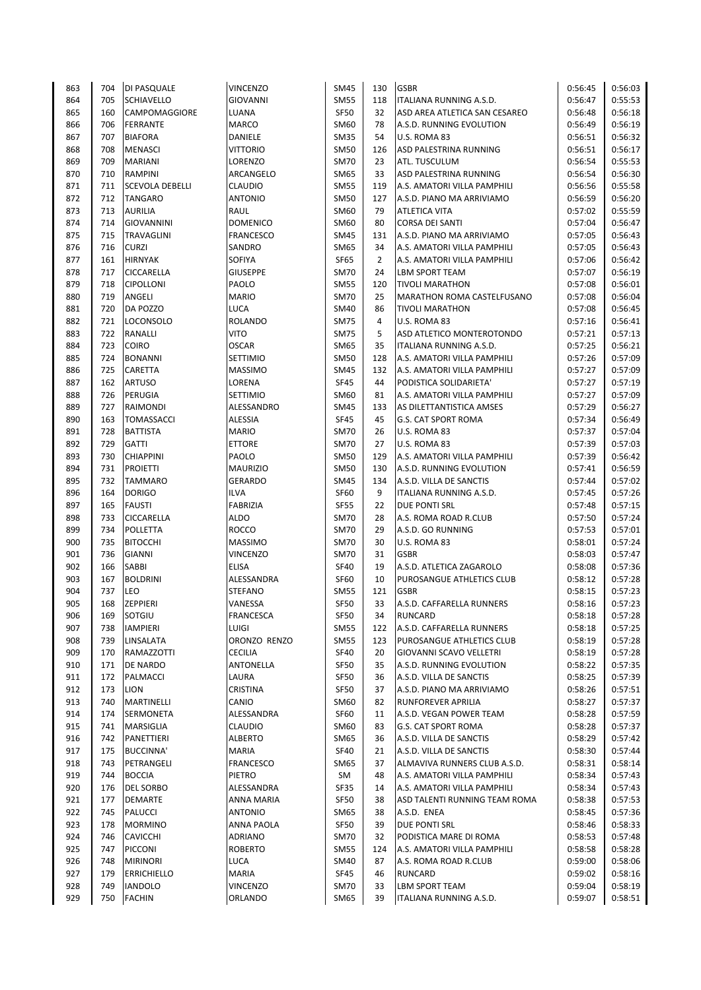| 863 | 704 | DI PASQUALE            | <b>VINCENZO</b>  | <b>SM45</b> | 130            | <b>GSBR</b>                    | 0:56:45 | 0:56:03 |
|-----|-----|------------------------|------------------|-------------|----------------|--------------------------------|---------|---------|
| 864 | 705 | SCHIAVELLO             | <b>GIOVANNI</b>  | <b>SM55</b> | 118            | <b>ITALIANA RUNNING A.S.D.</b> | 0:56:47 | 0:55:53 |
| 865 | 160 | CAMPOMAGGIORE          | LUANA            | <b>SF50</b> | 32             | ASD AREA ATLETICA SAN CESAREO  | 0:56:48 | 0:56:18 |
| 866 | 706 | <b>FERRANTE</b>        | MARCO            | SM60        | 78             | A.S.D. RUNNING EVOLUTION       | 0:56:49 | 0:56:19 |
| 867 | 707 | <b>BIAFORA</b>         | DANIELE          | <b>SM35</b> | 54             | U.S. ROMA 83                   | 0:56:51 | 0:56:32 |
| 868 | 708 | <b>MENASCI</b>         | VITTORIO         | <b>SM50</b> | 126            | ASD PALESTRINA RUNNING         | 0:56:51 | 0:56:17 |
| 869 | 709 | <b>MARIANI</b>         | LORENZO          | <b>SM70</b> | 23             | ATL. TUSCULUM                  | 0:56:54 | 0:55:53 |
| 870 | 710 | <b>RAMPINI</b>         | ARCANGELO        | SM65        | 33             | ASD PALESTRINA RUNNING         | 0:56:54 | 0:56:30 |
| 871 | 711 | <b>SCEVOLA DEBELLI</b> | <b>CLAUDIO</b>   | <b>SM55</b> | 119            | A.S. AMATORI VILLA PAMPHILI    | 0:56:56 | 0:55:58 |
| 872 | 712 | <b>TANGARO</b>         | <b>ANTONIO</b>   | <b>SM50</b> | 127            | A.S.D. PIANO MA ARRIVIAMO      | 0:56:59 | 0:56:20 |
| 873 | 713 | <b>AURILIA</b>         | RAUL             | SM60        | 79             | ATLETICA VITA                  | 0:57:02 | 0:55:59 |
| 874 | 714 | <b>GIOVANNINI</b>      | <b>DOMENICO</b>  | SM60        | 80             | <b>CORSA DEI SANTI</b>         | 0:57:04 | 0:56:47 |
| 875 | 715 | <b>TRAVAGLINI</b>      | <b>FRANCESCO</b> | <b>SM45</b> | 131            | A.S.D. PIANO MA ARRIVIAMO      | 0:57:05 | 0:56:43 |
| 876 | 716 | <b>CURZI</b>           | SANDRO           | SM65        | 34             | A.S. AMATORI VILLA PAMPHILI    | 0:57:05 | 0:56:43 |
| 877 | 161 | <b>HIRNYAK</b>         | SOFIYA           | SF65        | $\overline{2}$ | A.S. AMATORI VILLA PAMPHILI    | 0:57:06 | 0:56:42 |
| 878 | 717 | CICCARELLA             | <b>GIUSEPPE</b>  | <b>SM70</b> | 24             | <b>LBM SPORT TEAM</b>          | 0:57:07 | 0:56:19 |
| 879 | 718 | <b>CIPOLLONI</b>       | PAOLO            | <b>SM55</b> | 120            | <b>TIVOLI MARATHON</b>         | 0:57:08 | 0:56:01 |
| 880 | 719 | ANGELI                 | <b>MARIO</b>     | <b>SM70</b> | 25             | MARATHON ROMA CASTELFUSANO     | 0:57:08 | 0:56:04 |
| 881 | 720 | DA POZZO               | LUCA             | SM40        | 86             | <b>TIVOLI MARATHON</b>         | 0:57:08 | 0:56:45 |
| 882 | 721 | <b>LOCONSOLO</b>       | <b>ROLANDO</b>   | <b>SM75</b> | 4              | U.S. ROMA 83                   | 0:57:16 | 0:56:41 |
| 883 | 722 | <b>RANALLI</b>         | VITO             | <b>SM75</b> | 5              | ASD ATLETICO MONTEROTONDO      | 0:57:21 | 0:57:13 |
| 884 | 723 | COIRO                  | <b>OSCAR</b>     | <b>SM65</b> | 35             | <b>ITALIANA RUNNING A.S.D.</b> | 0:57:25 | 0:56:21 |
| 885 | 724 | <b>BONANNI</b>         | <b>SETTIMIO</b>  | <b>SM50</b> | 128            | A.S. AMATORI VILLA PAMPHILI    | 0:57:26 | 0:57:09 |
| 886 | 725 | CARETTA                | <b>MASSIMO</b>   | <b>SM45</b> | 132            | A.S. AMATORI VILLA PAMPHILI    | 0:57:27 | 0:57:09 |
| 887 | 162 | <b>ARTUSO</b>          | LORENA           | <b>SF45</b> | 44             | PODISTICA SOLIDARIETA'         | 0:57:27 | 0:57:19 |
| 888 | 726 | PERUGIA                | <b>SETTIMIO</b>  | SM60        | 81             | A.S. AMATORI VILLA PAMPHILI    | 0:57:27 | 0:57:09 |
| 889 | 727 | RAIMONDI               | ALESSANDRO       |             | 133            | AS DILETTANTISTICA AMSES       | 0:57:29 |         |
|     |     | <b>TOMASSACCI</b>      | <b>ALESSIA</b>   | <b>SM45</b> |                |                                |         | 0:56:27 |
| 890 | 163 |                        |                  | <b>SF45</b> | 45             | <b>G.S. CAT SPORT ROMA</b>     | 0:57:34 | 0:56:49 |
| 891 | 728 | <b>BATTISTA</b>        | <b>MARIO</b>     | <b>SM70</b> | 26             | U.S. ROMA 83                   | 0:57:37 | 0:57:04 |
| 892 | 729 | <b>GATTI</b>           | <b>ETTORE</b>    | <b>SM70</b> | 27             | U.S. ROMA 83                   | 0:57:39 | 0:57:03 |
| 893 | 730 | <b>CHIAPPINI</b>       | PAOLO            | <b>SM50</b> | 129            | A.S. AMATORI VILLA PAMPHILI    | 0:57:39 | 0:56:42 |
| 894 | 731 | <b>PROIETTI</b>        | <b>MAURIZIO</b>  | <b>SM50</b> | 130            | A.S.D. RUNNING EVOLUTION       | 0:57:41 | 0:56:59 |
| 895 | 732 | <b>TAMMARO</b>         | <b>GERARDO</b>   | <b>SM45</b> | 134            | A.S.D. VILLA DE SANCTIS        | 0:57:44 | 0:57:02 |
| 896 | 164 | <b>DORIGO</b>          | <b>ILVA</b>      | SF60        | 9              | ITALIANA RUNNING A.S.D.        | 0:57:45 | 0:57:26 |
| 897 | 165 | <b>FAUSTI</b>          | <b>FABRIZIA</b>  | <b>SF55</b> | 22             | DUE PONTI SRL                  | 0:57:48 | 0:57:15 |
| 898 | 733 | CICCARELLA             | <b>ALDO</b>      | <b>SM70</b> | 28             | A.S. ROMA ROAD R.CLUB          | 0:57:50 | 0:57:24 |
| 899 | 734 | POLLETTA               | <b>ROCCO</b>     | <b>SM70</b> | 29             | A.S.D. GO RUNNING              | 0:57:53 | 0:57:01 |
| 900 | 735 | <b>BITOCCHI</b>        | <b>MASSIMO</b>   | <b>SM70</b> | 30             | U.S. ROMA 83                   | 0:58:01 | 0:57:24 |
| 901 | 736 | <b>GIANNI</b>          | <b>VINCENZO</b>  | <b>SM70</b> | 31             | <b>GSBR</b>                    | 0:58:03 | 0:57:47 |
| 902 | 166 | <b>SABBI</b>           | <b>ELISA</b>     | <b>SF40</b> | 19             | A.S.D. ATLETICA ZAGAROLO       | 0:58:08 | 0:57:36 |
| 903 | 167 | <b>BOLDRINI</b>        | ALESSANDRA       | SF60        | 10             | PUROSANGUE ATHLETICS CLUB      | 0:58:12 | 0:57:28 |
| 904 | 737 | LEO                    | <b>STEFANO</b>   | <b>SM55</b> | 121            | <b>GSBR</b>                    | 0:58:15 | 0:57:23 |
| 905 | 168 | <b>ZEPPIERI</b>        | VANESSA          | <b>SF50</b> | 33             | A.S.D. CAFFARELLA RUNNERS      | 0:58:16 | 0:57:23 |
| 906 | 169 | SOTGIU                 | <b>FRANCESCA</b> | <b>SF50</b> | 34             | <b>RUNCARD</b>                 | 0:58:18 | 0:57:28 |
| 907 | 738 | <b>IAMPIERI</b>        | LUIGI            | <b>SM55</b> | 122            | A.S.D. CAFFARELLA RUNNERS      | 0:58:18 | 0:57:25 |
| 908 | 739 | LINSALATA              | ORONZO RENZO     | <b>SM55</b> | 123            | PUROSANGUE ATHLETICS CLUB      | 0:58:19 | 0:57:28 |
| 909 | 170 | RAMAZZOTTI             | <b>CECILIA</b>   | <b>SF40</b> | 20             | GIOVANNI SCAVO VELLETRI        | 0:58:19 | 0:57:28 |
| 910 | 171 | DE NARDO               | ANTONELLA        | <b>SF50</b> | 35             | A.S.D. RUNNING EVOLUTION       | 0:58:22 | 0:57:35 |
| 911 | 172 | PALMACCI               | LAURA            | SF50        | 36             | A.S.D. VILLA DE SANCTIS        | 0:58:25 | 0:57:39 |
| 912 | 173 | <b>LION</b>            | CRISTINA         | <b>SF50</b> | 37             | A.S.D. PIANO MA ARRIVIAMO      | 0:58:26 | 0:57:51 |
| 913 | 740 | MARTINELLI             | CANIO            | SM60        | 82             | RUNFOREVER APRILIA             | 0:58:27 | 0:57:37 |
| 914 | 174 | SERMONETA              | ALESSANDRA       | <b>SF60</b> | 11             | A.S.D. VEGAN POWER TEAM        | 0:58:28 | 0:57:59 |
| 915 | 741 | MARSIGLIA              | <b>CLAUDIO</b>   | SM60        | 83             | G.S. CAT SPORT ROMA            | 0:58:28 | 0:57:37 |
| 916 | 742 | PANETTIERI             | <b>ALBERTO</b>   | SM65        | 36             | A.S.D. VILLA DE SANCTIS        | 0:58:29 | 0:57:42 |
| 917 | 175 | <b>BUCCINNA'</b>       | <b>MARIA</b>     | <b>SF40</b> | 21             | A.S.D. VILLA DE SANCTIS        | 0:58:30 | 0:57:44 |
| 918 | 743 | PETRANGELI             | FRANCESCO        | SM65        | 37             | ALMAVIVA RUNNERS CLUB A.S.D.   | 0:58:31 | 0:58:14 |
| 919 | 744 | <b>BOCCIA</b>          | PIETRO           | SM          | 48             | A.S. AMATORI VILLA PAMPHILI    | 0:58:34 | 0:57:43 |
| 920 | 176 | <b>DEL SORBO</b>       | ALESSANDRA       | SF35        | 14             | A.S. AMATORI VILLA PAMPHILI    | 0:58:34 | 0:57:43 |
| 921 |     | <b>DEMARTE</b>         | ANNA MARIA       | <b>SF50</b> | 38             |                                |         | 0:57:53 |
|     | 177 |                        |                  |             |                | ASD TALENTI RUNNING TEAM ROMA  | 0:58:38 |         |
| 922 | 745 | PALUCCI                | <b>ANTONIO</b>   | SM65        | 38             | A.S.D. ENEA                    | 0:58:45 | 0:57:36 |
| 923 | 178 | <b>MORMINO</b>         | ANNA PAOLA       | SF50        | 39             | DUE PONTI SRL                  | 0:58:46 | 0:58:33 |
| 924 | 746 | <b>CAVICCHI</b>        | <b>ADRIANO</b>   | SM70        | 32             | PODISTICA MARE DI ROMA         | 0:58:53 | 0:57:48 |
| 925 | 747 | PICCONI                | <b>ROBERTO</b>   | <b>SM55</b> | 124            | A.S. AMATORI VILLA PAMPHILI    | 0:58:58 | 0:58:28 |
| 926 | 748 | <b>MIRINORI</b>        | LUCA             | SM40        | 87             | A.S. ROMA ROAD R.CLUB          | 0:59:00 | 0:58:06 |
| 927 | 179 | <b>ERRICHIELLO</b>     | <b>MARIA</b>     | SF45        | 46             | <b>RUNCARD</b>                 | 0:59:02 | 0:58:16 |
| 928 | 749 | <b>IANDOLO</b>         | <b>VINCENZO</b>  | <b>SM70</b> | 33             | <b>LBM SPORT TEAM</b>          | 0:59:04 | 0:58:19 |
| 929 | 750 | <b>FACHIN</b>          | ORLANDO          | SM65        | 39             | ITALIANA RUNNING A.S.D.        | 0:59:07 | 0:58:51 |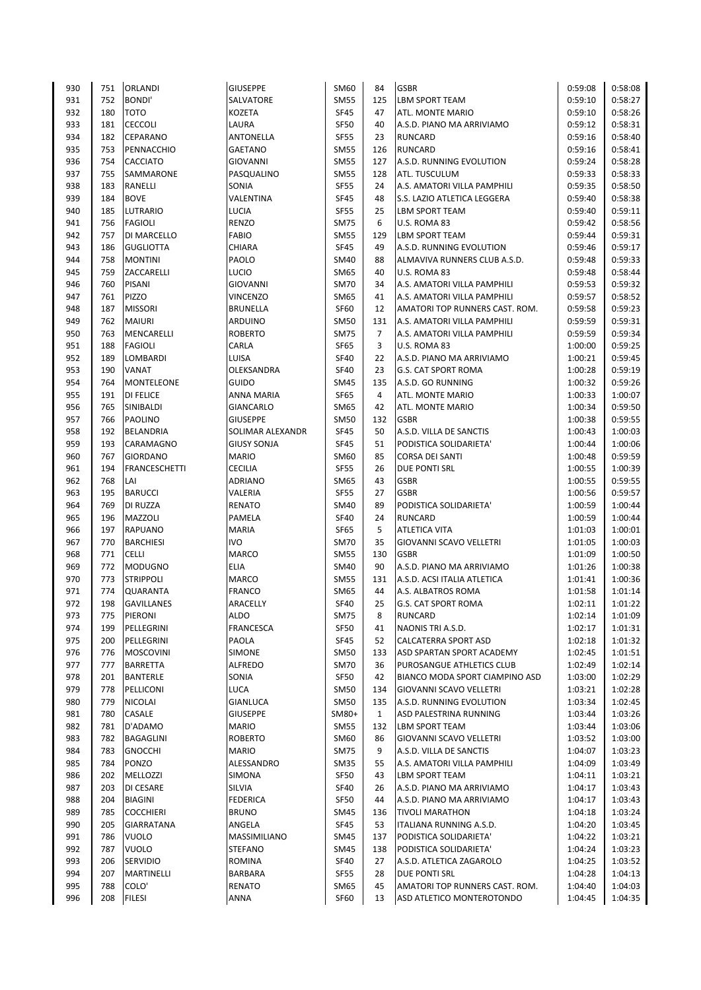| 930        | 751        | <b>ORLANDI</b>       | <b>GIUSEPPE</b>         | SM60                | 84             | <b>GSBR</b>                    | 0:59:08            | 0:58:08            |
|------------|------------|----------------------|-------------------------|---------------------|----------------|--------------------------------|--------------------|--------------------|
| 931        | 752        | <b>BONDI'</b>        | SALVATORE               | <b>SM55</b>         | 125            | <b>LBM SPORT TEAM</b>          | 0:59:10            | 0:58:27            |
| 932        | 180        | <b>TOTO</b>          | <b>KOZETA</b>           | <b>SF45</b>         | 47             | ATL. MONTE MARIO               | 0:59:10            | 0:58:26            |
| 933        | 181        | <b>CECCOLI</b>       | LAURA                   | SF50                | 40             | A.S.D. PIANO MA ARRIVIAMO      | 0:59:12            | 0:58:31            |
| 934        | 182        | CEPARANO             | ANTONELLA               | <b>SF55</b>         | 23             | <b>RUNCARD</b>                 | 0:59:16            | 0:58:40            |
| 935        | 753        | PENNACCHIO           | <b>GAETANO</b>          | <b>SM55</b>         | 126            | <b>RUNCARD</b>                 | 0:59:16            | 0:58:41            |
| 936        | 754        | <b>CACCIATO</b>      | <b>GIOVANNI</b>         | <b>SM55</b>         | 127            | A.S.D. RUNNING EVOLUTION       | 0:59:24            | 0:58:28            |
| 937        | 755        | SAMMARONE            | PASQUALINO              | <b>SM55</b>         | 128            | ATL. TUSCULUM                  | 0:59:33            | 0:58:33            |
| 938        | 183        | RANELLI              | SONIA                   | <b>SF55</b>         | 24             | A.S. AMATORI VILLA PAMPHILI    | 0:59:35            | 0:58:50            |
| 939        | 184        | <b>BOVE</b>          | VALENTINA               | <b>SF45</b>         | 48             | S.S. LAZIO ATLETICA LEGGERA    | 0:59:40            | 0:58:38            |
| 940        | 185        | LUTRARIO             | LUCIA                   | <b>SF55</b>         | 25             | LBM SPORT TEAM                 | 0:59:40            | 0:59:11            |
| 941        | 756        | <b>FAGIOLI</b>       | <b>RENZO</b>            | <b>SM75</b>         | 6              | U.S. ROMA 83                   | 0:59:42            | 0:58:56            |
| 942        | 757        | DI MARCELLO          | <b>FABIO</b>            | <b>SM55</b>         | 129            | LBM SPORT TEAM                 | 0:59:44            | 0:59:31            |
| 943        | 186        | <b>GUGLIOTTA</b>     | CHIARA                  | <b>SF45</b>         | 49             | A.S.D. RUNNING EVOLUTION       | 0:59:46            | 0:59:17            |
| 944        | 758        | <b>MONTINI</b>       | PAOLO                   | <b>SM40</b>         | 88             | ALMAVIVA RUNNERS CLUB A.S.D.   | 0:59:48            | 0:59:33            |
| 945        | 759        | ZACCARELLI           | <b>LUCIO</b>            | SM65                | 40             | U.S. ROMA 83                   | 0:59:48            | 0:58:44            |
| 946        | 760        | PISANI               | <b>GIOVANNI</b>         | <b>SM70</b>         | 34             | A.S. AMATORI VILLA PAMPHILI    | 0:59:53            | 0:59:32            |
| 947        | 761        | PIZZO                | <b>VINCENZO</b>         | SM65                | 41             | A.S. AMATORI VILLA PAMPHILI    | 0:59:57            | 0:58:52            |
| 948        | 187        | <b>MISSORI</b>       | <b>BRUNELLA</b>         | SF60                | 12             | AMATORI TOP RUNNERS CAST. ROM. | 0:59:58            | 0:59:23            |
| 949        | 762        | <b>MAIURI</b>        | ARDUINO                 | <b>SM50</b>         | 131            | A.S. AMATORI VILLA PAMPHILI    | 0:59:59            | 0:59:31            |
| 950        | 763        | MENCARELLI           | <b>ROBERTO</b>          | <b>SM75</b>         | $\overline{7}$ | A.S. AMATORI VILLA PAMPHILI    | 0:59:59            | 0:59:34            |
| 951        | 188        | <b>FAGIOLI</b>       | CARLA                   | <b>SF65</b>         | 3              | U.S. ROMA 83                   | 1:00:00            | 0:59:25            |
| 952        | 189        | LOMBARDI             | LUISA                   | <b>SF40</b>         | 22             | A.S.D. PIANO MA ARRIVIAMO      | 1:00:21            | 0:59:45            |
| 953        | 190        | <b>VANAT</b>         | OLEKSANDRA              | <b>SF40</b>         | 23             | <b>G.S. CAT SPORT ROMA</b>     | 1:00:28            | 0:59:19            |
| 954        | 764        | <b>MONTELEONE</b>    | GUIDO                   | <b>SM45</b>         | 135            | A.S.D. GO RUNNING              | 1:00:32            | 0:59:26            |
| 955        | 191        | <b>DI FELICE</b>     | ANNA MARIA              | <b>SF65</b>         | 4              | ATL. MONTE MARIO               | 1:00:33            | 1:00:07            |
| 956        | 765        | SINIBALDI            | <b>GIANCARLO</b>        | SM65                | 42             | ATL. MONTE MARIO               | 1:00:34            | 0:59:50            |
| 957        | 766        | <b>PAOLINO</b>       | <b>GIUSEPPE</b>         | <b>SM50</b>         | 132            | <b>GSBR</b>                    | 1:00:38            | 0:59:55            |
| 958        | 192        | BELANDRIA            | SOLIMAR ALEXANDR        | <b>SF45</b>         | 50             | A.S.D. VILLA DE SANCTIS        | 1:00:43            | 1:00:03            |
| 959        | 193        | CARAMAGNO            | <b>GIUSY SONJA</b>      | <b>SF45</b>         | 51             | PODISTICA SOLIDARIETA'         | 1:00:44            | 1:00:06            |
| 960        | 767        | <b>GIORDANO</b>      | <b>MARIO</b>            | SM60                | 85             | <b>CORSA DEI SANTI</b>         | 1:00:48            | 0:59:59            |
| 961        | 194        | <b>FRANCESCHETTI</b> | <b>CECILIA</b>          | <b>SF55</b>         | 26             | DUE PONTI SRL                  | 1:00:55            | 1:00:39            |
| 962        | 768        | LAI                  | <b>ADRIANO</b>          |                     | 43             | <b>GSBR</b>                    | 1:00:55            | 0:59:55            |
| 963        | 195        |                      |                         | SM65<br><b>SF55</b> | 27             | <b>GSBR</b>                    |                    |                    |
|            |            | <b>BARUCCI</b>       | VALERIA                 |                     |                | PODISTICA SOLIDARIETA'         | 1:00:56            | 0:59:57            |
| 964<br>965 | 769<br>196 | DI RUZZA<br>MAZZOLI  | <b>RENATO</b><br>PAMELA | SM40<br><b>SF40</b> | 89<br>24       | <b>RUNCARD</b>                 | 1:00:59<br>1:00:59 | 1:00:44<br>1:00:44 |
| 966        | 197        | <b>RAPUANO</b>       | <b>MARIA</b>            | <b>SF65</b>         | 5              | <b>ATLETICA VITA</b>           |                    |                    |
|            |            |                      | <b>IVO</b>              |                     |                |                                | 1:01:03            | 1:00:01            |
| 967        | 770        | <b>BARCHIESI</b>     |                         | <b>SM70</b>         | 35             | GIOVANNI SCAVO VELLETRI        | 1:01:05            | 1:00:03            |
| 968        | 771        | <b>CELLI</b>         | MARCO                   | <b>SM55</b>         | 130            | <b>GSBR</b>                    | 1:01:09            | 1:00:50            |
| 969        | 772        | <b>MODUGNO</b>       | ELIA                    | SM40                | 90             | A.S.D. PIANO MA ARRIVIAMO      | 1:01:26            | 1:00:38            |
| 970        | 773        | <b>STRIPPOLI</b>     | MARCO                   | <b>SM55</b>         | 131            | A.S.D. ACSI ITALIA ATLETICA    | 1:01:41            | 1:00:36            |
| 971        | 774        | QUARANTA             | <b>FRANCO</b>           | SM65                | 44             | A.S. ALBATROS ROMA             | 1:01:58            | 1:01:14            |
| 972        | 198        | <b>GAVILLANES</b>    | ARACELLY                | <b>SF40</b>         | 25             | <b>G.S. CAT SPORT ROMA</b>     | 1:02:11            | 1:01:22            |
| 973        | 775        | PIERONI              | <b>ALDO</b>             | SM75                | 8              | RUNCARD                        | 1:02:14            | 1:01:09            |
| 974        | 199        | PELLEGRINI           | <b>FRANCESCA</b>        | SF50                | 41             | NAONIS TRI A.S.D.              | 1:02:17            | 1:01:31            |
| 975        | 200        | PELLEGRINI           | PAOLA                   | SF45                | 52             | CALCATERRA SPORT ASD           | 1:02:18            | 1:01:32            |
| 976        | 776        | <b>MOSCOVINI</b>     | <b>SIMONE</b>           | <b>SM50</b>         | 133            | ASD SPARTAN SPORT ACADEMY      | 1:02:45            | 1:01:51            |
| 977        | 777        | BARRETTA             | <b>ALFREDO</b>          | <b>SM70</b>         | 36             | PUROSANGUE ATHLETICS CLUB      | 1:02:49            | 1:02:14            |
| 978        | 201        | <b>BANTERLE</b>      | SONIA                   | SF50                | 42             | BIANCO MODA SPORT CIAMPINO ASD | 1:03:00            | 1:02:29            |
| 979        | 778        | PELLICONI            | LUCA                    | <b>SM50</b>         | 134            | GIOVANNI SCAVO VELLETRI        | 1:03:21            | 1:02:28            |
| 980        | 779        | <b>NICOLAI</b>       | <b>GIANLUCA</b>         | <b>SM50</b>         | 135            | A.S.D. RUNNING EVOLUTION       | 1:03:34            | 1:02:45            |
| 981        | 780        | CASALE               | <b>GIUSEPPE</b>         | SM80+               | $\mathbf{1}$   | ASD PALESTRINA RUNNING         | 1:03:44            | 1:03:26            |
| 982        | 781        | D'ADAMO              | <b>MARIO</b>            | <b>SM55</b>         | 132            | <b>LBM SPORT TEAM</b>          | 1:03:44            | 1:03:06            |
| 983        | 782        | BAGAGLINI            | <b>ROBERTO</b>          | SM60                | 86             | GIOVANNI SCAVO VELLETRI        | 1:03:52            | 1:03:00            |
| 984        | 783        | <b>GNOCCHI</b>       | <b>MARIO</b>            | <b>SM75</b>         | 9              | A.S.D. VILLA DE SANCTIS        | 1:04:07            | 1:03:23            |
| 985        | 784        | PONZO                | ALESSANDRO              | SM35                | 55             | A.S. AMATORI VILLA PAMPHILI    | 1:04:09            | 1:03:49            |
| 986        | 202        | MELLOZZI             | SIMONA                  | SF50                | 43             | <b>LBM SPORT TEAM</b>          | 1:04:11            | 1:03:21            |
| 987        | 203        | DI CESARE            | SILVIA                  | <b>SF40</b>         | 26             | A.S.D. PIANO MA ARRIVIAMO      | 1:04:17            | 1:03:43            |
| 988        | 204        | <b>BIAGINI</b>       | <b>FEDERICA</b>         | <b>SF50</b>         | 44             | A.S.D. PIANO MA ARRIVIAMO      | 1:04:17            | 1:03:43            |
| 989        | 785        | <b>COCCHIERI</b>     | <b>BRUNO</b>            | <b>SM45</b>         | 136            | <b>TIVOLI MARATHON</b>         | 1:04:18            | 1:03:24            |
| 990        | 205        | <b>GIARRATANA</b>    | ANGELA                  | SF45                | 53             | ITALIANA RUNNING A.S.D.        | 1:04:20            | 1:03:45            |
| 991        | 786        | <b>VUOLO</b>         | MASSIMILIANO            | <b>SM45</b>         | 137            | PODISTICA SOLIDARIETA'         | 1:04:22            | 1:03:21            |
| 992        | 787        | <b>VUOLO</b>         | <b>STEFANO</b>          | SM45                | 138            | PODISTICA SOLIDARIETA'         | 1:04:24            | 1:03:23            |
| 993        | 206        | <b>SERVIDIO</b>      | ROMINA                  | <b>SF40</b>         | 27             | A.S.D. ATLETICA ZAGAROLO       | 1:04:25            | 1:03:52            |
| 994        | 207        | MARTINELLI           | BARBARA                 | SF55                | 28             | DUE PONTI SRL                  | 1:04:28            | 1:04:13            |
| 995        | 788        | COLO'                | <b>RENATO</b>           | SM65                | 45             | AMATORI TOP RUNNERS CAST. ROM. | 1:04:40            | 1:04:03            |
| 996        | 208        | <b>FILESI</b>        | ANNA                    | SF60                | 13             | ASD ATLETICO MONTEROTONDO      | 1:04:45            | 1:04:35            |
|            |            |                      |                         |                     |                |                                |                    |                    |